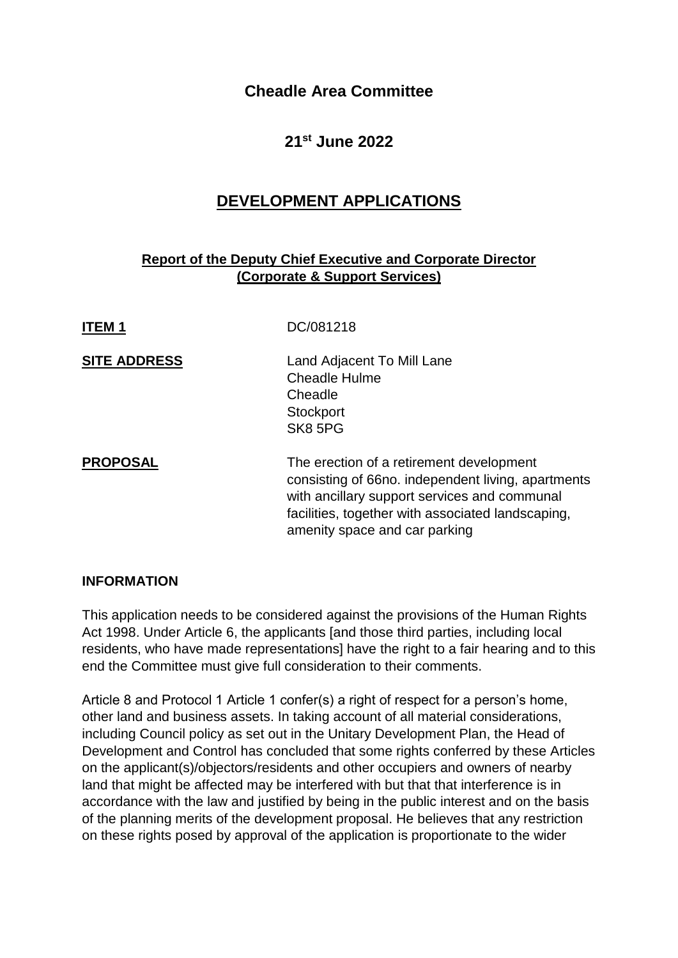# **Cheadle Area Committee**

# **21st June 2022**

# **DEVELOPMENT APPLICATIONS**

## **Report of the Deputy Chief Executive and Corporate Director (Corporate & Support Services)**

| <b>ITEM1</b>        | DC/081218                                                                                                                                                                                                                            |
|---------------------|--------------------------------------------------------------------------------------------------------------------------------------------------------------------------------------------------------------------------------------|
| <b>SITE ADDRESS</b> | Land Adjacent To Mill Lane<br><b>Cheadle Hulme</b><br>Cheadle<br>Stockport<br>SK8 5PG                                                                                                                                                |
| <b>PROPOSAL</b>     | The erection of a retirement development<br>consisting of 66no. independent living, apartments<br>with ancillary support services and communal<br>facilities, together with associated landscaping,<br>amenity space and car parking |

## **INFORMATION**

This application needs to be considered against the provisions of the Human Rights Act 1998. Under Article 6, the applicants [and those third parties, including local residents, who have made representations] have the right to a fair hearing and to this end the Committee must give full consideration to their comments.

Article 8 and Protocol 1 Article 1 confer(s) a right of respect for a person's home, other land and business assets. In taking account of all material considerations, including Council policy as set out in the Unitary Development Plan, the Head of Development and Control has concluded that some rights conferred by these Articles on the applicant(s)/objectors/residents and other occupiers and owners of nearby land that might be affected may be interfered with but that that interference is in accordance with the law and justified by being in the public interest and on the basis of the planning merits of the development proposal. He believes that any restriction on these rights posed by approval of the application is proportionate to the wider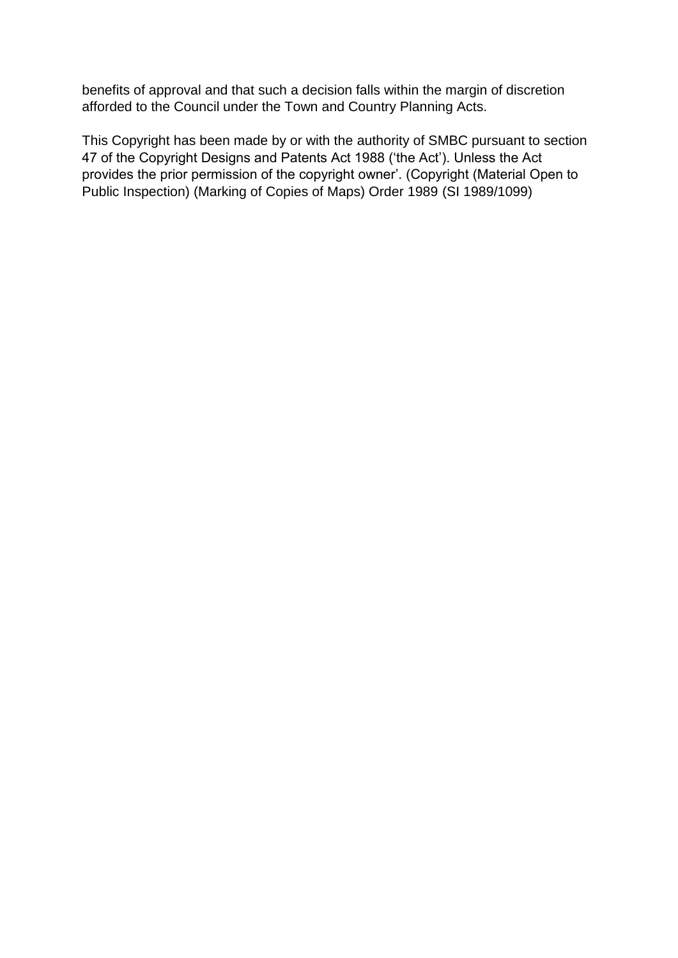benefits of approval and that such a decision falls within the margin of discretion afforded to the Council under the Town and Country Planning Acts.

This Copyright has been made by or with the authority of SMBC pursuant to section 47 of the Copyright Designs and Patents Act 1988 ('the Act'). Unless the Act provides the prior permission of the copyright owner'. (Copyright (Material Open to Public Inspection) (Marking of Copies of Maps) Order 1989 (SI 1989/1099)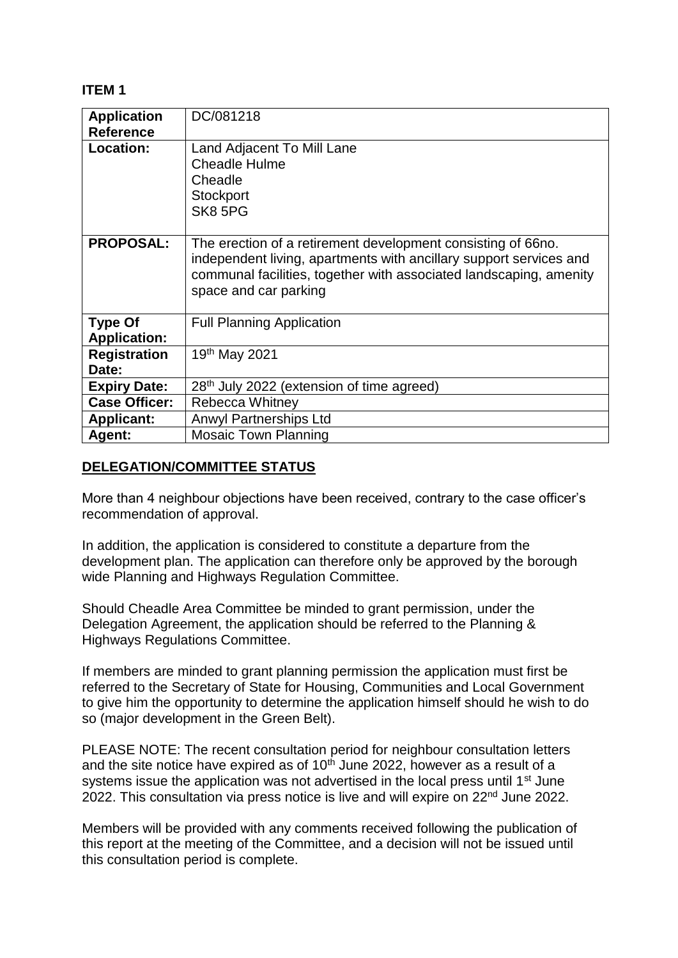## **ITEM 1**

| <b>Application</b><br><b>Reference</b> | DC/081218                                                                                                                                                                                                                         |
|----------------------------------------|-----------------------------------------------------------------------------------------------------------------------------------------------------------------------------------------------------------------------------------|
| Location:                              | Land Adjacent To Mill Lane<br><b>Cheadle Hulme</b><br>Cheadle<br>Stockport<br>SK8 5PG                                                                                                                                             |
| <b>PROPOSAL:</b>                       | The erection of a retirement development consisting of 66no.<br>independent living, apartments with ancillary support services and<br>communal facilities, together with associated landscaping, amenity<br>space and car parking |
| <b>Type Of</b><br><b>Application:</b>  | <b>Full Planning Application</b>                                                                                                                                                                                                  |
| <b>Registration</b><br>Date:           | 19 <sup>th</sup> May 2021                                                                                                                                                                                                         |
| <b>Expiry Date:</b>                    | 28 <sup>th</sup> July 2022 (extension of time agreed)                                                                                                                                                                             |
| <b>Case Officer:</b>                   | Rebecca Whitney                                                                                                                                                                                                                   |
| <b>Applicant:</b>                      | <b>Anwyl Partnerships Ltd</b>                                                                                                                                                                                                     |
| Agent:                                 | <b>Mosaic Town Planning</b>                                                                                                                                                                                                       |

## **DELEGATION/COMMITTEE STATUS**

More than 4 neighbour objections have been received, contrary to the case officer's recommendation of approval.

In addition, the application is considered to constitute a departure from the development plan. The application can therefore only be approved by the borough wide Planning and Highways Regulation Committee.

Should Cheadle Area Committee be minded to grant permission, under the Delegation Agreement, the application should be referred to the Planning & Highways Regulations Committee.

If members are minded to grant planning permission the application must first be referred to the Secretary of State for Housing, Communities and Local Government to give him the opportunity to determine the application himself should he wish to do so (major development in the Green Belt).

PLEASE NOTE: The recent consultation period for neighbour consultation letters and the site notice have expired as of  $10<sup>th</sup>$  June 2022, however as a result of a systems issue the application was not advertised in the local press until 1<sup>st</sup> June 2022. This consultation via press notice is live and will expire on 22nd June 2022.

Members will be provided with any comments received following the publication of this report at the meeting of the Committee, and a decision will not be issued until this consultation period is complete.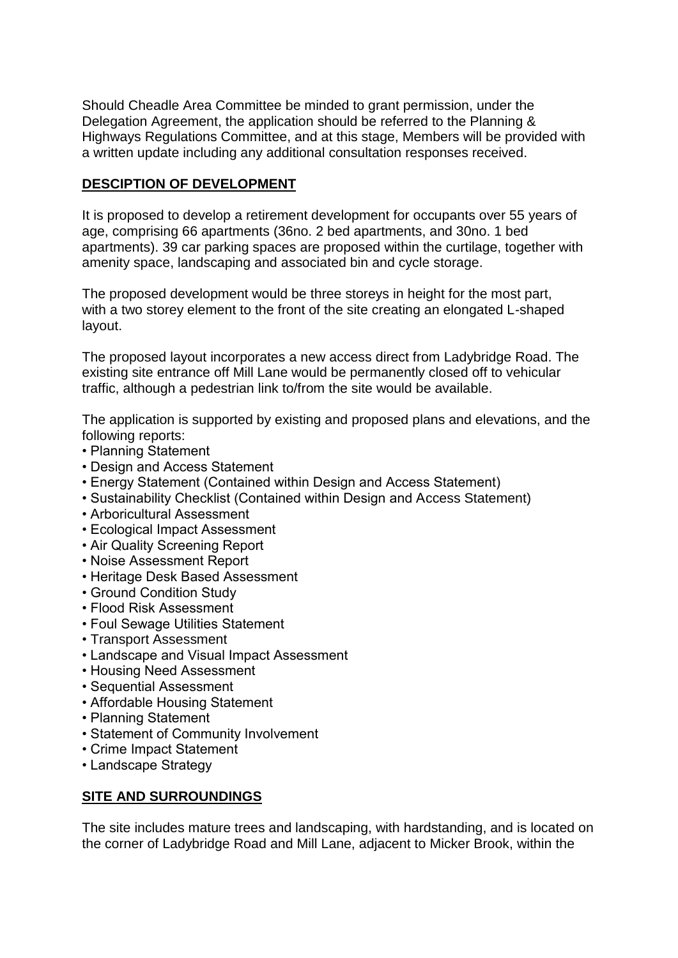Should Cheadle Area Committee be minded to grant permission, under the Delegation Agreement, the application should be referred to the Planning & Highways Regulations Committee, and at this stage, Members will be provided with a written update including any additional consultation responses received.

## **DESCIPTION OF DEVELOPMENT**

It is proposed to develop a retirement development for occupants over 55 years of age, comprising 66 apartments (36no. 2 bed apartments, and 30no. 1 bed apartments). 39 car parking spaces are proposed within the curtilage, together with amenity space, landscaping and associated bin and cycle storage.

The proposed development would be three storeys in height for the most part, with a two storey element to the front of the site creating an elongated L-shaped layout.

The proposed layout incorporates a new access direct from Ladybridge Road. The existing site entrance off Mill Lane would be permanently closed off to vehicular traffic, although a pedestrian link to/from the site would be available.

The application is supported by existing and proposed plans and elevations, and the following reports:

- Planning Statement
- Design and Access Statement
- Energy Statement (Contained within Design and Access Statement)
- Sustainability Checklist (Contained within Design and Access Statement)
- Arboricultural Assessment
- Ecological Impact Assessment
- Air Quality Screening Report
- Noise Assessment Report
- Heritage Desk Based Assessment
- Ground Condition Study
- Flood Risk Assessment
- Foul Sewage Utilities Statement
- Transport Assessment
- Landscape and Visual Impact Assessment
- Housing Need Assessment
- Sequential Assessment
- Affordable Housing Statement
- Planning Statement
- Statement of Community Involvement
- Crime Impact Statement
- Landscape Strategy

## **SITE AND SURROUNDINGS**

The site includes mature trees and landscaping, with hardstanding, and is located on the corner of Ladybridge Road and Mill Lane, adjacent to Micker Brook, within the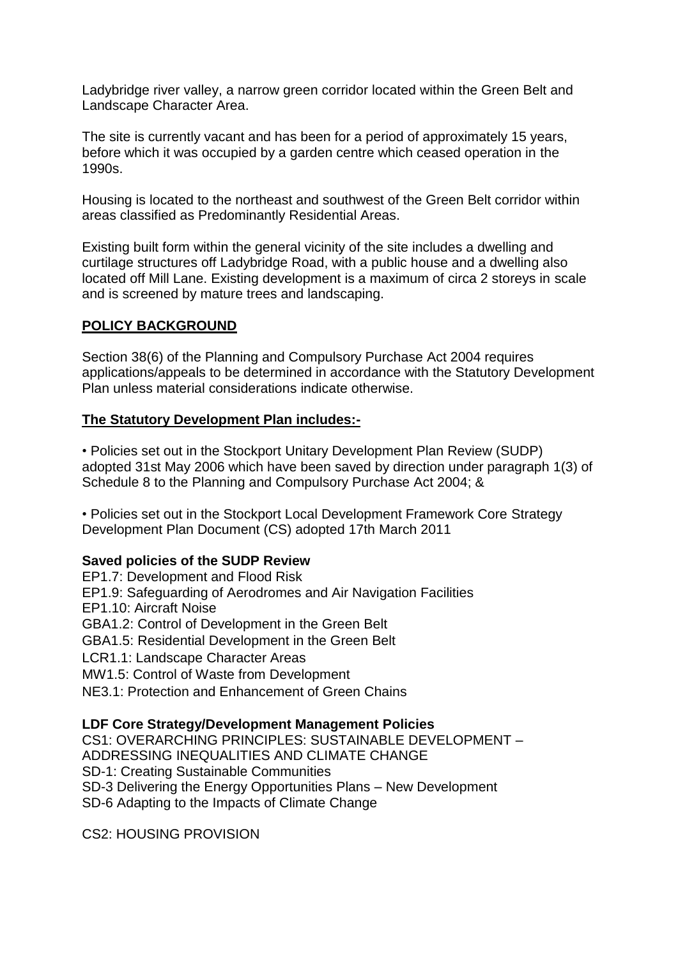Ladybridge river valley, a narrow green corridor located within the Green Belt and Landscape Character Area.

The site is currently vacant and has been for a period of approximately 15 years, before which it was occupied by a garden centre which ceased operation in the 1990s.

Housing is located to the northeast and southwest of the Green Belt corridor within areas classified as Predominantly Residential Areas.

Existing built form within the general vicinity of the site includes a dwelling and curtilage structures off Ladybridge Road, with a public house and a dwelling also located off Mill Lane. Existing development is a maximum of circa 2 storeys in scale and is screened by mature trees and landscaping.

## **POLICY BACKGROUND**

Section 38(6) of the Planning and Compulsory Purchase Act 2004 requires applications/appeals to be determined in accordance with the Statutory Development Plan unless material considerations indicate otherwise.

## **The Statutory Development Plan includes:-**

• Policies set out in the Stockport Unitary Development Plan Review (SUDP) adopted 31st May 2006 which have been saved by direction under paragraph 1(3) of Schedule 8 to the Planning and Compulsory Purchase Act 2004; &

• Policies set out in the Stockport Local Development Framework Core Strategy Development Plan Document (CS) adopted 17th March 2011

## **Saved policies of the SUDP Review**

EP1.7: Development and Flood Risk EP1.9: Safeguarding of Aerodromes and Air Navigation Facilities EP1.10: Aircraft Noise GBA1.2: Control of Development in the Green Belt GBA1.5: Residential Development in the Green Belt LCR1.1: Landscape Character Areas MW1.5: Control of Waste from Development NE3.1: Protection and Enhancement of Green Chains

#### **LDF Core Strategy/Development Management Policies**

CS1: OVERARCHING PRINCIPLES: SUSTAINABLE DEVELOPMENT – ADDRESSING INEQUALITIES AND CLIMATE CHANGE SD-1: Creating Sustainable Communities SD-3 Delivering the Energy Opportunities Plans – New Development SD-6 Adapting to the Impacts of Climate Change

CS2: HOUSING PROVISION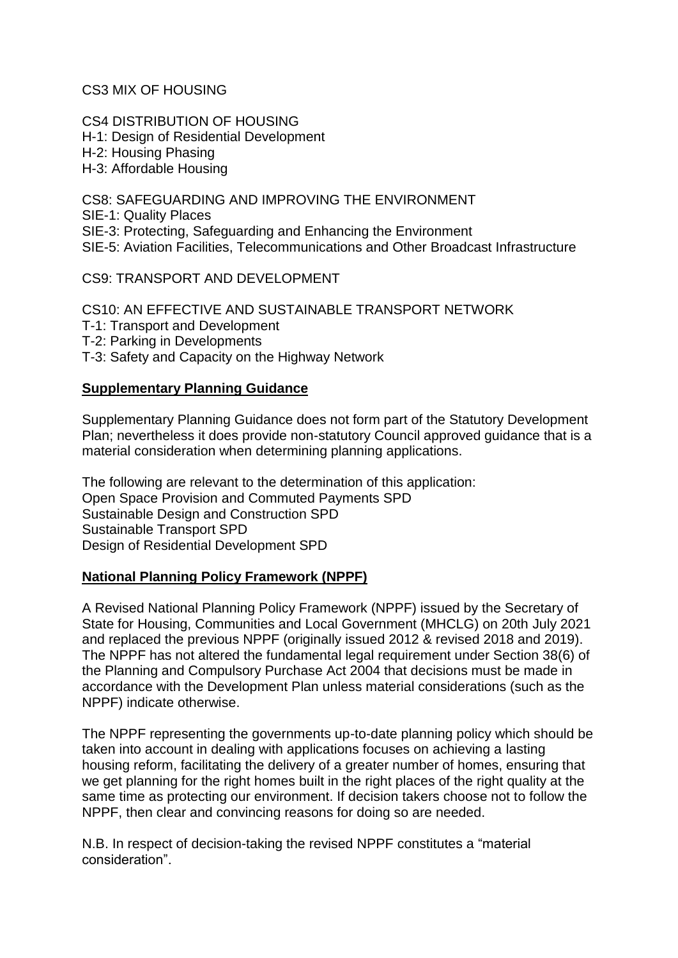CS3 MIX OF HOUSING

CS4 DISTRIBUTION OF HOUSING H-1: Design of Residential Development H-2: Housing Phasing H-3: Affordable Housing

CS8: SAFEGUARDING AND IMPROVING THE ENVIRONMENT SIE-1: Quality Places SIE-3: Protecting, Safeguarding and Enhancing the Environment SIE-5: Aviation Facilities, Telecommunications and Other Broadcast Infrastructure

CS9: TRANSPORT AND DEVELOPMENT

CS10: AN EFFECTIVE AND SUSTAINABLE TRANSPORT NETWORK T-1: Transport and Development T-2: Parking in Developments T-3: Safety and Capacity on the Highway Network

## **Supplementary Planning Guidance**

Supplementary Planning Guidance does not form part of the Statutory Development Plan; nevertheless it does provide non-statutory Council approved guidance that is a material consideration when determining planning applications.

The following are relevant to the determination of this application: Open Space Provision and Commuted Payments SPD Sustainable Design and Construction SPD Sustainable Transport SPD Design of Residential Development SPD

## **National Planning Policy Framework (NPPF)**

A Revised National Planning Policy Framework (NPPF) issued by the Secretary of State for Housing, Communities and Local Government (MHCLG) on 20th July 2021 and replaced the previous NPPF (originally issued 2012 & revised 2018 and 2019). The NPPF has not altered the fundamental legal requirement under Section 38(6) of the Planning and Compulsory Purchase Act 2004 that decisions must be made in accordance with the Development Plan unless material considerations (such as the NPPF) indicate otherwise.

The NPPF representing the governments up-to-date planning policy which should be taken into account in dealing with applications focuses on achieving a lasting housing reform, facilitating the delivery of a greater number of homes, ensuring that we get planning for the right homes built in the right places of the right quality at the same time as protecting our environment. If decision takers choose not to follow the NPPF, then clear and convincing reasons for doing so are needed.

N.B. In respect of decision-taking the revised NPPF constitutes a "material consideration".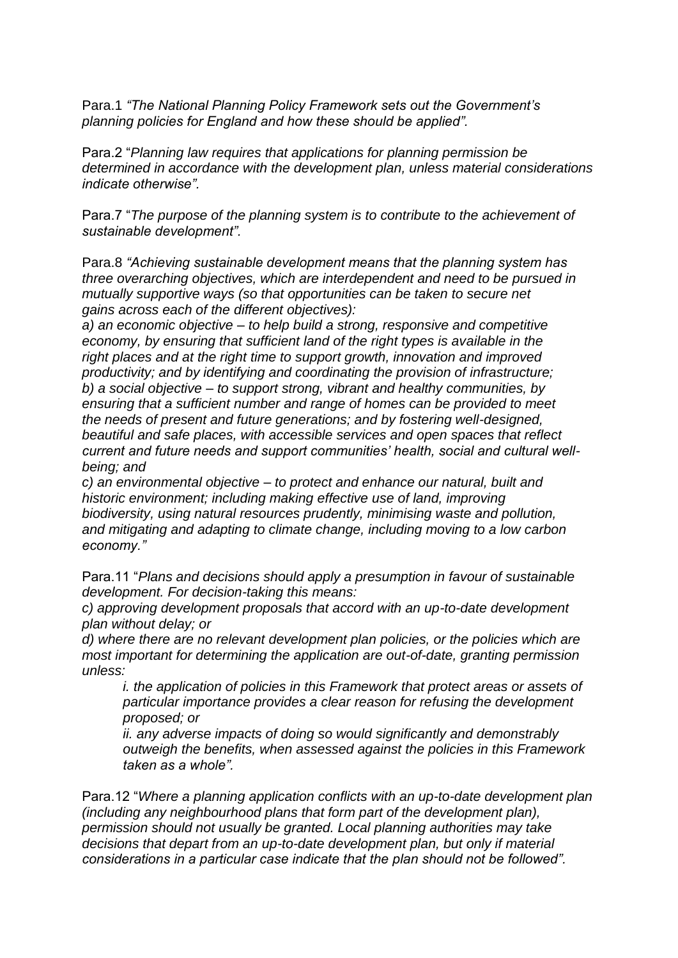Para.1 *"The National Planning Policy Framework sets out the Government's planning policies for England and how these should be applied".*

Para.2 "*Planning law requires that applications for planning permission be determined in accordance with the development plan, unless material considerations indicate otherwise".*

Para.7 "*The purpose of the planning system is to contribute to the achievement of sustainable development".*

Para.8 *"Achieving sustainable development means that the planning system has three overarching objectives, which are interdependent and need to be pursued in mutually supportive ways (so that opportunities can be taken to secure net gains across each of the different objectives):*

*a) an economic objective – to help build a strong, responsive and competitive economy, by ensuring that sufficient land of the right types is available in the right places and at the right time to support growth, innovation and improved productivity; and by identifying and coordinating the provision of infrastructure; b) a social objective – to support strong, vibrant and healthy communities, by ensuring that a sufficient number and range of homes can be provided to meet the needs of present and future generations; and by fostering well-designed, beautiful and safe places, with accessible services and open spaces that reflect current and future needs and support communities' health, social and cultural wellbeing; and*

*c) an environmental objective – to protect and enhance our natural, built and historic environment; including making effective use of land, improving biodiversity, using natural resources prudently, minimising waste and pollution, and mitigating and adapting to climate change, including moving to a low carbon economy."*

Para.11 "*Plans and decisions should apply a presumption in favour of sustainable development. For decision-taking this means:*

*c) approving development proposals that accord with an up-to-date development plan without delay; or*

*d) where there are no relevant development plan policies, or the policies which are most important for determining the application are out-of-date, granting permission unless:*

*i. the application of policies in this Framework that protect areas or assets of particular importance provides a clear reason for refusing the development proposed; or*

*ii. any adverse impacts of doing so would significantly and demonstrably outweigh the benefits, when assessed against the policies in this Framework taken as a whole".*

Para.12 "*Where a planning application conflicts with an up-to-date development plan (including any neighbourhood plans that form part of the development plan), permission should not usually be granted. Local planning authorities may take decisions that depart from an up-to-date development plan, but only if material considerations in a particular case indicate that the plan should not be followed".*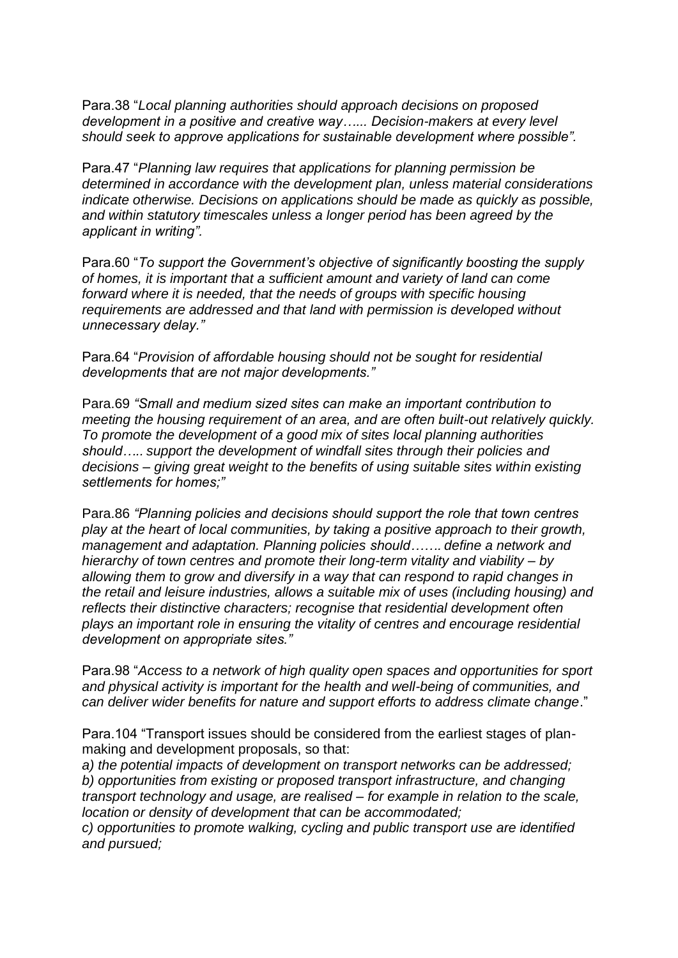Para.38 "*Local planning authorities should approach decisions on proposed development in a positive and creative way…... Decision-makers at every level should seek to approve applications for sustainable development where possible".*

Para.47 "*Planning law requires that applications for planning permission be determined in accordance with the development plan, unless material considerations indicate otherwise. Decisions on applications should be made as quickly as possible, and within statutory timescales unless a longer period has been agreed by the applicant in writing".*

Para.60 "*To support the Government's objective of significantly boosting the supply of homes, it is important that a sufficient amount and variety of land can come forward where it is needed, that the needs of groups with specific housing requirements are addressed and that land with permission is developed without unnecessary delay."*

Para.64 "*Provision of affordable housing should not be sought for residential developments that are not major developments."*

Para.69 *"Small and medium sized sites can make an important contribution to meeting the housing requirement of an area, and are often built-out relatively quickly. To promote the development of a good mix of sites local planning authorities should….. support the development of windfall sites through their policies and decisions – giving great weight to the benefits of using suitable sites within existing settlements for homes;"*

Para.86 *"Planning policies and decisions should support the role that town centres play at the heart of local communities, by taking a positive approach to their growth, management and adaptation. Planning policies should……. define a network and hierarchy of town centres and promote their long-term vitality and viability – by allowing them to grow and diversify in a way that can respond to rapid changes in the retail and leisure industries, allows a suitable mix of uses (including housing) and reflects their distinctive characters; recognise that residential development often plays an important role in ensuring the vitality of centres and encourage residential development on appropriate sites."*

Para.98 "*Access to a network of high quality open spaces and opportunities for sport and physical activity is important for the health and well-being of communities, and can deliver wider benefits for nature and support efforts to address climate change*."

Para.104 "Transport issues should be considered from the earliest stages of planmaking and development proposals, so that:

*a) the potential impacts of development on transport networks can be addressed; b) opportunities from existing or proposed transport infrastructure, and changing transport technology and usage, are realised – for example in relation to the scale, location or density of development that can be accommodated;*

*c) opportunities to promote walking, cycling and public transport use are identified and pursued;*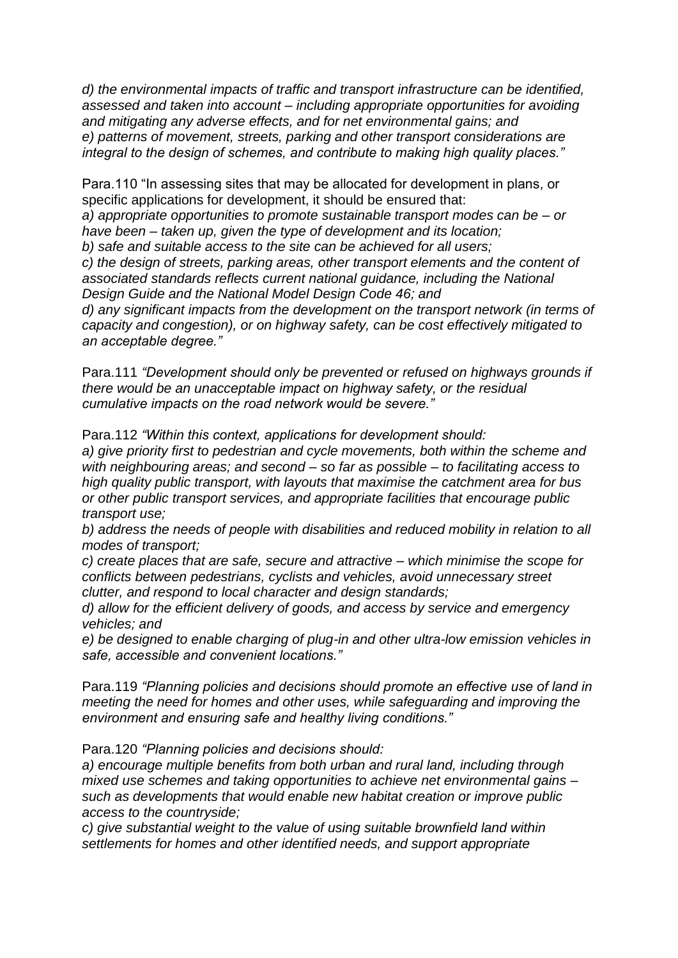*d) the environmental impacts of traffic and transport infrastructure can be identified, assessed and taken into account – including appropriate opportunities for avoiding and mitigating any adverse effects, and for net environmental gains; and e) patterns of movement, streets, parking and other transport considerations are integral to the design of schemes, and contribute to making high quality places."*

Para.110 "In assessing sites that may be allocated for development in plans, or specific applications for development, it should be ensured that: *a) appropriate opportunities to promote sustainable transport modes can be – or have been – taken up, given the type of development and its location; b) safe and suitable access to the site can be achieved for all users; c) the design of streets, parking areas, other transport elements and the content of associated standards reflects current national guidance, including the National Design Guide and the National Model Design Code 46; and d) any significant impacts from the development on the transport network (in terms of capacity and congestion), or on highway safety, can be cost effectively mitigated to an acceptable degree."*

Para.111 *"Development should only be prevented or refused on highways grounds if there would be an unacceptable impact on highway safety, or the residual cumulative impacts on the road network would be severe."*

Para.112 *"Within this context, applications for development should:*

*a) give priority first to pedestrian and cycle movements, both within the scheme and with neighbouring areas; and second – so far as possible – to facilitating access to high quality public transport, with layouts that maximise the catchment area for bus or other public transport services, and appropriate facilities that encourage public transport use;*

*b) address the needs of people with disabilities and reduced mobility in relation to all modes of transport;*

*c) create places that are safe, secure and attractive – which minimise the scope for conflicts between pedestrians, cyclists and vehicles, avoid unnecessary street clutter, and respond to local character and design standards;*

*d) allow for the efficient delivery of goods, and access by service and emergency vehicles; and*

*e) be designed to enable charging of plug-in and other ultra-low emission vehicles in safe, accessible and convenient locations."*

Para.119 *"Planning policies and decisions should promote an effective use of land in meeting the need for homes and other uses, while safeguarding and improving the environment and ensuring safe and healthy living conditions."*

Para.120 *"Planning policies and decisions should:*

*a) encourage multiple benefits from both urban and rural land, including through mixed use schemes and taking opportunities to achieve net environmental gains – such as developments that would enable new habitat creation or improve public access to the countryside;*

*c) give substantial weight to the value of using suitable brownfield land within settlements for homes and other identified needs, and support appropriate*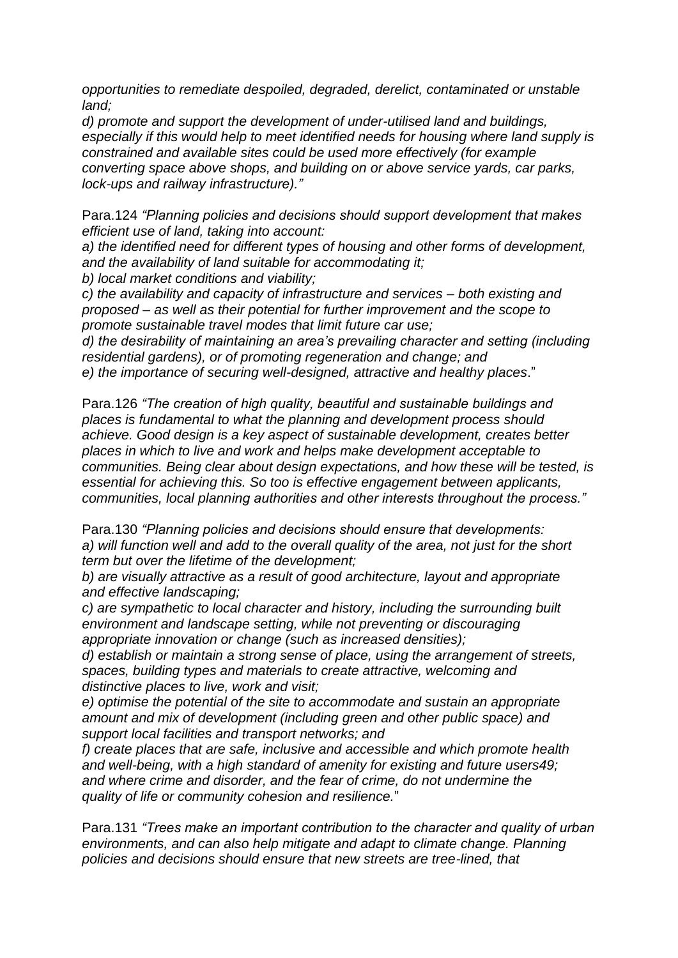*opportunities to remediate despoiled, degraded, derelict, contaminated or unstable land;*

*d) promote and support the development of under-utilised land and buildings, especially if this would help to meet identified needs for housing where land supply is constrained and available sites could be used more effectively (for example converting space above shops, and building on or above service yards, car parks, lock-ups and railway infrastructure)."*

Para.124 *"Planning policies and decisions should support development that makes efficient use of land, taking into account:*

*a) the identified need for different types of housing and other forms of development, and the availability of land suitable for accommodating it;*

*b) local market conditions and viability;*

*c) the availability and capacity of infrastructure and services – both existing and proposed – as well as their potential for further improvement and the scope to promote sustainable travel modes that limit future car use;*

*d) the desirability of maintaining an area's prevailing character and setting (including residential gardens), or of promoting regeneration and change; and e) the importance of securing well-designed, attractive and healthy places*."

Para.126 *"The creation of high quality, beautiful and sustainable buildings and places is fundamental to what the planning and development process should achieve. Good design is a key aspect of sustainable development, creates better places in which to live and work and helps make development acceptable to communities. Being clear about design expectations, and how these will be tested, is essential for achieving this. So too is effective engagement between applicants, communities, local planning authorities and other interests throughout the process."*

Para.130 *"Planning policies and decisions should ensure that developments: a) will function well and add to the overall quality of the area, not just for the short term but over the lifetime of the development;*

*b) are visually attractive as a result of good architecture, layout and appropriate and effective landscaping;*

*c) are sympathetic to local character and history, including the surrounding built environment and landscape setting, while not preventing or discouraging appropriate innovation or change (such as increased densities);*

*d) establish or maintain a strong sense of place, using the arrangement of streets, spaces, building types and materials to create attractive, welcoming and distinctive places to live, work and visit;*

*e) optimise the potential of the site to accommodate and sustain an appropriate amount and mix of development (including green and other public space) and support local facilities and transport networks; and*

*f) create places that are safe, inclusive and accessible and which promote health and well-being, with a high standard of amenity for existing and future users49; and where crime and disorder, and the fear of crime, do not undermine the quality of life or community cohesion and resilience.*"

Para.131 *"Trees make an important contribution to the character and quality of urban environments, and can also help mitigate and adapt to climate change. Planning policies and decisions should ensure that new streets are tree-lined, that*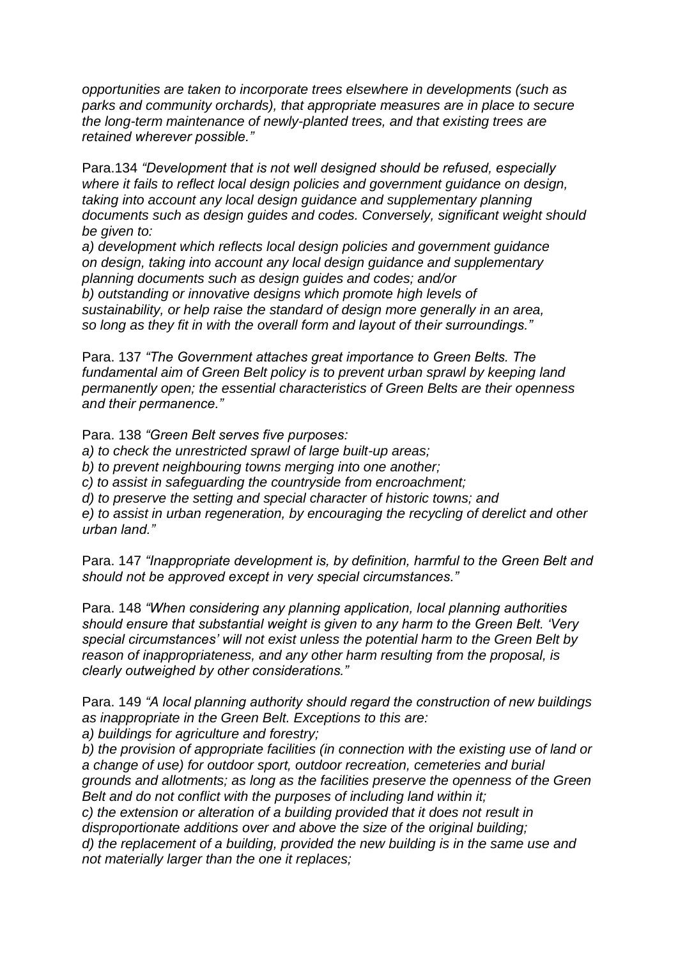*opportunities are taken to incorporate trees elsewhere in developments (such as parks and community orchards), that appropriate measures are in place to secure the long-term maintenance of newly-planted trees, and that existing trees are retained wherever possible."*

Para.134 *"Development that is not well designed should be refused, especially where it fails to reflect local design policies and government guidance on design, taking into account any local design guidance and supplementary planning documents such as design guides and codes. Conversely, significant weight should be given to:*

*a) development which reflects local design policies and government guidance on design, taking into account any local design guidance and supplementary planning documents such as design guides and codes; and/or b) outstanding or innovative designs which promote high levels of sustainability, or help raise the standard of design more generally in an area, so long as they fit in with the overall form and layout of their surroundings."*

Para. 137 *"The Government attaches great importance to Green Belts. The fundamental aim of Green Belt policy is to prevent urban sprawl by keeping land permanently open; the essential characteristics of Green Belts are their openness and their permanence."*

Para. 138 *"Green Belt serves five purposes:*

*a) to check the unrestricted sprawl of large built-up areas;*

*b) to prevent neighbouring towns merging into one another;*

*c) to assist in safeguarding the countryside from encroachment;*

*d) to preserve the setting and special character of historic towns; and*

*e) to assist in urban regeneration, by encouraging the recycling of derelict and other urban land."*

Para. 147 *"Inappropriate development is, by definition, harmful to the Green Belt and should not be approved except in very special circumstances."*

Para. 148 *"When considering any planning application, local planning authorities should ensure that substantial weight is given to any harm to the Green Belt. 'Very special circumstances' will not exist unless the potential harm to the Green Belt by reason of inappropriateness, and any other harm resulting from the proposal, is clearly outweighed by other considerations."*

Para. 149 *"A local planning authority should regard the construction of new buildings as inappropriate in the Green Belt. Exceptions to this are:*

*a) buildings for agriculture and forestry;*

*b) the provision of appropriate facilities (in connection with the existing use of land or a change of use) for outdoor sport, outdoor recreation, cemeteries and burial grounds and allotments; as long as the facilities preserve the openness of the Green Belt and do not conflict with the purposes of including land within it;*

*c) the extension or alteration of a building provided that it does not result in disproportionate additions over and above the size of the original building;*

*d) the replacement of a building, provided the new building is in the same use and not materially larger than the one it replaces;*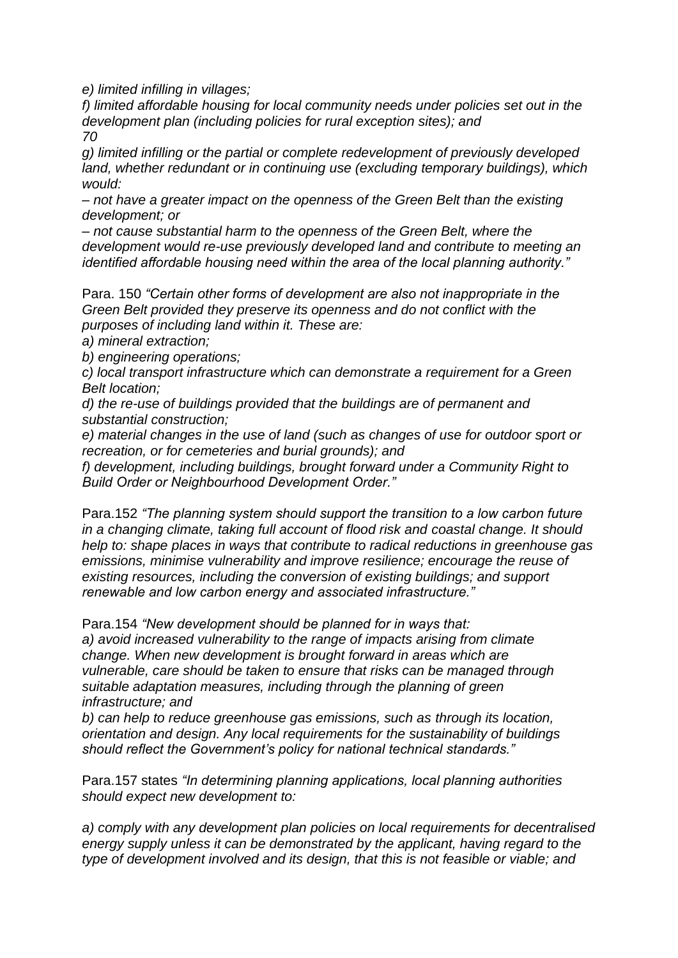*e) limited infilling in villages;*

*f) limited affordable housing for local community needs under policies set out in the development plan (including policies for rural exception sites); and 70*

*g) limited infilling or the partial or complete redevelopment of previously developed*  land, whether redundant or in continuing use (excluding temporary buildings), which *would:*

*– not have a greater impact on the openness of the Green Belt than the existing development; or*

*– not cause substantial harm to the openness of the Green Belt, where the development would re-use previously developed land and contribute to meeting an identified affordable housing need within the area of the local planning authority."*

Para. 150 *"Certain other forms of development are also not inappropriate in the Green Belt provided they preserve its openness and do not conflict with the purposes of including land within it. These are:*

*a) mineral extraction;*

*b) engineering operations;*

*c) local transport infrastructure which can demonstrate a requirement for a Green Belt location;*

*d) the re-use of buildings provided that the buildings are of permanent and substantial construction;*

*e) material changes in the use of land (such as changes of use for outdoor sport or recreation, or for cemeteries and burial grounds); and*

*f) development, including buildings, brought forward under a Community Right to Build Order or Neighbourhood Development Order."*

Para.152 *"The planning system should support the transition to a low carbon future in a changing climate, taking full account of flood risk and coastal change. It should help to: shape places in ways that contribute to radical reductions in greenhouse gas emissions, minimise vulnerability and improve resilience; encourage the reuse of existing resources, including the conversion of existing buildings; and support renewable and low carbon energy and associated infrastructure."*

Para.154 *"New development should be planned for in ways that:*

*a) avoid increased vulnerability to the range of impacts arising from climate change. When new development is brought forward in areas which are vulnerable, care should be taken to ensure that risks can be managed through suitable adaptation measures, including through the planning of green infrastructure; and*

*b) can help to reduce greenhouse gas emissions, such as through its location, orientation and design. Any local requirements for the sustainability of buildings should reflect the Government's policy for national technical standards."*

Para.157 states *"In determining planning applications, local planning authorities should expect new development to:*

*a) comply with any development plan policies on local requirements for decentralised energy supply unless it can be demonstrated by the applicant, having regard to the type of development involved and its design, that this is not feasible or viable; and*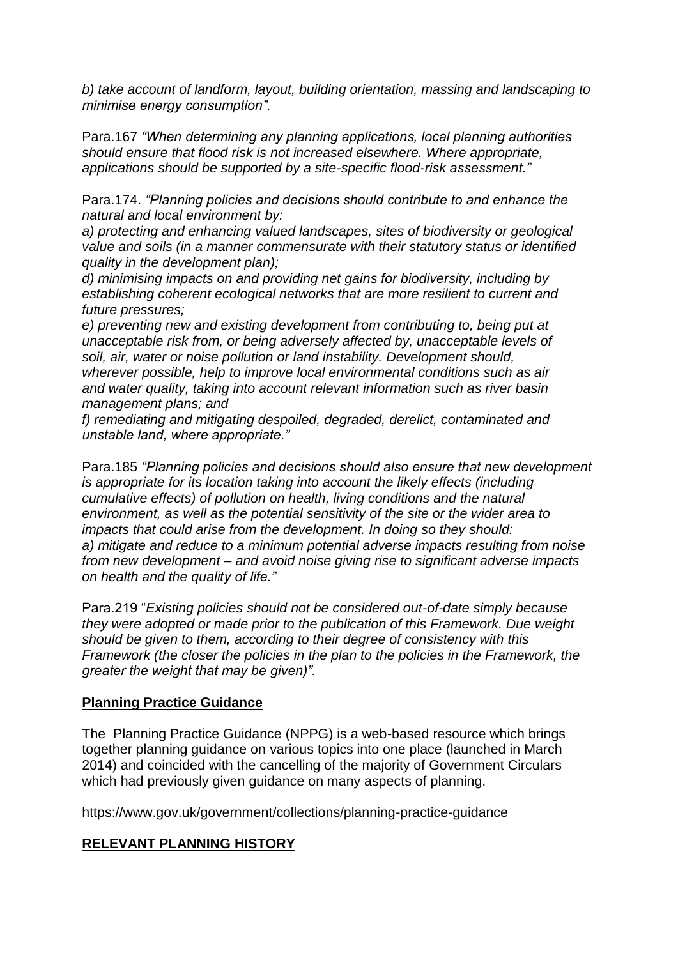*b) take account of landform, layout, building orientation, massing and landscaping to minimise energy consumption".*

Para.167 *"When determining any planning applications, local planning authorities should ensure that flood risk is not increased elsewhere. Where appropriate, applications should be supported by a site-specific flood-risk assessment."*

Para.174. *"Planning policies and decisions should contribute to and enhance the natural and local environment by:*

*a) protecting and enhancing valued landscapes, sites of biodiversity or geological value and soils (in a manner commensurate with their statutory status or identified quality in the development plan);*

*d) minimising impacts on and providing net gains for biodiversity, including by establishing coherent ecological networks that are more resilient to current and future pressures;*

*e) preventing new and existing development from contributing to, being put at unacceptable risk from, or being adversely affected by, unacceptable levels of soil, air, water or noise pollution or land instability. Development should, wherever possible, help to improve local environmental conditions such as air and water quality, taking into account relevant information such as river basin management plans; and*

*f) remediating and mitigating despoiled, degraded, derelict, contaminated and unstable land, where appropriate."*

Para.185 *"Planning policies and decisions should also ensure that new development is appropriate for its location taking into account the likely effects (including cumulative effects) of pollution on health, living conditions and the natural environment, as well as the potential sensitivity of the site or the wider area to impacts that could arise from the development. In doing so they should: a) mitigate and reduce to a minimum potential adverse impacts resulting from noise from new development – and avoid noise giving rise to significant adverse impacts on health and the quality of life."*

Para.219 "*Existing policies should not be considered out-of-date simply because they were adopted or made prior to the publication of this Framework. Due weight should be given to them, according to their degree of consistency with this Framework (the closer the policies in the plan to the policies in the Framework, the greater the weight that may be given)".* 

## **Planning Practice Guidance**

The Planning Practice Guidance (NPPG) is a web-based resource which brings together planning guidance on various topics into one place (launched in March 2014) and coincided with the cancelling of the majority of Government Circulars which had previously given guidance on many aspects of planning.

<https://www.gov.uk/government/collections/planning-practice-guidance>

## **RELEVANT PLANNING HISTORY**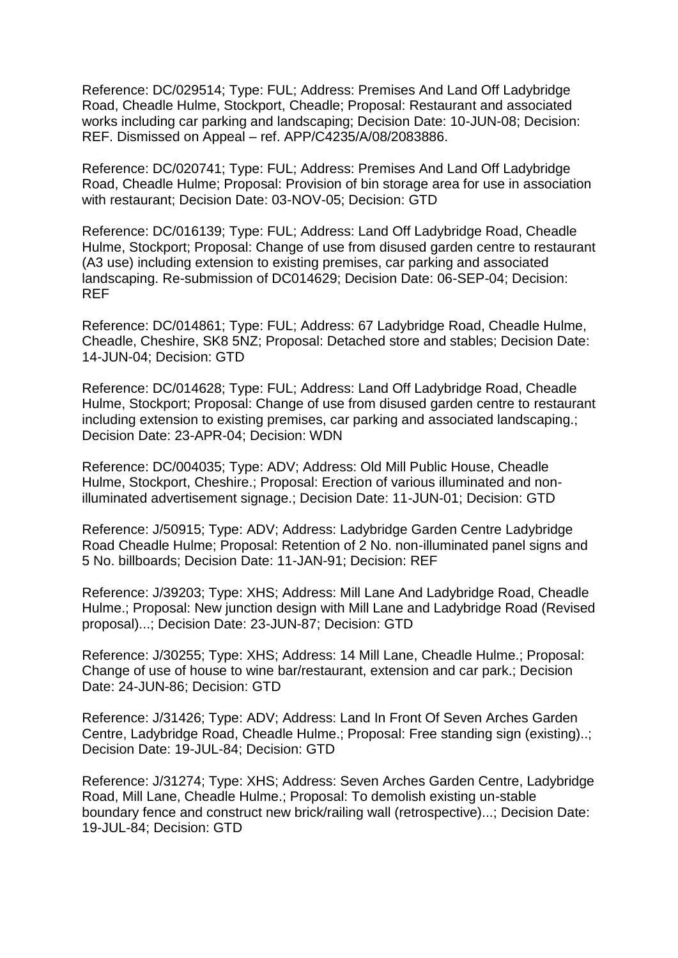Reference: DC/029514; Type: FUL; Address: Premises And Land Off Ladybridge Road, Cheadle Hulme, Stockport, Cheadle; Proposal: Restaurant and associated works including car parking and landscaping; Decision Date: 10-JUN-08; Decision: REF. Dismissed on Appeal – ref. APP/C4235/A/08/2083886.

Reference: DC/020741; Type: FUL; Address: Premises And Land Off Ladybridge Road, Cheadle Hulme; Proposal: Provision of bin storage area for use in association with restaurant; Decision Date: 03-NOV-05; Decision: GTD

Reference: DC/016139; Type: FUL; Address: Land Off Ladybridge Road, Cheadle Hulme, Stockport; Proposal: Change of use from disused garden centre to restaurant (A3 use) including extension to existing premises, car parking and associated landscaping. Re-submission of DC014629; Decision Date: 06-SEP-04; Decision: REF

Reference: DC/014861; Type: FUL; Address: 67 Ladybridge Road, Cheadle Hulme, Cheadle, Cheshire, SK8 5NZ; Proposal: Detached store and stables; Decision Date: 14-JUN-04; Decision: GTD

Reference: DC/014628; Type: FUL; Address: Land Off Ladybridge Road, Cheadle Hulme, Stockport; Proposal: Change of use from disused garden centre to restaurant including extension to existing premises, car parking and associated landscaping.; Decision Date: 23-APR-04; Decision: WDN

Reference: DC/004035; Type: ADV; Address: Old Mill Public House, Cheadle Hulme, Stockport, Cheshire.; Proposal: Erection of various illuminated and nonilluminated advertisement signage.; Decision Date: 11-JUN-01; Decision: GTD

Reference: J/50915; Type: ADV; Address: Ladybridge Garden Centre Ladybridge Road Cheadle Hulme; Proposal: Retention of 2 No. non-illuminated panel signs and 5 No. billboards; Decision Date: 11-JAN-91; Decision: REF

Reference: J/39203; Type: XHS; Address: Mill Lane And Ladybridge Road, Cheadle Hulme.; Proposal: New junction design with Mill Lane and Ladybridge Road (Revised proposal)...; Decision Date: 23-JUN-87; Decision: GTD

Reference: J/30255; Type: XHS; Address: 14 Mill Lane, Cheadle Hulme.; Proposal: Change of use of house to wine bar/restaurant, extension and car park.; Decision Date: 24-JUN-86; Decision: GTD

Reference: J/31426; Type: ADV; Address: Land In Front Of Seven Arches Garden Centre, Ladybridge Road, Cheadle Hulme.; Proposal: Free standing sign (existing)..; Decision Date: 19-JUL-84; Decision: GTD

Reference: J/31274; Type: XHS; Address: Seven Arches Garden Centre, Ladybridge Road, Mill Lane, Cheadle Hulme.; Proposal: To demolish existing un-stable boundary fence and construct new brick/railing wall (retrospective)...; Decision Date: 19-JUL-84; Decision: GTD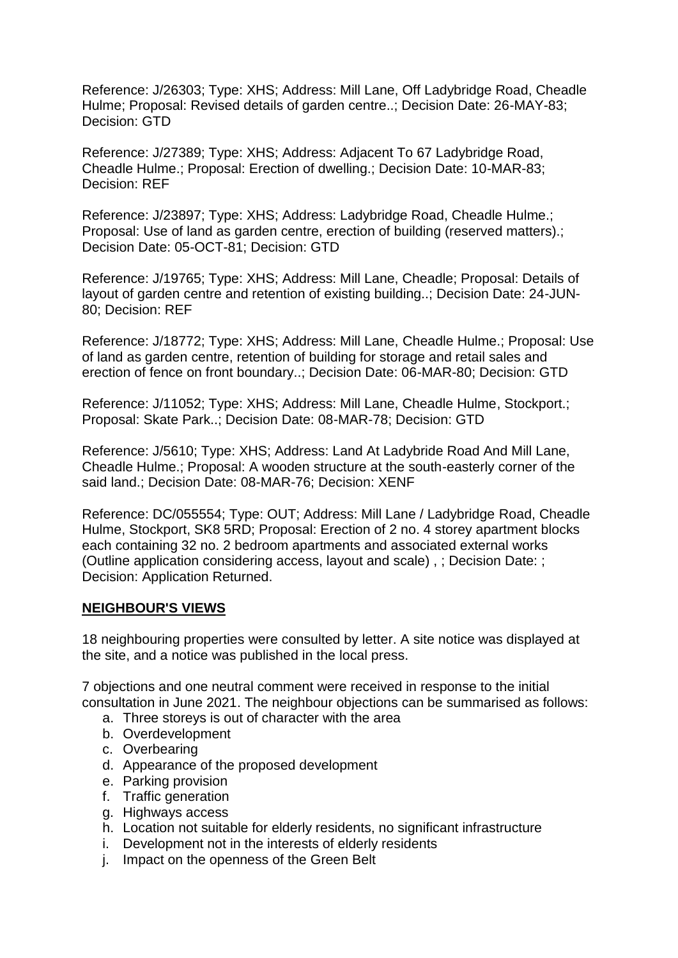Reference: J/26303; Type: XHS; Address: Mill Lane, Off Ladybridge Road, Cheadle Hulme; Proposal: Revised details of garden centre..; Decision Date: 26-MAY-83; Decision: GTD

Reference: J/27389; Type: XHS; Address: Adjacent To 67 Ladybridge Road, Cheadle Hulme.; Proposal: Erection of dwelling.; Decision Date: 10-MAR-83; Decision: REF

Reference: J/23897; Type: XHS; Address: Ladybridge Road, Cheadle Hulme.; Proposal: Use of land as garden centre, erection of building (reserved matters).: Decision Date: 05-OCT-81; Decision: GTD

Reference: J/19765; Type: XHS; Address: Mill Lane, Cheadle; Proposal: Details of layout of garden centre and retention of existing building..; Decision Date: 24-JUN-80; Decision: REF

Reference: J/18772; Type: XHS; Address: Mill Lane, Cheadle Hulme.; Proposal: Use of land as garden centre, retention of building for storage and retail sales and erection of fence on front boundary..; Decision Date: 06-MAR-80; Decision: GTD

Reference: J/11052; Type: XHS; Address: Mill Lane, Cheadle Hulme, Stockport.; Proposal: Skate Park..; Decision Date: 08-MAR-78; Decision: GTD

Reference: J/5610; Type: XHS; Address: Land At Ladybride Road And Mill Lane, Cheadle Hulme.; Proposal: A wooden structure at the south-easterly corner of the said land.; Decision Date: 08-MAR-76; Decision: XENF

Reference: DC/055554; Type: OUT; Address: Mill Lane / Ladybridge Road, Cheadle Hulme, Stockport, SK8 5RD; Proposal: Erection of 2 no. 4 storey apartment blocks each containing 32 no. 2 bedroom apartments and associated external works (Outline application considering access, layout and scale) , ; Decision Date: ; Decision: Application Returned.

## **NEIGHBOUR'S VIEWS**

18 neighbouring properties were consulted by letter. A site notice was displayed at the site, and a notice was published in the local press.

7 objections and one neutral comment were received in response to the initial consultation in June 2021. The neighbour objections can be summarised as follows:

- a. Three storeys is out of character with the area
- b. Overdevelopment
- c. Overbearing
- d. Appearance of the proposed development
- e. Parking provision
- f. Traffic generation
- g. Highways access
- h. Location not suitable for elderly residents, no significant infrastructure
- i. Development not in the interests of elderly residents
- j. Impact on the openness of the Green Belt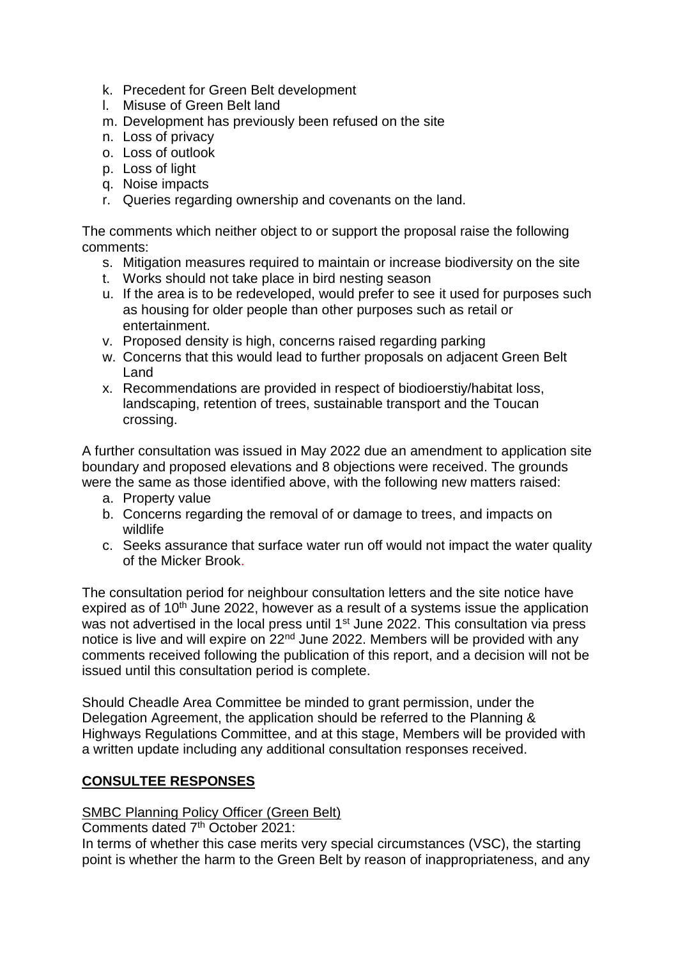- k. Precedent for Green Belt development
- l. Misuse of Green Belt land
- m. Development has previously been refused on the site
- n. Loss of privacy
- o. Loss of outlook
- p. Loss of light
- q. Noise impacts
- r. Queries regarding ownership and covenants on the land.

The comments which neither object to or support the proposal raise the following comments:

- s. Mitigation measures required to maintain or increase biodiversity on the site
- t. Works should not take place in bird nesting season
- u. If the area is to be redeveloped, would prefer to see it used for purposes such as housing for older people than other purposes such as retail or entertainment.
- v. Proposed density is high, concerns raised regarding parking
- w. Concerns that this would lead to further proposals on adjacent Green Belt Land
- x. Recommendations are provided in respect of biodioerstiy/habitat loss, landscaping, retention of trees, sustainable transport and the Toucan crossing.

A further consultation was issued in May 2022 due an amendment to application site boundary and proposed elevations and 8 objections were received. The grounds were the same as those identified above, with the following new matters raised:

- a. Property value
- b. Concerns regarding the removal of or damage to trees, and impacts on wildlife
- c. Seeks assurance that surface water run off would not impact the water quality of the Micker Brook.

The consultation period for neighbour consultation letters and the site notice have expired as of 10<sup>th</sup> June 2022, however as a result of a systems issue the application was not advertised in the local press until 1<sup>st</sup> June 2022. This consultation via press notice is live and will expire on 22nd June 2022. Members will be provided with any comments received following the publication of this report, and a decision will not be issued until this consultation period is complete.

Should Cheadle Area Committee be minded to grant permission, under the Delegation Agreement, the application should be referred to the Planning & Highways Regulations Committee, and at this stage, Members will be provided with a written update including any additional consultation responses received.

# **CONSULTEE RESPONSES**

## SMBC Planning Policy Officer (Green Belt)

Comments dated 7th October 2021:

In terms of whether this case merits very special circumstances (VSC), the starting point is whether the harm to the Green Belt by reason of inappropriateness, and any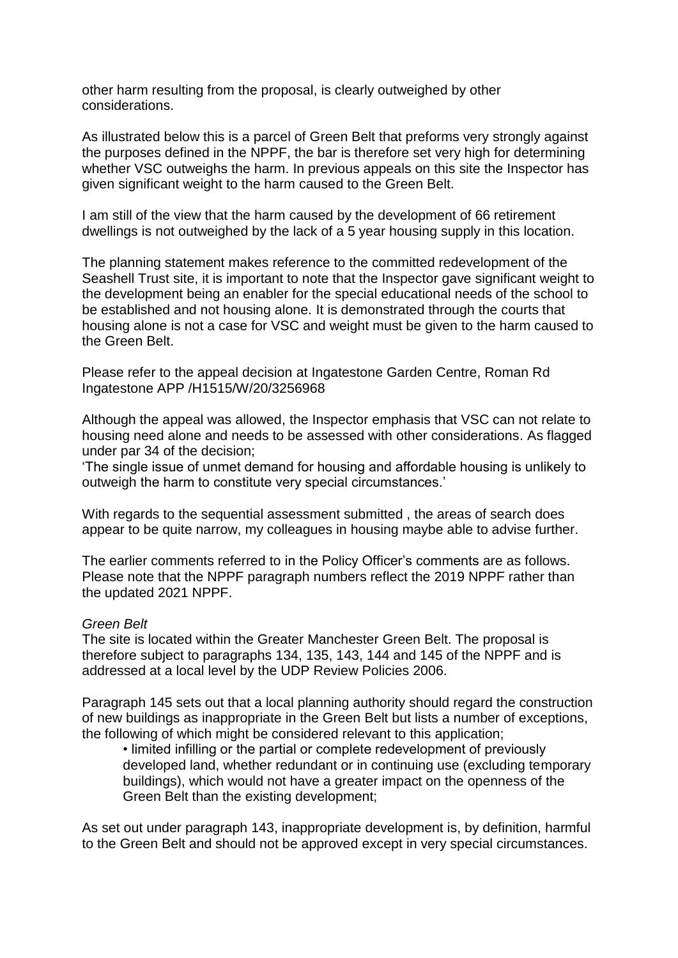other harm resulting from the proposal, is clearly outweighed by other considerations.

As illustrated below this is a parcel of Green Belt that preforms very strongly against the purposes defined in the NPPF, the bar is therefore set very high for determining whether VSC outweighs the harm. In previous appeals on this site the Inspector has given significant weight to the harm caused to the Green Belt.

I am still of the view that the harm caused by the development of 66 retirement dwellings is not outweighed by the lack of a 5 year housing supply in this location.

The planning statement makes reference to the committed redevelopment of the Seashell Trust site, it is important to note that the Inspector gave significant weight to the development being an enabler for the special educational needs of the school to be established and not housing alone. It is demonstrated through the courts that housing alone is not a case for VSC and weight must be given to the harm caused to the Green Belt.

Please refer to the appeal decision at Ingatestone Garden Centre, Roman Rd Ingatestone APP /H1515/W/20/3256968

Although the appeal was allowed, the Inspector emphasis that VSC can not relate to housing need alone and needs to be assessed with other considerations. As flagged under par 34 of the decision;

'The single issue of unmet demand for housing and affordable housing is unlikely to outweigh the harm to constitute very special circumstances.'

With regards to the sequential assessment submitted , the areas of search does appear to be quite narrow, my colleagues in housing maybe able to advise further.

The earlier comments referred to in the Policy Officer's comments are as follows. Please note that the NPPF paragraph numbers reflect the 2019 NPPF rather than the updated 2021 NPPF.

#### *Green Belt*

The site is located within the Greater Manchester Green Belt. The proposal is therefore subject to paragraphs 134, 135, 143, 144 and 145 of the NPPF and is addressed at a local level by the UDP Review Policies 2006.

Paragraph 145 sets out that a local planning authority should regard the construction of new buildings as inappropriate in the Green Belt but lists a number of exceptions, the following of which might be considered relevant to this application;

• limited infilling or the partial or complete redevelopment of previously developed land, whether redundant or in continuing use (excluding temporary buildings), which would not have a greater impact on the openness of the Green Belt than the existing development;

As set out under paragraph 143, inappropriate development is, by definition, harmful to the Green Belt and should not be approved except in very special circumstances.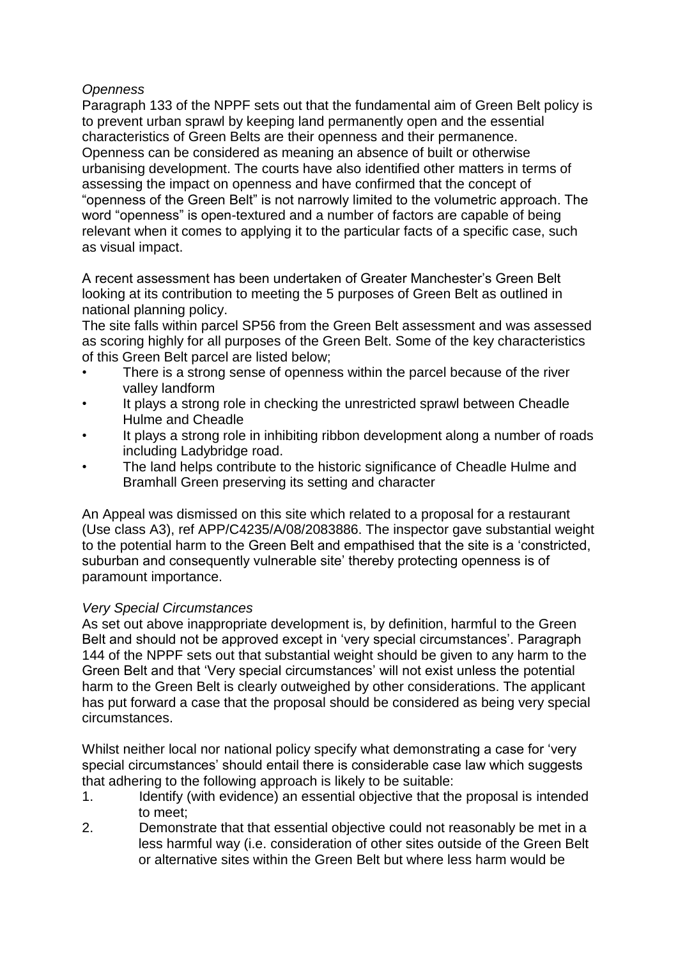## *Openness*

Paragraph 133 of the NPPF sets out that the fundamental aim of Green Belt policy is to prevent urban sprawl by keeping land permanently open and the essential characteristics of Green Belts are their openness and their permanence. Openness can be considered as meaning an absence of built or otherwise urbanising development. The courts have also identified other matters in terms of assessing the impact on openness and have confirmed that the concept of "openness of the Green Belt" is not narrowly limited to the volumetric approach. The word "openness" is open-textured and a number of factors are capable of being relevant when it comes to applying it to the particular facts of a specific case, such as visual impact.

A recent assessment has been undertaken of Greater Manchester's Green Belt looking at its contribution to meeting the 5 purposes of Green Belt as outlined in national planning policy.

The site falls within parcel SP56 from the Green Belt assessment and was assessed as scoring highly for all purposes of the Green Belt. Some of the key characteristics of this Green Belt parcel are listed below;

- There is a strong sense of openness within the parcel because of the river valley landform
- It plays a strong role in checking the unrestricted sprawl between Cheadle Hulme and Cheadle
- It plays a strong role in inhibiting ribbon development along a number of roads including Ladybridge road.
- The land helps contribute to the historic significance of Cheadle Hulme and Bramhall Green preserving its setting and character

An Appeal was dismissed on this site which related to a proposal for a restaurant (Use class A3), ref APP/C4235/A/08/2083886. The inspector gave substantial weight to the potential harm to the Green Belt and empathised that the site is a 'constricted, suburban and consequently vulnerable site' thereby protecting openness is of paramount importance.

## *Very Special Circumstances*

As set out above inappropriate development is, by definition, harmful to the Green Belt and should not be approved except in 'very special circumstances'. Paragraph 144 of the NPPF sets out that substantial weight should be given to any harm to the Green Belt and that 'Very special circumstances' will not exist unless the potential harm to the Green Belt is clearly outweighed by other considerations. The applicant has put forward a case that the proposal should be considered as being very special circumstances.

Whilst neither local nor national policy specify what demonstrating a case for 'very special circumstances' should entail there is considerable case law which suggests that adhering to the following approach is likely to be suitable:

- 1. Identify (with evidence) an essential objective that the proposal is intended to meet;
- 2. Demonstrate that that essential objective could not reasonably be met in a less harmful way (i.e. consideration of other sites outside of the Green Belt or alternative sites within the Green Belt but where less harm would be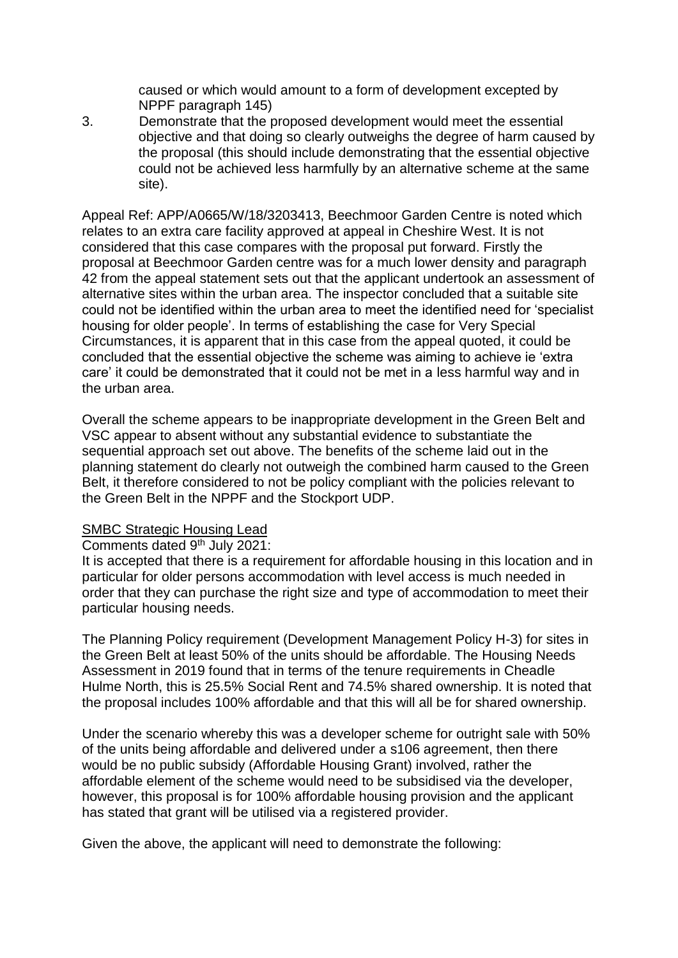caused or which would amount to a form of development excepted by NPPF paragraph 145)

3. Demonstrate that the proposed development would meet the essential objective and that doing so clearly outweighs the degree of harm caused by the proposal (this should include demonstrating that the essential objective could not be achieved less harmfully by an alternative scheme at the same site).

Appeal Ref: APP/A0665/W/18/3203413, Beechmoor Garden Centre is noted which relates to an extra care facility approved at appeal in Cheshire West. It is not considered that this case compares with the proposal put forward. Firstly the proposal at Beechmoor Garden centre was for a much lower density and paragraph 42 from the appeal statement sets out that the applicant undertook an assessment of alternative sites within the urban area. The inspector concluded that a suitable site could not be identified within the urban area to meet the identified need for 'specialist housing for older people'. In terms of establishing the case for Very Special Circumstances, it is apparent that in this case from the appeal quoted, it could be concluded that the essential objective the scheme was aiming to achieve ie 'extra care' it could be demonstrated that it could not be met in a less harmful way and in the urban area.

Overall the scheme appears to be inappropriate development in the Green Belt and VSC appear to absent without any substantial evidence to substantiate the sequential approach set out above. The benefits of the scheme laid out in the planning statement do clearly not outweigh the combined harm caused to the Green Belt, it therefore considered to not be policy compliant with the policies relevant to the Green Belt in the NPPF and the Stockport UDP.

## SMBC Strategic Housing Lead

Comments dated 9th July 2021:

It is accepted that there is a requirement for affordable housing in this location and in particular for older persons accommodation with level access is much needed in order that they can purchase the right size and type of accommodation to meet their particular housing needs.

The Planning Policy requirement (Development Management Policy H-3) for sites in the Green Belt at least 50% of the units should be affordable. The Housing Needs Assessment in 2019 found that in terms of the tenure requirements in Cheadle Hulme North, this is 25.5% Social Rent and 74.5% shared ownership. It is noted that the proposal includes 100% affordable and that this will all be for shared ownership.

Under the scenario whereby this was a developer scheme for outright sale with 50% of the units being affordable and delivered under a s106 agreement, then there would be no public subsidy (Affordable Housing Grant) involved, rather the affordable element of the scheme would need to be subsidised via the developer, however, this proposal is for 100% affordable housing provision and the applicant has stated that grant will be utilised via a registered provider.

Given the above, the applicant will need to demonstrate the following: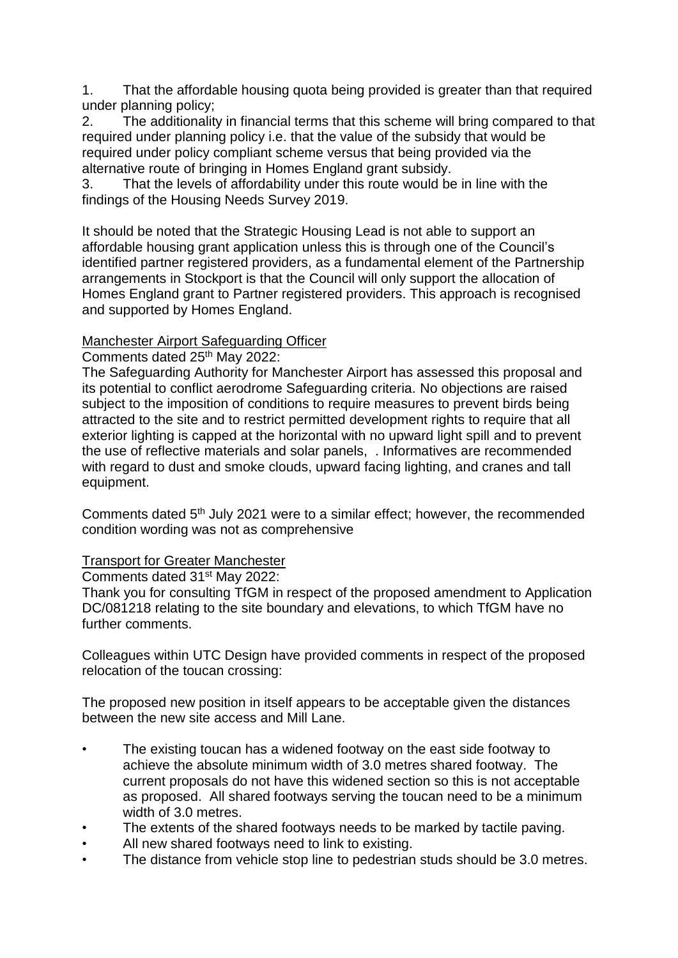1. That the affordable housing quota being provided is greater than that required under planning policy;

2. The additionality in financial terms that this scheme will bring compared to that required under planning policy i.e. that the value of the subsidy that would be required under policy compliant scheme versus that being provided via the alternative route of bringing in Homes England grant subsidy.

3. That the levels of affordability under this route would be in line with the findings of the Housing Needs Survey 2019.

It should be noted that the Strategic Housing Lead is not able to support an affordable housing grant application unless this is through one of the Council's identified partner registered providers, as a fundamental element of the Partnership arrangements in Stockport is that the Council will only support the allocation of Homes England grant to Partner registered providers. This approach is recognised and supported by Homes England.

## Manchester Airport Safeguarding Officer

Comments dated 25th May 2022:

The Safeguarding Authority for Manchester Airport has assessed this proposal and its potential to conflict aerodrome Safeguarding criteria. No objections are raised subject to the imposition of conditions to require measures to prevent birds being attracted to the site and to restrict permitted development rights to require that all exterior lighting is capped at the horizontal with no upward light spill and to prevent the use of reflective materials and solar panels, . Informatives are recommended with regard to dust and smoke clouds, upward facing lighting, and cranes and tall equipment.

Comments dated 5th July 2021 were to a similar effect; however, the recommended condition wording was not as comprehensive

## Transport for Greater Manchester

Comments dated 31st May 2022:

Thank you for consulting TfGM in respect of the proposed amendment to Application DC/081218 relating to the site boundary and elevations, to which TfGM have no further comments.

Colleagues within UTC Design have provided comments in respect of the proposed relocation of the toucan crossing:

The proposed new position in itself appears to be acceptable given the distances between the new site access and Mill Lane.

- The existing toucan has a widened footway on the east side footway to achieve the absolute minimum width of 3.0 metres shared footway. The current proposals do not have this widened section so this is not acceptable as proposed. All shared footways serving the toucan need to be a minimum width of 3.0 metres.
- The extents of the shared footways needs to be marked by tactile paving.
- All new shared footways need to link to existing.
- The distance from vehicle stop line to pedestrian studs should be 3.0 metres.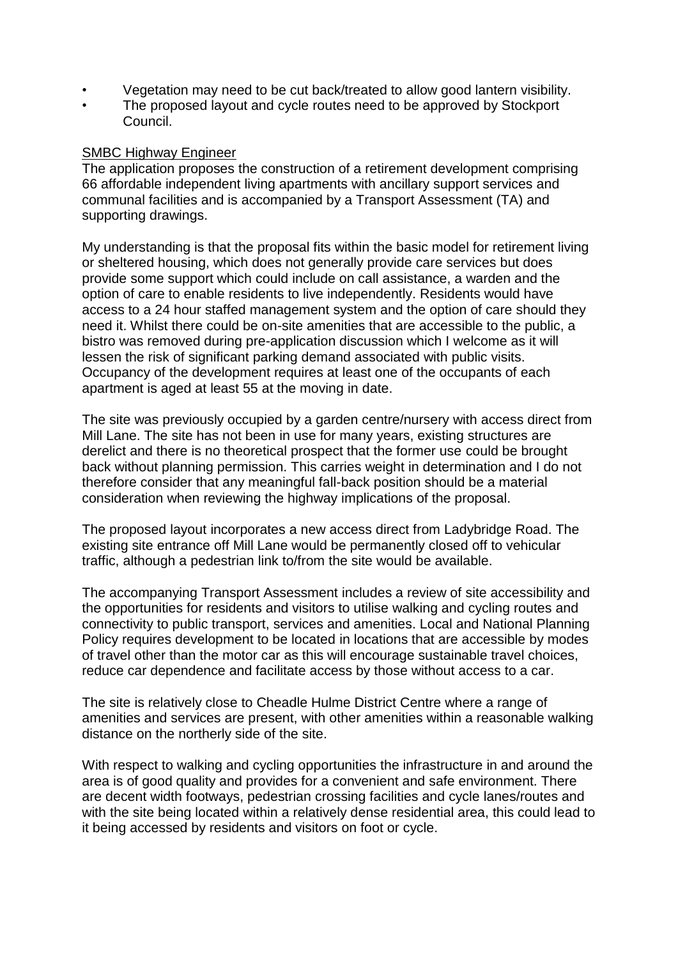- Vegetation may need to be cut back/treated to allow good lantern visibility.
- The proposed layout and cycle routes need to be approved by Stockport Council.

### SMBC Highway Engineer

The application proposes the construction of a retirement development comprising 66 affordable independent living apartments with ancillary support services and communal facilities and is accompanied by a Transport Assessment (TA) and supporting drawings.

My understanding is that the proposal fits within the basic model for retirement living or sheltered housing, which does not generally provide care services but does provide some support which could include on call assistance, a warden and the option of care to enable residents to live independently. Residents would have access to a 24 hour staffed management system and the option of care should they need it. Whilst there could be on-site amenities that are accessible to the public, a bistro was removed during pre-application discussion which I welcome as it will lessen the risk of significant parking demand associated with public visits. Occupancy of the development requires at least one of the occupants of each apartment is aged at least 55 at the moving in date.

The site was previously occupied by a garden centre/nursery with access direct from Mill Lane. The site has not been in use for many years, existing structures are derelict and there is no theoretical prospect that the former use could be brought back without planning permission. This carries weight in determination and I do not therefore consider that any meaningful fall-back position should be a material consideration when reviewing the highway implications of the proposal.

The proposed layout incorporates a new access direct from Ladybridge Road. The existing site entrance off Mill Lane would be permanently closed off to vehicular traffic, although a pedestrian link to/from the site would be available.

The accompanying Transport Assessment includes a review of site accessibility and the opportunities for residents and visitors to utilise walking and cycling routes and connectivity to public transport, services and amenities. Local and National Planning Policy requires development to be located in locations that are accessible by modes of travel other than the motor car as this will encourage sustainable travel choices, reduce car dependence and facilitate access by those without access to a car.

The site is relatively close to Cheadle Hulme District Centre where a range of amenities and services are present, with other amenities within a reasonable walking distance on the northerly side of the site.

With respect to walking and cycling opportunities the infrastructure in and around the area is of good quality and provides for a convenient and safe environment. There are decent width footways, pedestrian crossing facilities and cycle lanes/routes and with the site being located within a relatively dense residential area, this could lead to it being accessed by residents and visitors on foot or cycle.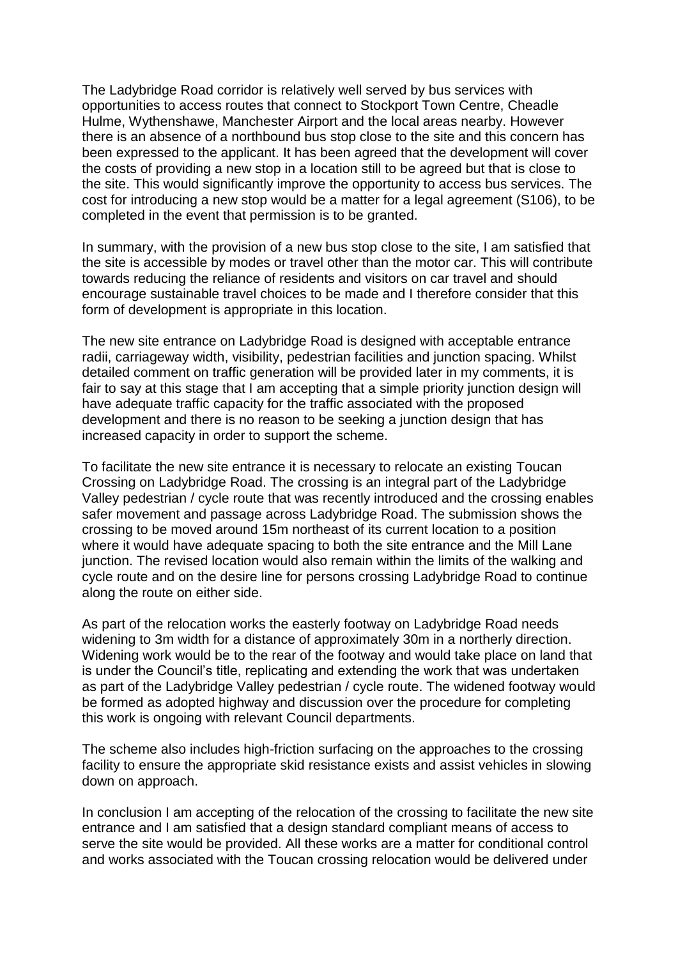The Ladybridge Road corridor is relatively well served by bus services with opportunities to access routes that connect to Stockport Town Centre, Cheadle Hulme, Wythenshawe, Manchester Airport and the local areas nearby. However there is an absence of a northbound bus stop close to the site and this concern has been expressed to the applicant. It has been agreed that the development will cover the costs of providing a new stop in a location still to be agreed but that is close to the site. This would significantly improve the opportunity to access bus services. The cost for introducing a new stop would be a matter for a legal agreement (S106), to be completed in the event that permission is to be granted.

In summary, with the provision of a new bus stop close to the site, I am satisfied that the site is accessible by modes or travel other than the motor car. This will contribute towards reducing the reliance of residents and visitors on car travel and should encourage sustainable travel choices to be made and I therefore consider that this form of development is appropriate in this location.

The new site entrance on Ladybridge Road is designed with acceptable entrance radii, carriageway width, visibility, pedestrian facilities and junction spacing. Whilst detailed comment on traffic generation will be provided later in my comments, it is fair to say at this stage that I am accepting that a simple priority junction design will have adequate traffic capacity for the traffic associated with the proposed development and there is no reason to be seeking a junction design that has increased capacity in order to support the scheme.

To facilitate the new site entrance it is necessary to relocate an existing Toucan Crossing on Ladybridge Road. The crossing is an integral part of the Ladybridge Valley pedestrian / cycle route that was recently introduced and the crossing enables safer movement and passage across Ladybridge Road. The submission shows the crossing to be moved around 15m northeast of its current location to a position where it would have adequate spacing to both the site entrance and the Mill Lane junction. The revised location would also remain within the limits of the walking and cycle route and on the desire line for persons crossing Ladybridge Road to continue along the route on either side.

As part of the relocation works the easterly footway on Ladybridge Road needs widening to 3m width for a distance of approximately 30m in a northerly direction. Widening work would be to the rear of the footway and would take place on land that is under the Council's title, replicating and extending the work that was undertaken as part of the Ladybridge Valley pedestrian / cycle route. The widened footway would be formed as adopted highway and discussion over the procedure for completing this work is ongoing with relevant Council departments.

The scheme also includes high-friction surfacing on the approaches to the crossing facility to ensure the appropriate skid resistance exists and assist vehicles in slowing down on approach.

In conclusion I am accepting of the relocation of the crossing to facilitate the new site entrance and I am satisfied that a design standard compliant means of access to serve the site would be provided. All these works are a matter for conditional control and works associated with the Toucan crossing relocation would be delivered under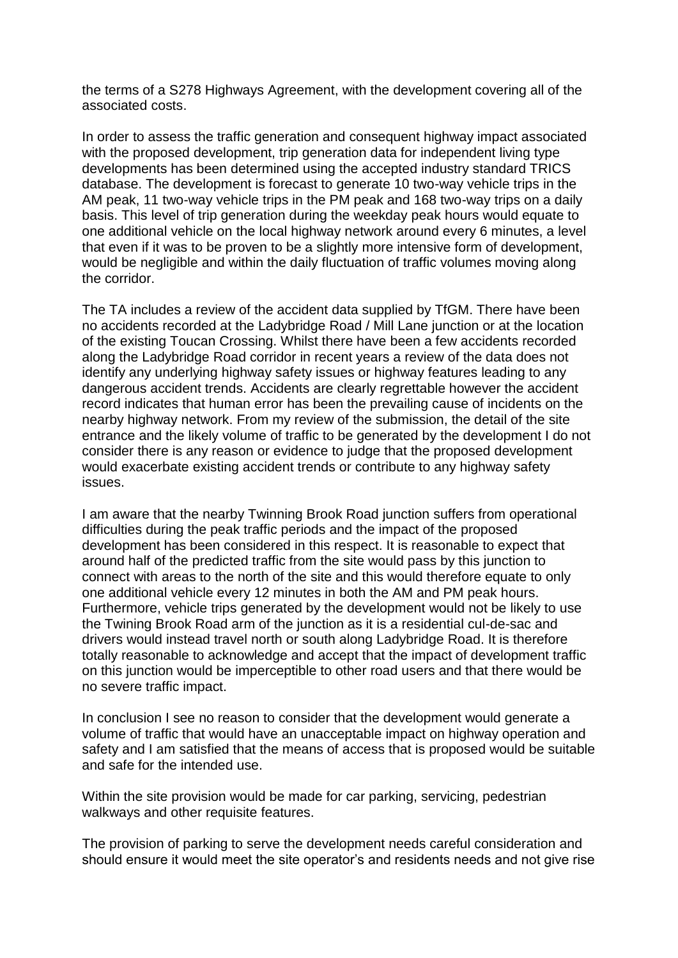the terms of a S278 Highways Agreement, with the development covering all of the associated costs.

In order to assess the traffic generation and consequent highway impact associated with the proposed development, trip generation data for independent living type developments has been determined using the accepted industry standard TRICS database. The development is forecast to generate 10 two-way vehicle trips in the AM peak, 11 two-way vehicle trips in the PM peak and 168 two-way trips on a daily basis. This level of trip generation during the weekday peak hours would equate to one additional vehicle on the local highway network around every 6 minutes, a level that even if it was to be proven to be a slightly more intensive form of development, would be negligible and within the daily fluctuation of traffic volumes moving along the corridor.

The TA includes a review of the accident data supplied by TfGM. There have been no accidents recorded at the Ladybridge Road / Mill Lane junction or at the location of the existing Toucan Crossing. Whilst there have been a few accidents recorded along the Ladybridge Road corridor in recent years a review of the data does not identify any underlying highway safety issues or highway features leading to any dangerous accident trends. Accidents are clearly regrettable however the accident record indicates that human error has been the prevailing cause of incidents on the nearby highway network. From my review of the submission, the detail of the site entrance and the likely volume of traffic to be generated by the development I do not consider there is any reason or evidence to judge that the proposed development would exacerbate existing accident trends or contribute to any highway safety issues.

I am aware that the nearby Twinning Brook Road junction suffers from operational difficulties during the peak traffic periods and the impact of the proposed development has been considered in this respect. It is reasonable to expect that around half of the predicted traffic from the site would pass by this junction to connect with areas to the north of the site and this would therefore equate to only one additional vehicle every 12 minutes in both the AM and PM peak hours. Furthermore, vehicle trips generated by the development would not be likely to use the Twining Brook Road arm of the junction as it is a residential cul-de-sac and drivers would instead travel north or south along Ladybridge Road. It is therefore totally reasonable to acknowledge and accept that the impact of development traffic on this junction would be imperceptible to other road users and that there would be no severe traffic impact.

In conclusion I see no reason to consider that the development would generate a volume of traffic that would have an unacceptable impact on highway operation and safety and I am satisfied that the means of access that is proposed would be suitable and safe for the intended use.

Within the site provision would be made for car parking, servicing, pedestrian walkways and other requisite features.

The provision of parking to serve the development needs careful consideration and should ensure it would meet the site operator's and residents needs and not give rise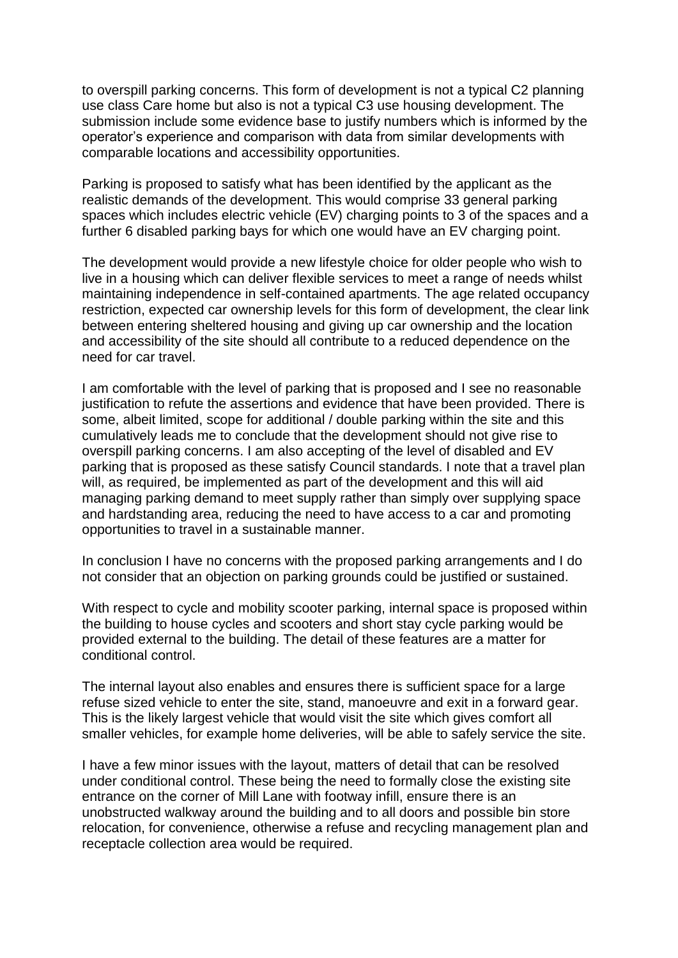to overspill parking concerns. This form of development is not a typical C2 planning use class Care home but also is not a typical C3 use housing development. The submission include some evidence base to justify numbers which is informed by the operator's experience and comparison with data from similar developments with comparable locations and accessibility opportunities.

Parking is proposed to satisfy what has been identified by the applicant as the realistic demands of the development. This would comprise 33 general parking spaces which includes electric vehicle (EV) charging points to 3 of the spaces and a further 6 disabled parking bays for which one would have an EV charging point.

The development would provide a new lifestyle choice for older people who wish to live in a housing which can deliver flexible services to meet a range of needs whilst maintaining independence in self-contained apartments. The age related occupancy restriction, expected car ownership levels for this form of development, the clear link between entering sheltered housing and giving up car ownership and the location and accessibility of the site should all contribute to a reduced dependence on the need for car travel.

I am comfortable with the level of parking that is proposed and I see no reasonable justification to refute the assertions and evidence that have been provided. There is some, albeit limited, scope for additional / double parking within the site and this cumulatively leads me to conclude that the development should not give rise to overspill parking concerns. I am also accepting of the level of disabled and EV parking that is proposed as these satisfy Council standards. I note that a travel plan will, as required, be implemented as part of the development and this will aid managing parking demand to meet supply rather than simply over supplying space and hardstanding area, reducing the need to have access to a car and promoting opportunities to travel in a sustainable manner.

In conclusion I have no concerns with the proposed parking arrangements and I do not consider that an objection on parking grounds could be justified or sustained.

With respect to cycle and mobility scooter parking, internal space is proposed within the building to house cycles and scooters and short stay cycle parking would be provided external to the building. The detail of these features are a matter for conditional control.

The internal layout also enables and ensures there is sufficient space for a large refuse sized vehicle to enter the site, stand, manoeuvre and exit in a forward gear. This is the likely largest vehicle that would visit the site which gives comfort all smaller vehicles, for example home deliveries, will be able to safely service the site.

I have a few minor issues with the layout, matters of detail that can be resolved under conditional control. These being the need to formally close the existing site entrance on the corner of Mill Lane with footway infill, ensure there is an unobstructed walkway around the building and to all doors and possible bin store relocation, for convenience, otherwise a refuse and recycling management plan and receptacle collection area would be required.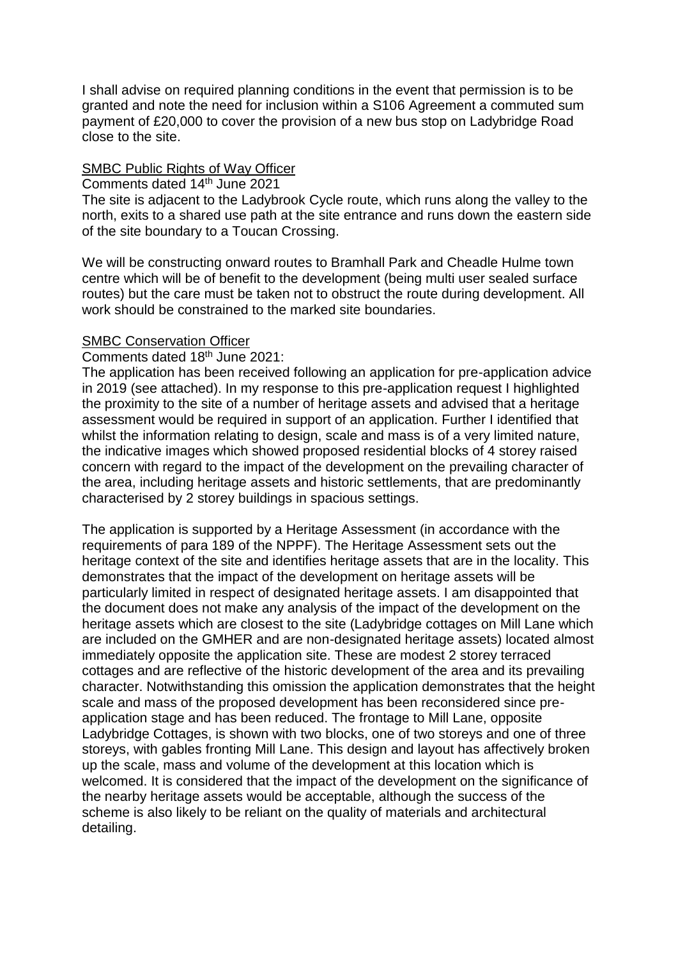I shall advise on required planning conditions in the event that permission is to be granted and note the need for inclusion within a S106 Agreement a commuted sum payment of £20,000 to cover the provision of a new bus stop on Ladybridge Road close to the site.

## SMBC Public Rights of Way Officer

#### Comments dated 14th June 2021

The site is adjacent to the Ladybrook Cycle route, which runs along the valley to the north, exits to a shared use path at the site entrance and runs down the eastern side of the site boundary to a Toucan Crossing.

We will be constructing onward routes to Bramhall Park and Cheadle Hulme town centre which will be of benefit to the development (being multi user sealed surface routes) but the care must be taken not to obstruct the route during development. All work should be constrained to the marked site boundaries.

#### SMBC Conservation Officer

#### Comments dated 18th June 2021:

The application has been received following an application for pre-application advice in 2019 (see attached). In my response to this pre-application request I highlighted the proximity to the site of a number of heritage assets and advised that a heritage assessment would be required in support of an application. Further I identified that whilst the information relating to design, scale and mass is of a very limited nature, the indicative images which showed proposed residential blocks of 4 storey raised concern with regard to the impact of the development on the prevailing character of the area, including heritage assets and historic settlements, that are predominantly characterised by 2 storey buildings in spacious settings.

The application is supported by a Heritage Assessment (in accordance with the requirements of para 189 of the NPPF). The Heritage Assessment sets out the heritage context of the site and identifies heritage assets that are in the locality. This demonstrates that the impact of the development on heritage assets will be particularly limited in respect of designated heritage assets. I am disappointed that the document does not make any analysis of the impact of the development on the heritage assets which are closest to the site (Ladybridge cottages on Mill Lane which are included on the GMHER and are non-designated heritage assets) located almost immediately opposite the application site. These are modest 2 storey terraced cottages and are reflective of the historic development of the area and its prevailing character. Notwithstanding this omission the application demonstrates that the height scale and mass of the proposed development has been reconsidered since preapplication stage and has been reduced. The frontage to Mill Lane, opposite Ladybridge Cottages, is shown with two blocks, one of two storeys and one of three storeys, with gables fronting Mill Lane. This design and layout has affectively broken up the scale, mass and volume of the development at this location which is welcomed. It is considered that the impact of the development on the significance of the nearby heritage assets would be acceptable, although the success of the scheme is also likely to be reliant on the quality of materials and architectural detailing.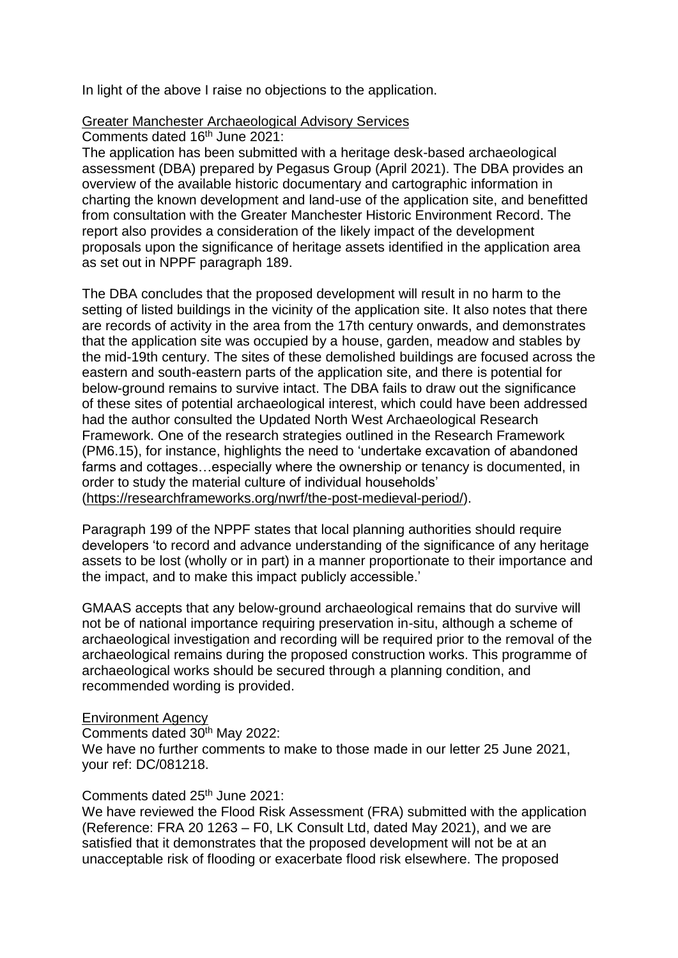In light of the above I raise no objections to the application.

#### Greater Manchester Archaeological Advisory Services

Comments dated 16th June 2021:

The application has been submitted with a heritage desk-based archaeological assessment (DBA) prepared by Pegasus Group (April 2021). The DBA provides an overview of the available historic documentary and cartographic information in charting the known development and land-use of the application site, and benefitted from consultation with the Greater Manchester Historic Environment Record. The report also provides a consideration of the likely impact of the development proposals upon the significance of heritage assets identified in the application area as set out in NPPF paragraph 189.

The DBA concludes that the proposed development will result in no harm to the setting of listed buildings in the vicinity of the application site. It also notes that there are records of activity in the area from the 17th century onwards, and demonstrates that the application site was occupied by a house, garden, meadow and stables by the mid-19th century. The sites of these demolished buildings are focused across the eastern and south-eastern parts of the application site, and there is potential for below-ground remains to survive intact. The DBA fails to draw out the significance of these sites of potential archaeological interest, which could have been addressed had the author consulted the Updated North West Archaeological Research Framework. One of the research strategies outlined in the Research Framework (PM6.15), for instance, highlights the need to 'undertake excavation of abandoned farms and cottages…especially where the ownership or tenancy is documented, in order to study the material culture of individual households' [\(https://researchframeworks.org/nwrf/the-post-medieval-period/\)](https://researchframeworks.org/nwrf/the-post-medieval-period/).

Paragraph 199 of the NPPF states that local planning authorities should require developers 'to record and advance understanding of the significance of any heritage assets to be lost (wholly or in part) in a manner proportionate to their importance and the impact, and to make this impact publicly accessible.'

GMAAS accepts that any below-ground archaeological remains that do survive will not be of national importance requiring preservation in-situ, although a scheme of archaeological investigation and recording will be required prior to the removal of the archaeological remains during the proposed construction works. This programme of archaeological works should be secured through a planning condition, and recommended wording is provided.

Environment Agency

Comments dated 30th May 2022: We have no further comments to make to those made in our letter 25 June 2021, your ref: DC/081218.

Comments dated 25th June 2021:

We have reviewed the Flood Risk Assessment (FRA) submitted with the application (Reference: FRA 20 1263 – F0, LK Consult Ltd, dated May 2021), and we are satisfied that it demonstrates that the proposed development will not be at an unacceptable risk of flooding or exacerbate flood risk elsewhere. The proposed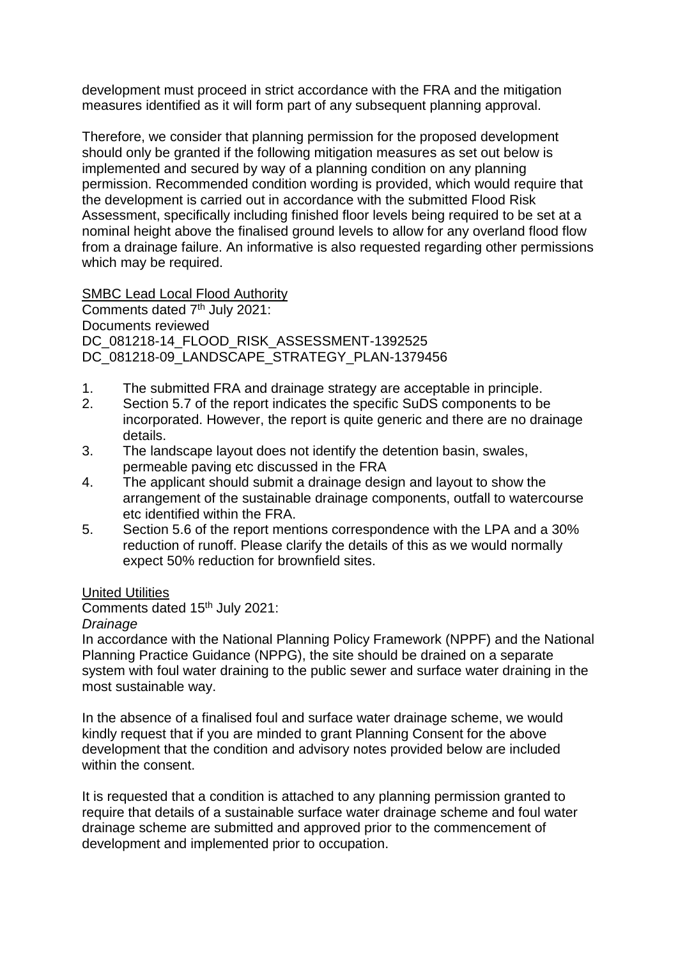development must proceed in strict accordance with the FRA and the mitigation measures identified as it will form part of any subsequent planning approval.

Therefore, we consider that planning permission for the proposed development should only be granted if the following mitigation measures as set out below is implemented and secured by way of a planning condition on any planning permission. Recommended condition wording is provided, which would require that the development is carried out in accordance with the submitted Flood Risk Assessment, specifically including finished floor levels being required to be set at a nominal height above the finalised ground levels to allow for any overland flood flow from a drainage failure. An informative is also requested regarding other permissions which may be required.

SMBC Lead Local Flood Authority

Comments dated 7<sup>th</sup> July 2021: Documents reviewed DC\_081218-14\_FLOOD\_RISK\_ASSESSMENT-1392525 DC\_081218-09\_LANDSCAPE\_STRATEGY\_PLAN-1379456

- 1. The submitted FRA and drainage strategy are acceptable in principle.
- 2. Section 5.7 of the report indicates the specific SuDS components to be incorporated. However, the report is quite generic and there are no drainage details.
- 3. The landscape layout does not identify the detention basin, swales, permeable paving etc discussed in the FRA
- 4. The applicant should submit a drainage design and layout to show the arrangement of the sustainable drainage components, outfall to watercourse etc identified within the FRA.
- 5. Section 5.6 of the report mentions correspondence with the LPA and a 30% reduction of runoff. Please clarify the details of this as we would normally expect 50% reduction for brownfield sites.

United Utilities

Comments dated 15th July 2021:

#### *Drainage*

In accordance with the National Planning Policy Framework (NPPF) and the National Planning Practice Guidance (NPPG), the site should be drained on a separate system with foul water draining to the public sewer and surface water draining in the most sustainable way.

In the absence of a finalised foul and surface water drainage scheme, we would kindly request that if you are minded to grant Planning Consent for the above development that the condition and advisory notes provided below are included within the consent.

It is requested that a condition is attached to any planning permission granted to require that details of a sustainable surface water drainage scheme and foul water drainage scheme are submitted and approved prior to the commencement of development and implemented prior to occupation.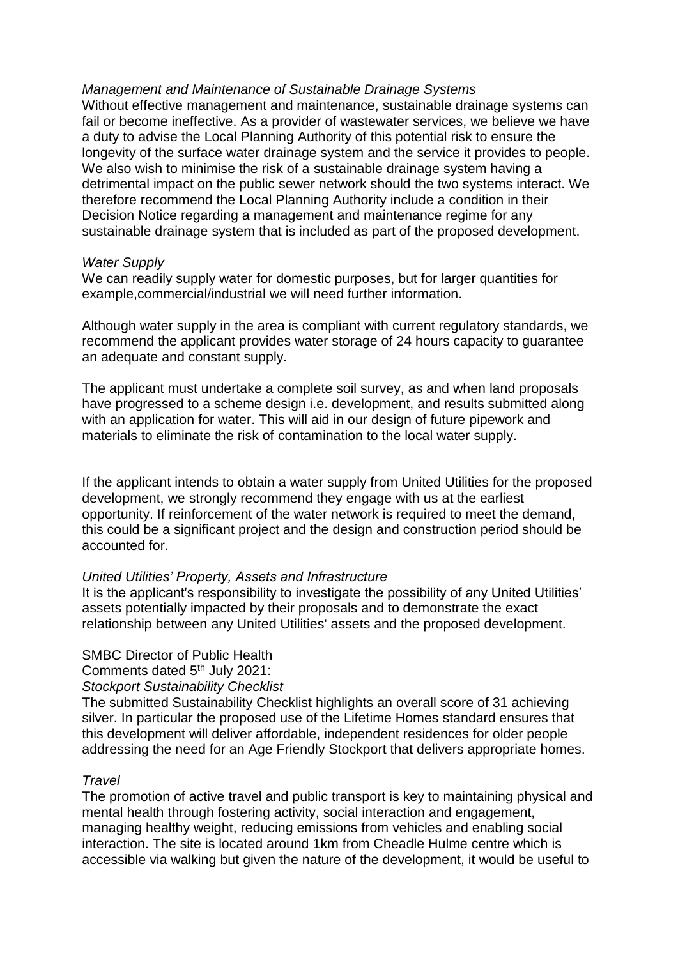#### *Management and Maintenance of Sustainable Drainage Systems*

Without effective management and maintenance, sustainable drainage systems can fail or become ineffective. As a provider of wastewater services, we believe we have a duty to advise the Local Planning Authority of this potential risk to ensure the longevity of the surface water drainage system and the service it provides to people. We also wish to minimise the risk of a sustainable drainage system having a detrimental impact on the public sewer network should the two systems interact. We therefore recommend the Local Planning Authority include a condition in their Decision Notice regarding a management and maintenance regime for any sustainable drainage system that is included as part of the proposed development.

#### *Water Supply*

We can readily supply water for domestic purposes, but for larger quantities for example,commercial/industrial we will need further information.

Although water supply in the area is compliant with current regulatory standards, we recommend the applicant provides water storage of 24 hours capacity to guarantee an adequate and constant supply.

The applicant must undertake a complete soil survey, as and when land proposals have progressed to a scheme design i.e. development, and results submitted along with an application for water. This will aid in our design of future pipework and materials to eliminate the risk of contamination to the local water supply.

If the applicant intends to obtain a water supply from United Utilities for the proposed development, we strongly recommend they engage with us at the earliest opportunity. If reinforcement of the water network is required to meet the demand, this could be a significant project and the design and construction period should be accounted for.

## *United Utilities' Property, Assets and Infrastructure*

It is the applicant's responsibility to investigate the possibility of any United Utilities' assets potentially impacted by their proposals and to demonstrate the exact relationship between any United Utilities' assets and the proposed development.

## SMBC Director of Public Health

Comments dated 5th July 2021:

*Stockport Sustainability Checklist*

The submitted Sustainability Checklist highlights an overall score of 31 achieving silver. In particular the proposed use of the Lifetime Homes standard ensures that this development will deliver affordable, independent residences for older people addressing the need for an Age Friendly Stockport that delivers appropriate homes.

## *Travel*

The promotion of active travel and public transport is key to maintaining physical and mental health through fostering activity, social interaction and engagement, managing healthy weight, reducing emissions from vehicles and enabling social interaction. The site is located around 1km from Cheadle Hulme centre which is accessible via walking but given the nature of the development, it would be useful to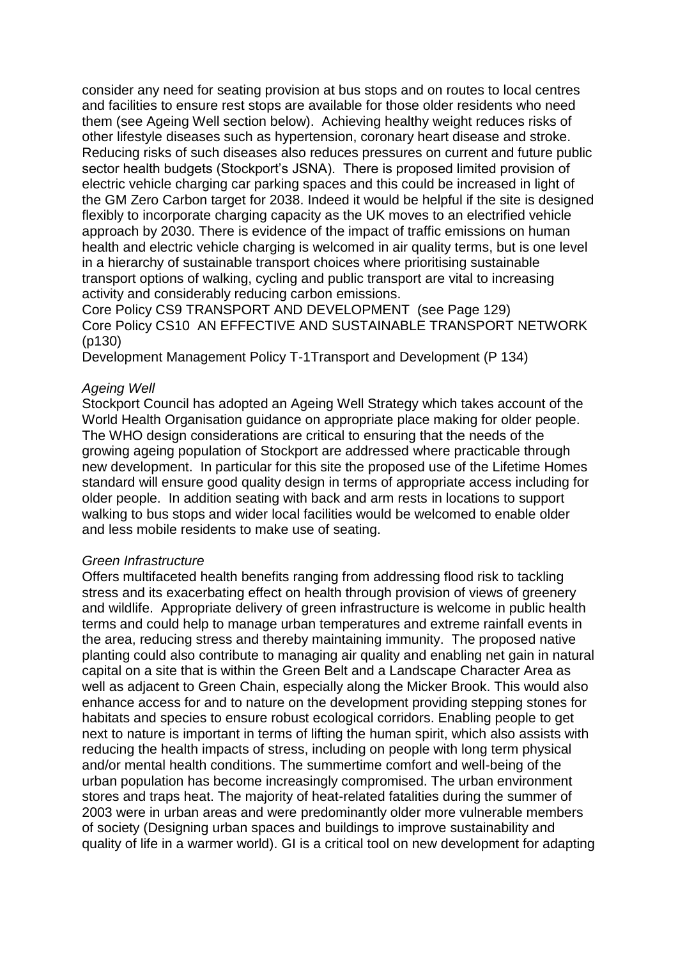consider any need for seating provision at bus stops and on routes to local centres and facilities to ensure rest stops are available for those older residents who need them (see Ageing Well section below). Achieving healthy weight reduces risks of other lifestyle diseases such as hypertension, coronary heart disease and stroke. Reducing risks of such diseases also reduces pressures on current and future public sector health budgets (Stockport's JSNA). There is proposed limited provision of electric vehicle charging car parking spaces and this could be increased in light of the GM Zero Carbon target for 2038. Indeed it would be helpful if the site is designed flexibly to incorporate charging capacity as the UK moves to an electrified vehicle approach by 2030. There is evidence of the impact of traffic emissions on human health and electric vehicle charging is welcomed in air quality terms, but is one level in a hierarchy of sustainable transport choices where prioritising sustainable transport options of walking, cycling and public transport are vital to increasing activity and considerably reducing carbon emissions.

Core Policy CS9 TRANSPORT AND DEVELOPMENT (see Page 129) Core Policy CS10 AN EFFECTIVE AND SUSTAINABLE TRANSPORT NETWORK (p130)

Development Management Policy T-1Transport and Development (P 134)

#### *Ageing Well*

Stockport Council has adopted an Ageing Well Strategy which takes account of the World Health Organisation guidance on appropriate place making for older people. The WHO design considerations are critical to ensuring that the needs of the growing ageing population of Stockport are addressed where practicable through new development. In particular for this site the proposed use of the Lifetime Homes standard will ensure good quality design in terms of appropriate access including for older people. In addition seating with back and arm rests in locations to support walking to bus stops and wider local facilities would be welcomed to enable older and less mobile residents to make use of seating.

#### *Green Infrastructure*

Offers multifaceted health benefits ranging from addressing flood risk to tackling stress and its exacerbating effect on health through provision of views of greenery and wildlife. Appropriate delivery of green infrastructure is welcome in public health terms and could help to manage urban temperatures and extreme rainfall events in the area, reducing stress and thereby maintaining immunity. The proposed native planting could also contribute to managing air quality and enabling net gain in natural capital on a site that is within the Green Belt and a Landscape Character Area as well as adjacent to Green Chain, especially along the Micker Brook. This would also enhance access for and to nature on the development providing stepping stones for habitats and species to ensure robust ecological corridors. Enabling people to get next to nature is important in terms of lifting the human spirit, which also assists with reducing the health impacts of stress, including on people with long term physical and/or mental health conditions. The summertime comfort and well-being of the urban population has become increasingly compromised. The urban environment stores and traps heat. The majority of heat-related fatalities during the summer of 2003 were in urban areas and were predominantly older more vulnerable members of society (Designing urban spaces and buildings to improve sustainability and quality of life in a warmer world). GI is a critical tool on new development for adapting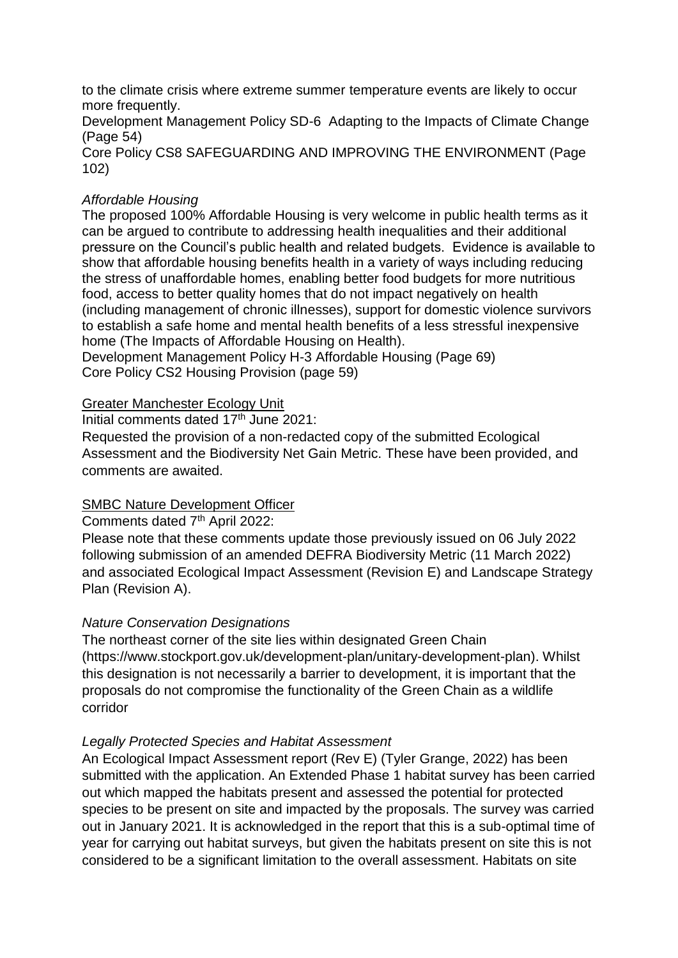to the climate crisis where extreme summer temperature events are likely to occur more frequently.

Development Management Policy SD-6 Adapting to the Impacts of Climate Change (Page 54)

Core Policy CS8 SAFEGUARDING AND IMPROVING THE ENVIRONMENT (Page 102)

## *Affordable Housing*

The proposed 100% Affordable Housing is very welcome in public health terms as it can be argued to contribute to addressing health inequalities and their additional pressure on the Council's public health and related budgets. Evidence is available to show that affordable housing benefits health in a variety of ways including reducing the stress of unaffordable homes, enabling better food budgets for more nutritious food, access to better quality homes that do not impact negatively on health (including management of chronic illnesses), support for domestic violence survivors to establish a safe home and mental health benefits of a less stressful inexpensive home (The Impacts of Affordable Housing on Health).

Development Management Policy H-3 Affordable Housing (Page 69) Core Policy CS2 Housing Provision (page 59)

## Greater Manchester Ecology Unit

Initial comments dated 17<sup>th</sup> June 2021:

Requested the provision of a non-redacted copy of the submitted Ecological Assessment and the Biodiversity Net Gain Metric. These have been provided, and comments are awaited.

## SMBC Nature Development Officer

## Comments dated 7<sup>th</sup> April 2022:

Please note that these comments update those previously issued on 06 July 2022 following submission of an amended DEFRA Biodiversity Metric (11 March 2022) and associated Ecological Impact Assessment (Revision E) and Landscape Strategy Plan (Revision A).

## *Nature Conservation Designations*

The northeast corner of the site lies within designated Green Chain (https://www.stockport.gov.uk/development-plan/unitary-development-plan). Whilst this designation is not necessarily a barrier to development, it is important that the proposals do not compromise the functionality of the Green Chain as a wildlife corridor

## *Legally Protected Species and Habitat Assessment*

An Ecological Impact Assessment report (Rev E) (Tyler Grange, 2022) has been submitted with the application. An Extended Phase 1 habitat survey has been carried out which mapped the habitats present and assessed the potential for protected species to be present on site and impacted by the proposals. The survey was carried out in January 2021. It is acknowledged in the report that this is a sub-optimal time of year for carrying out habitat surveys, but given the habitats present on site this is not considered to be a significant limitation to the overall assessment. Habitats on site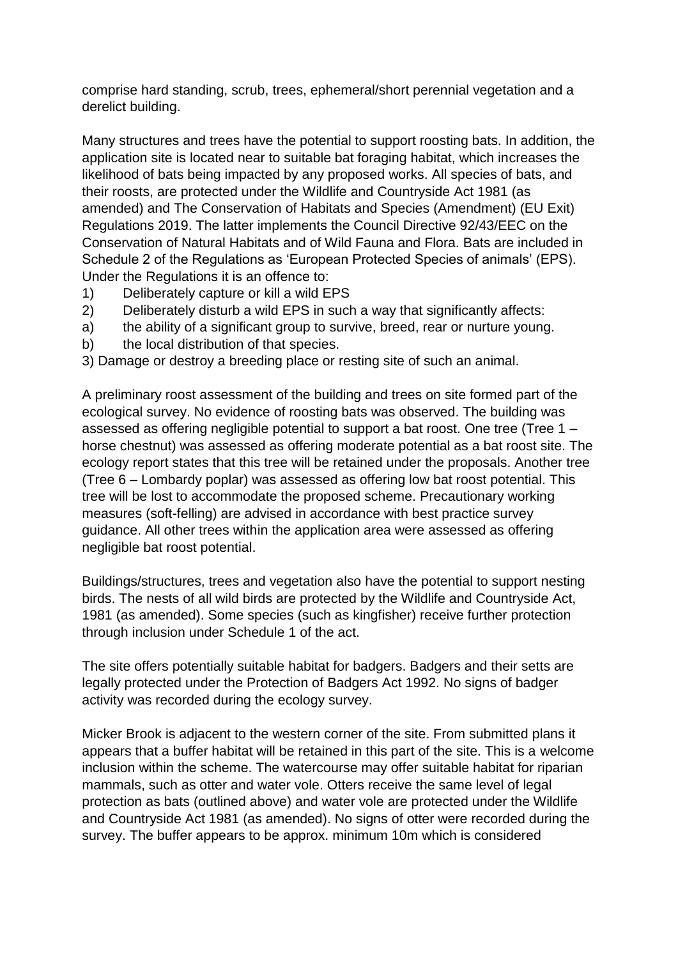comprise hard standing, scrub, trees, ephemeral/short perennial vegetation and a derelict building.

Many structures and trees have the potential to support roosting bats. In addition, the application site is located near to suitable bat foraging habitat, which increases the likelihood of bats being impacted by any proposed works. All species of bats, and their roosts, are protected under the Wildlife and Countryside Act 1981 (as amended) and The Conservation of Habitats and Species (Amendment) (EU Exit) Regulations 2019. The latter implements the Council Directive 92/43/EEC on the Conservation of Natural Habitats and of Wild Fauna and Flora. Bats are included in Schedule 2 of the Regulations as 'European Protected Species of animals' (EPS). Under the Regulations it is an offence to:

- 1) Deliberately capture or kill a wild EPS
- 2) Deliberately disturb a wild EPS in such a way that significantly affects:
- a) the ability of a significant group to survive, breed, rear or nurture young.
- b) the local distribution of that species.
- 3) Damage or destroy a breeding place or resting site of such an animal.

A preliminary roost assessment of the building and trees on site formed part of the ecological survey. No evidence of roosting bats was observed. The building was assessed as offering negligible potential to support a bat roost. One tree (Tree 1 – horse chestnut) was assessed as offering moderate potential as a bat roost site. The ecology report states that this tree will be retained under the proposals. Another tree (Tree 6 – Lombardy poplar) was assessed as offering low bat roost potential. This tree will be lost to accommodate the proposed scheme. Precautionary working measures (soft-felling) are advised in accordance with best practice survey guidance. All other trees within the application area were assessed as offering negligible bat roost potential.

Buildings/structures, trees and vegetation also have the potential to support nesting birds. The nests of all wild birds are protected by the Wildlife and Countryside Act, 1981 (as amended). Some species (such as kingfisher) receive further protection through inclusion under Schedule 1 of the act.

The site offers potentially suitable habitat for badgers. Badgers and their setts are legally protected under the Protection of Badgers Act 1992. No signs of badger activity was recorded during the ecology survey.

Micker Brook is adjacent to the western corner of the site. From submitted plans it appears that a buffer habitat will be retained in this part of the site. This is a welcome inclusion within the scheme. The watercourse may offer suitable habitat for riparian mammals, such as otter and water vole. Otters receive the same level of legal protection as bats (outlined above) and water vole are protected under the Wildlife and Countryside Act 1981 (as amended). No signs of otter were recorded during the survey. The buffer appears to be approx. minimum 10m which is considered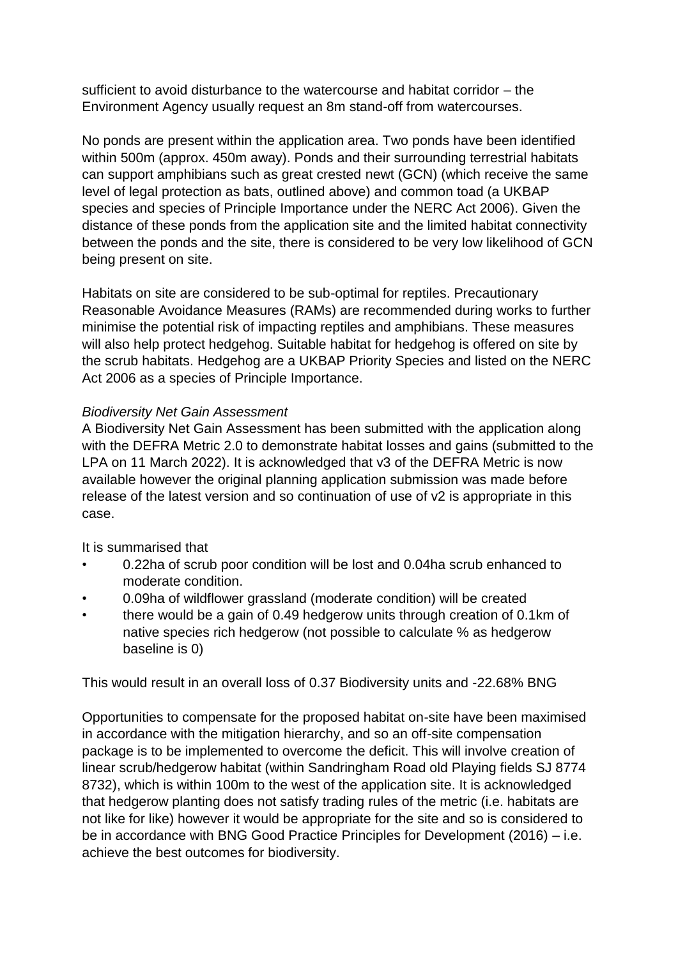sufficient to avoid disturbance to the watercourse and habitat corridor – the Environment Agency usually request an 8m stand-off from watercourses.

No ponds are present within the application area. Two ponds have been identified within 500m (approx. 450m away). Ponds and their surrounding terrestrial habitats can support amphibians such as great crested newt (GCN) (which receive the same level of legal protection as bats, outlined above) and common toad (a UKBAP species and species of Principle Importance under the NERC Act 2006). Given the distance of these ponds from the application site and the limited habitat connectivity between the ponds and the site, there is considered to be very low likelihood of GCN being present on site.

Habitats on site are considered to be sub-optimal for reptiles. Precautionary Reasonable Avoidance Measures (RAMs) are recommended during works to further minimise the potential risk of impacting reptiles and amphibians. These measures will also help protect hedgehog. Suitable habitat for hedgehog is offered on site by the scrub habitats. Hedgehog are a UKBAP Priority Species and listed on the NERC Act 2006 as a species of Principle Importance.

## *Biodiversity Net Gain Assessment*

A Biodiversity Net Gain Assessment has been submitted with the application along with the DEFRA Metric 2.0 to demonstrate habitat losses and gains (submitted to the LPA on 11 March 2022). It is acknowledged that v3 of the DEFRA Metric is now available however the original planning application submission was made before release of the latest version and so continuation of use of v2 is appropriate in this case.

It is summarised that

- 0.22ha of scrub poor condition will be lost and 0.04ha scrub enhanced to moderate condition.
- 0.09ha of wildflower grassland (moderate condition) will be created
- there would be a gain of 0.49 hedgerow units through creation of 0.1km of native species rich hedgerow (not possible to calculate % as hedgerow baseline is 0)

This would result in an overall loss of 0.37 Biodiversity units and -22.68% BNG

Opportunities to compensate for the proposed habitat on-site have been maximised in accordance with the mitigation hierarchy, and so an off-site compensation package is to be implemented to overcome the deficit. This will involve creation of linear scrub/hedgerow habitat (within Sandringham Road old Playing fields SJ 8774 8732), which is within 100m to the west of the application site. It is acknowledged that hedgerow planting does not satisfy trading rules of the metric (i.e. habitats are not like for like) however it would be appropriate for the site and so is considered to be in accordance with BNG Good Practice Principles for Development (2016) – i.e. achieve the best outcomes for biodiversity.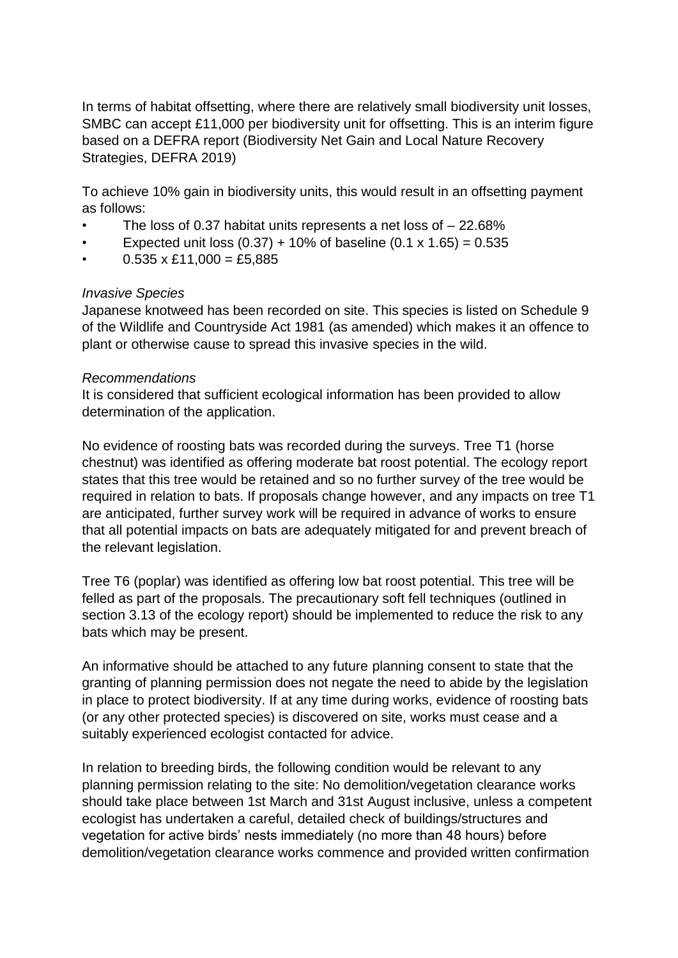In terms of habitat offsetting, where there are relatively small biodiversity unit losses, SMBC can accept £11,000 per biodiversity unit for offsetting. This is an interim figure based on a DEFRA report (Biodiversity Net Gain and Local Nature Recovery Strategies, DEFRA 2019)

To achieve 10% gain in biodiversity units, this would result in an offsetting payment as follows:

- The loss of 0.37 habitat units represents a net loss of 22.68%
- Expected unit loss  $(0.37) + 10\%$  of baseline  $(0.1 \times 1.65) = 0.535$
- $0.535 \times \text{\pounds}11,000 = \text{\pounds}5,885$

## *Invasive Species*

Japanese knotweed has been recorded on site. This species is listed on Schedule 9 of the Wildlife and Countryside Act 1981 (as amended) which makes it an offence to plant or otherwise cause to spread this invasive species in the wild.

## *Recommendations*

It is considered that sufficient ecological information has been provided to allow determination of the application.

No evidence of roosting bats was recorded during the surveys. Tree T1 (horse chestnut) was identified as offering moderate bat roost potential. The ecology report states that this tree would be retained and so no further survey of the tree would be required in relation to bats. If proposals change however, and any impacts on tree T1 are anticipated, further survey work will be required in advance of works to ensure that all potential impacts on bats are adequately mitigated for and prevent breach of the relevant legislation.

Tree T6 (poplar) was identified as offering low bat roost potential. This tree will be felled as part of the proposals. The precautionary soft fell techniques (outlined in section 3.13 of the ecology report) should be implemented to reduce the risk to any bats which may be present.

An informative should be attached to any future planning consent to state that the granting of planning permission does not negate the need to abide by the legislation in place to protect biodiversity. If at any time during works, evidence of roosting bats (or any other protected species) is discovered on site, works must cease and a suitably experienced ecologist contacted for advice.

In relation to breeding birds, the following condition would be relevant to any planning permission relating to the site: No demolition/vegetation clearance works should take place between 1st March and 31st August inclusive, unless a competent ecologist has undertaken a careful, detailed check of buildings/structures and vegetation for active birds' nests immediately (no more than 48 hours) before demolition/vegetation clearance works commence and provided written confirmation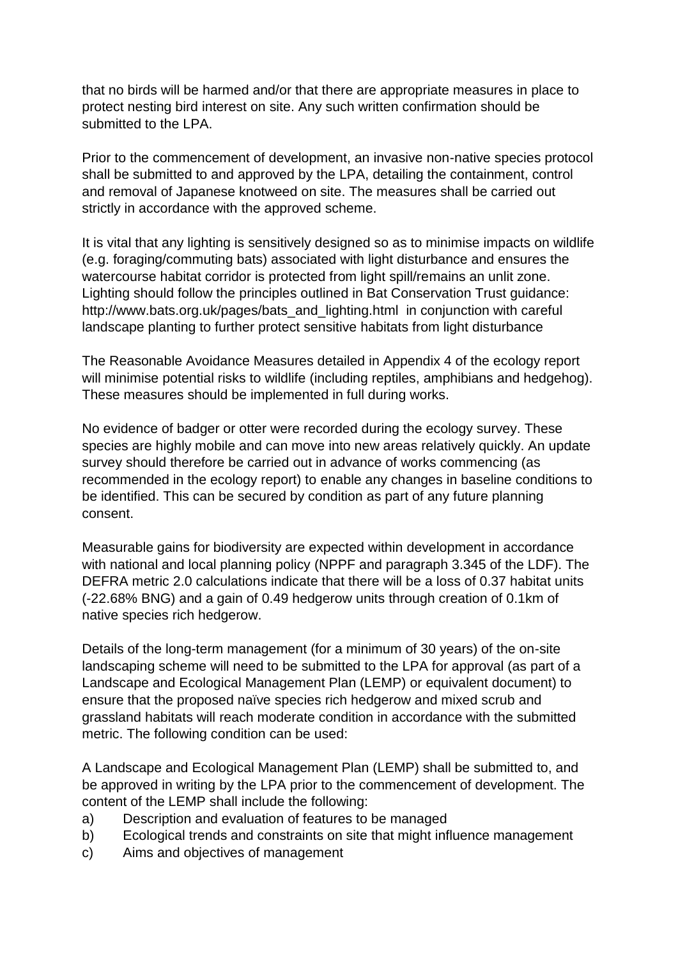that no birds will be harmed and/or that there are appropriate measures in place to protect nesting bird interest on site. Any such written confirmation should be submitted to the LPA.

Prior to the commencement of development, an invasive non-native species protocol shall be submitted to and approved by the LPA, detailing the containment, control and removal of Japanese knotweed on site. The measures shall be carried out strictly in accordance with the approved scheme.

It is vital that any lighting is sensitively designed so as to minimise impacts on wildlife (e.g. foraging/commuting bats) associated with light disturbance and ensures the watercourse habitat corridor is protected from light spill/remains an unlit zone. Lighting should follow the principles outlined in Bat Conservation Trust guidance: http://www.bats.org.uk/pages/bats\_and\_lighting.html in conjunction with careful landscape planting to further protect sensitive habitats from light disturbance

The Reasonable Avoidance Measures detailed in Appendix 4 of the ecology report will minimise potential risks to wildlife (including reptiles, amphibians and hedgehog). These measures should be implemented in full during works.

No evidence of badger or otter were recorded during the ecology survey. These species are highly mobile and can move into new areas relatively quickly. An update survey should therefore be carried out in advance of works commencing (as recommended in the ecology report) to enable any changes in baseline conditions to be identified. This can be secured by condition as part of any future planning consent.

Measurable gains for biodiversity are expected within development in accordance with national and local planning policy (NPPF and paragraph 3.345 of the LDF). The DEFRA metric 2.0 calculations indicate that there will be a loss of 0.37 habitat units (-22.68% BNG) and a gain of 0.49 hedgerow units through creation of 0.1km of native species rich hedgerow.

Details of the long-term management (for a minimum of 30 years) of the on-site landscaping scheme will need to be submitted to the LPA for approval (as part of a Landscape and Ecological Management Plan (LEMP) or equivalent document) to ensure that the proposed naïve species rich hedgerow and mixed scrub and grassland habitats will reach moderate condition in accordance with the submitted metric. The following condition can be used:

A Landscape and Ecological Management Plan (LEMP) shall be submitted to, and be approved in writing by the LPA prior to the commencement of development. The content of the LEMP shall include the following:

- a) Description and evaluation of features to be managed
- b) Ecological trends and constraints on site that might influence management
- c) Aims and objectives of management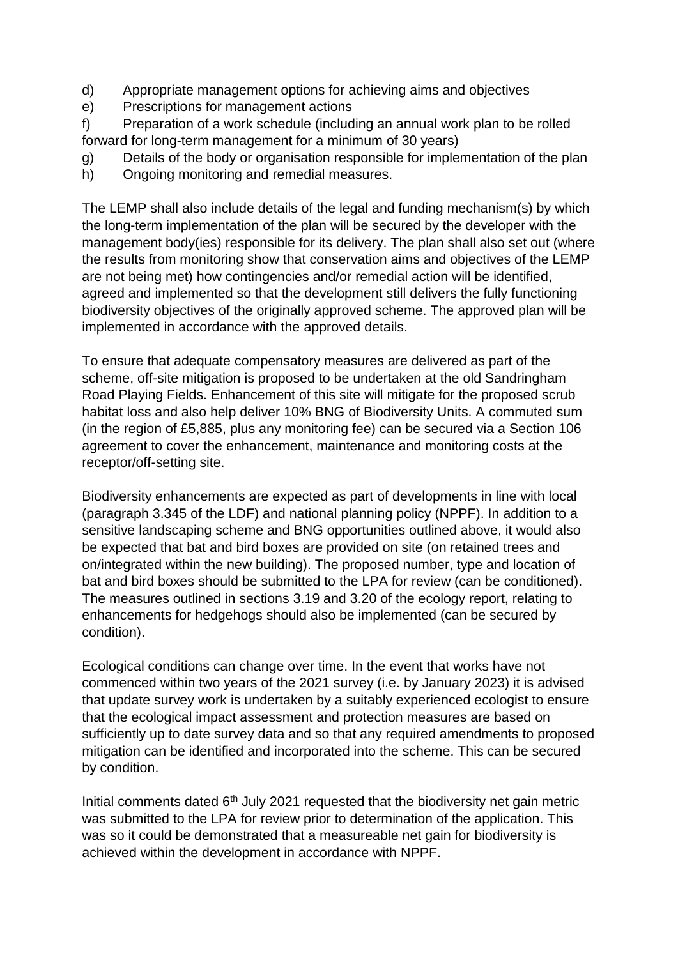- d) Appropriate management options for achieving aims and objectives
- e) Prescriptions for management actions

f) Preparation of a work schedule (including an annual work plan to be rolled forward for long-term management for a minimum of 30 years)

- g) Details of the body or organisation responsible for implementation of the plan
- h) Ongoing monitoring and remedial measures.

The LEMP shall also include details of the legal and funding mechanism(s) by which the long-term implementation of the plan will be secured by the developer with the management body(ies) responsible for its delivery. The plan shall also set out (where the results from monitoring show that conservation aims and objectives of the LEMP are not being met) how contingencies and/or remedial action will be identified, agreed and implemented so that the development still delivers the fully functioning biodiversity objectives of the originally approved scheme. The approved plan will be implemented in accordance with the approved details.

To ensure that adequate compensatory measures are delivered as part of the scheme, off-site mitigation is proposed to be undertaken at the old Sandringham Road Playing Fields. Enhancement of this site will mitigate for the proposed scrub habitat loss and also help deliver 10% BNG of Biodiversity Units. A commuted sum (in the region of £5,885, plus any monitoring fee) can be secured via a Section 106 agreement to cover the enhancement, maintenance and monitoring costs at the receptor/off-setting site.

Biodiversity enhancements are expected as part of developments in line with local (paragraph 3.345 of the LDF) and national planning policy (NPPF). In addition to a sensitive landscaping scheme and BNG opportunities outlined above, it would also be expected that bat and bird boxes are provided on site (on retained trees and on/integrated within the new building). The proposed number, type and location of bat and bird boxes should be submitted to the LPA for review (can be conditioned). The measures outlined in sections 3.19 and 3.20 of the ecology report, relating to enhancements for hedgehogs should also be implemented (can be secured by condition).

Ecological conditions can change over time. In the event that works have not commenced within two years of the 2021 survey (i.e. by January 2023) it is advised that update survey work is undertaken by a suitably experienced ecologist to ensure that the ecological impact assessment and protection measures are based on sufficiently up to date survey data and so that any required amendments to proposed mitigation can be identified and incorporated into the scheme. This can be secured by condition.

Initial comments dated  $6<sup>th</sup>$  July 2021 requested that the biodiversity net gain metric was submitted to the LPA for review prior to determination of the application. This was so it could be demonstrated that a measureable net gain for biodiversity is achieved within the development in accordance with NPPF.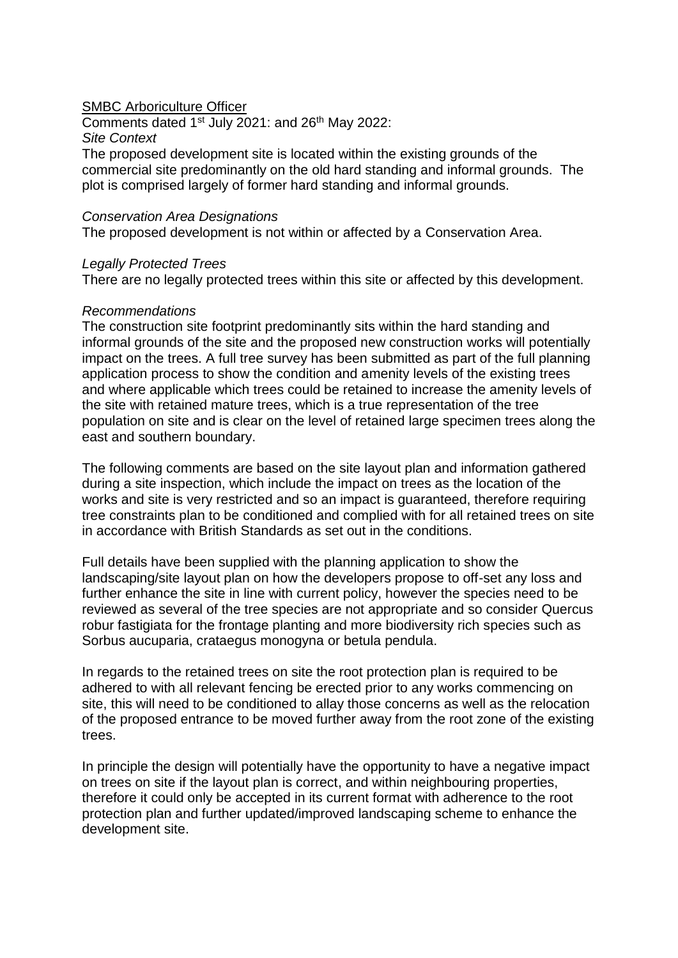#### SMBC Arboriculture Officer

Comments dated  $1^{st}$  July 2021: and 26<sup>th</sup> May 2022: *Site Context* The proposed development site is located within the existing grounds of the commercial site predominantly on the old hard standing and informal grounds. The plot is comprised largely of former hard standing and informal grounds.

#### *Conservation Area Designations*

The proposed development is not within or affected by a Conservation Area.

#### *Legally Protected Trees*

There are no legally protected trees within this site or affected by this development.

#### *Recommendations*

The construction site footprint predominantly sits within the hard standing and informal grounds of the site and the proposed new construction works will potentially impact on the trees. A full tree survey has been submitted as part of the full planning application process to show the condition and amenity levels of the existing trees and where applicable which trees could be retained to increase the amenity levels of the site with retained mature trees, which is a true representation of the tree population on site and is clear on the level of retained large specimen trees along the east and southern boundary.

The following comments are based on the site layout plan and information gathered during a site inspection, which include the impact on trees as the location of the works and site is very restricted and so an impact is guaranteed, therefore requiring tree constraints plan to be conditioned and complied with for all retained trees on site in accordance with British Standards as set out in the conditions.

Full details have been supplied with the planning application to show the landscaping/site layout plan on how the developers propose to off-set any loss and further enhance the site in line with current policy, however the species need to be reviewed as several of the tree species are not appropriate and so consider Quercus robur fastigiata for the frontage planting and more biodiversity rich species such as Sorbus aucuparia, crataegus monogyna or betula pendula.

In regards to the retained trees on site the root protection plan is required to be adhered to with all relevant fencing be erected prior to any works commencing on site, this will need to be conditioned to allay those concerns as well as the relocation of the proposed entrance to be moved further away from the root zone of the existing trees.

In principle the design will potentially have the opportunity to have a negative impact on trees on site if the layout plan is correct, and within neighbouring properties, therefore it could only be accepted in its current format with adherence to the root protection plan and further updated/improved landscaping scheme to enhance the development site.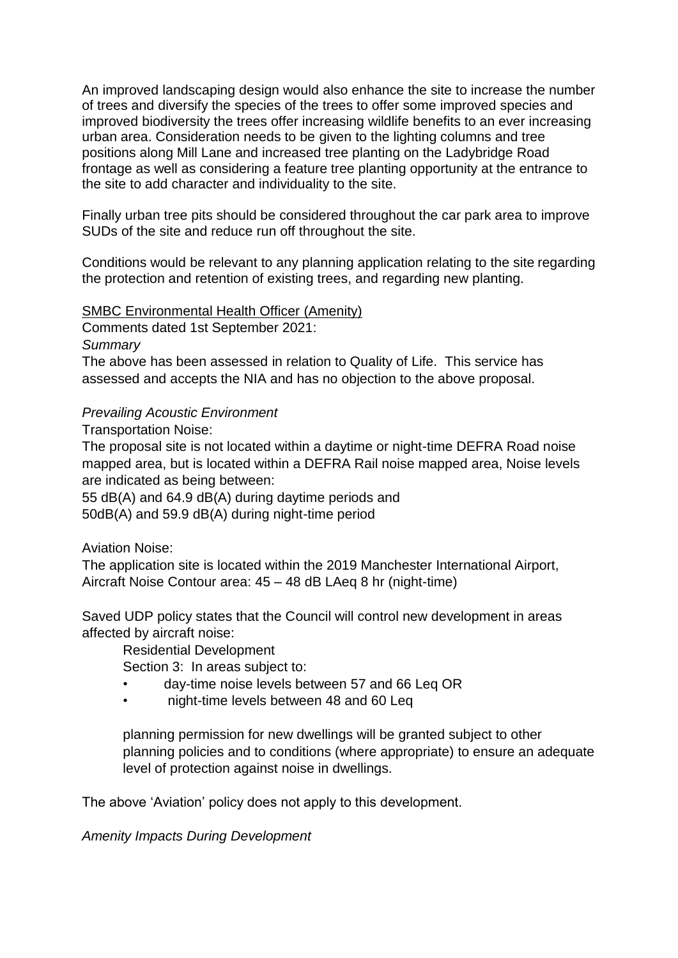An improved landscaping design would also enhance the site to increase the number of trees and diversify the species of the trees to offer some improved species and improved biodiversity the trees offer increasing wildlife benefits to an ever increasing urban area. Consideration needs to be given to the lighting columns and tree positions along Mill Lane and increased tree planting on the Ladybridge Road frontage as well as considering a feature tree planting opportunity at the entrance to the site to add character and individuality to the site.

Finally urban tree pits should be considered throughout the car park area to improve SUDs of the site and reduce run off throughout the site.

Conditions would be relevant to any planning application relating to the site regarding the protection and retention of existing trees, and regarding new planting.

### SMBC Environmental Health Officer (Amenity)

Comments dated 1st September 2021:

*Summary*

The above has been assessed in relation to Quality of Life. This service has assessed and accepts the NIA and has no objection to the above proposal.

## *Prevailing Acoustic Environment*

Transportation Noise:

The proposal site is not located within a daytime or night-time DEFRA Road noise mapped area, but is located within a DEFRA Rail noise mapped area, Noise levels are indicated as being between:

55 dB(A) and 64.9 dB(A) during daytime periods and 50dB(A) and 59.9 dB(A) during night-time period

# Aviation Noise:

The application site is located within the 2019 Manchester International Airport, Aircraft Noise Contour area: 45 – 48 dB LAeq 8 hr (night-time)

Saved UDP policy states that the Council will control new development in areas affected by aircraft noise:

Residential Development

Section 3: In areas subject to:

- day-time noise levels between 57 and 66 Leq OR
- night-time levels between 48 and 60 Leq

planning permission for new dwellings will be granted subject to other planning policies and to conditions (where appropriate) to ensure an adequate level of protection against noise in dwellings.

The above 'Aviation' policy does not apply to this development.

*Amenity Impacts During Development*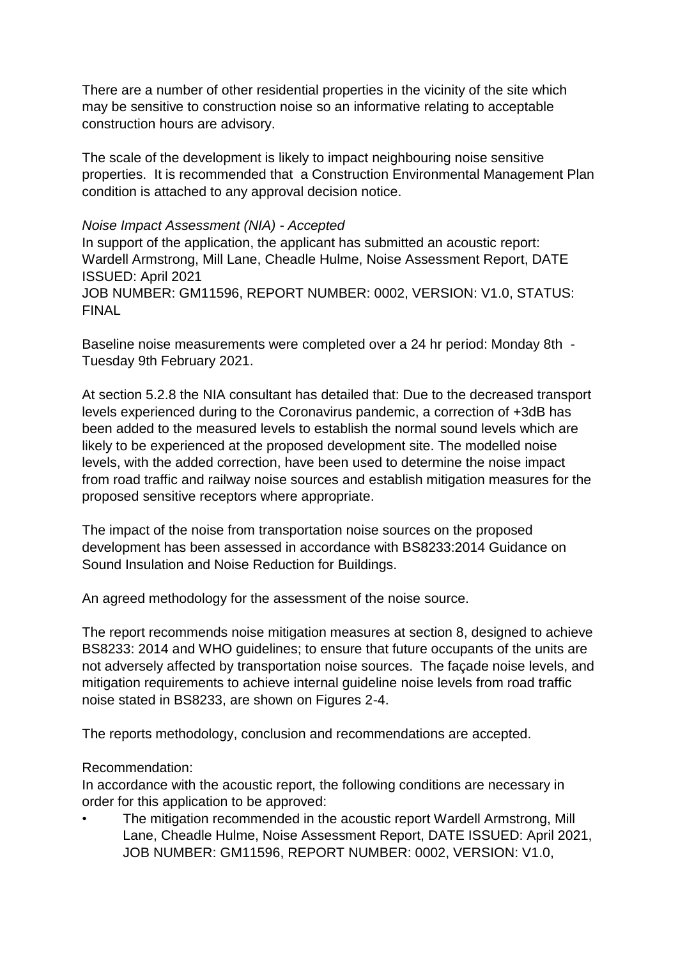There are a number of other residential properties in the vicinity of the site which may be sensitive to construction noise so an informative relating to acceptable construction hours are advisory.

The scale of the development is likely to impact neighbouring noise sensitive properties. It is recommended that a Construction Environmental Management Plan condition is attached to any approval decision notice.

### *Noise Impact Assessment (NIA) - Accepted*

In support of the application, the applicant has submitted an acoustic report: Wardell Armstrong, Mill Lane, Cheadle Hulme, Noise Assessment Report, DATE ISSUED: April 2021 JOB NUMBER: GM11596, REPORT NUMBER: 0002, VERSION: V1.0, STATUS: FINAL

Baseline noise measurements were completed over a 24 hr period: Monday 8th - Tuesday 9th February 2021.

At section 5.2.8 the NIA consultant has detailed that: Due to the decreased transport levels experienced during to the Coronavirus pandemic, a correction of +3dB has been added to the measured levels to establish the normal sound levels which are likely to be experienced at the proposed development site. The modelled noise levels, with the added correction, have been used to determine the noise impact from road traffic and railway noise sources and establish mitigation measures for the proposed sensitive receptors where appropriate.

The impact of the noise from transportation noise sources on the proposed development has been assessed in accordance with BS8233:2014 Guidance on Sound Insulation and Noise Reduction for Buildings.

An agreed methodology for the assessment of the noise source.

The report recommends noise mitigation measures at section 8, designed to achieve BS8233: 2014 and WHO guidelines; to ensure that future occupants of the units are not adversely affected by transportation noise sources. The façade noise levels, and mitigation requirements to achieve internal guideline noise levels from road traffic noise stated in BS8233, are shown on Figures 2-4.

The reports methodology, conclusion and recommendations are accepted.

# Recommendation:

In accordance with the acoustic report, the following conditions are necessary in order for this application to be approved:

• The mitigation recommended in the acoustic report Wardell Armstrong, Mill Lane, Cheadle Hulme, Noise Assessment Report, DATE ISSUED: April 2021, JOB NUMBER: GM11596, REPORT NUMBER: 0002, VERSION: V1.0,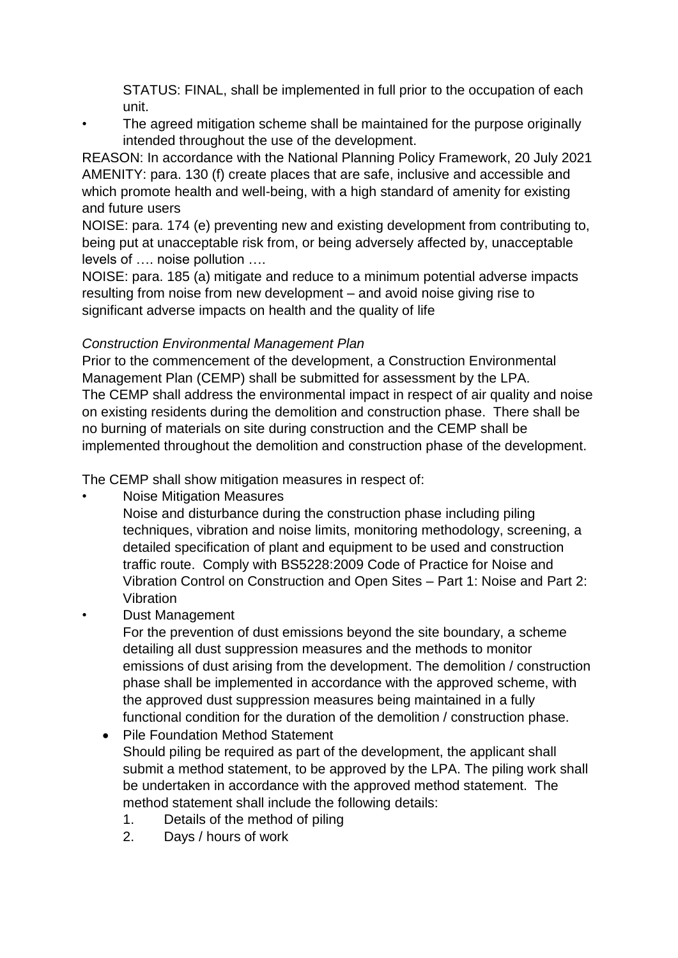STATUS: FINAL, shall be implemented in full prior to the occupation of each unit.

• The agreed mitigation scheme shall be maintained for the purpose originally intended throughout the use of the development.

REASON: In accordance with the National Planning Policy Framework, 20 July 2021 AMENITY: para. 130 (f) create places that are safe, inclusive and accessible and which promote health and well-being, with a high standard of amenity for existing and future users

NOISE: para. 174 (e) preventing new and existing development from contributing to, being put at unacceptable risk from, or being adversely affected by, unacceptable levels of …. noise pollution ….

NOISE: para. 185 (a) mitigate and reduce to a minimum potential adverse impacts resulting from noise from new development – and avoid noise giving rise to significant adverse impacts on health and the quality of life

# *Construction Environmental Management Plan*

Prior to the commencement of the development, a Construction Environmental Management Plan (CEMP) shall be submitted for assessment by the LPA. The CEMP shall address the environmental impact in respect of air quality and noise on existing residents during the demolition and construction phase. There shall be no burning of materials on site during construction and the CEMP shall be implemented throughout the demolition and construction phase of the development.

The CEMP shall show mitigation measures in respect of:

- Noise Mitigation Measures
	- Noise and disturbance during the construction phase including piling techniques, vibration and noise limits, monitoring methodology, screening, a detailed specification of plant and equipment to be used and construction traffic route. Comply with BS5228:2009 Code of Practice for Noise and Vibration Control on Construction and Open Sites – Part 1: Noise and Part 2: Vibration
- Dust Management

For the prevention of dust emissions beyond the site boundary, a scheme detailing all dust suppression measures and the methods to monitor emissions of dust arising from the development. The demolition / construction phase shall be implemented in accordance with the approved scheme, with the approved dust suppression measures being maintained in a fully functional condition for the duration of the demolition / construction phase.

- Pile Foundation Method Statement Should piling be required as part of the development, the applicant shall submit a method statement, to be approved by the LPA. The piling work shall be undertaken in accordance with the approved method statement. The method statement shall include the following details:
	- 1. Details of the method of piling
	- 2. Days / hours of work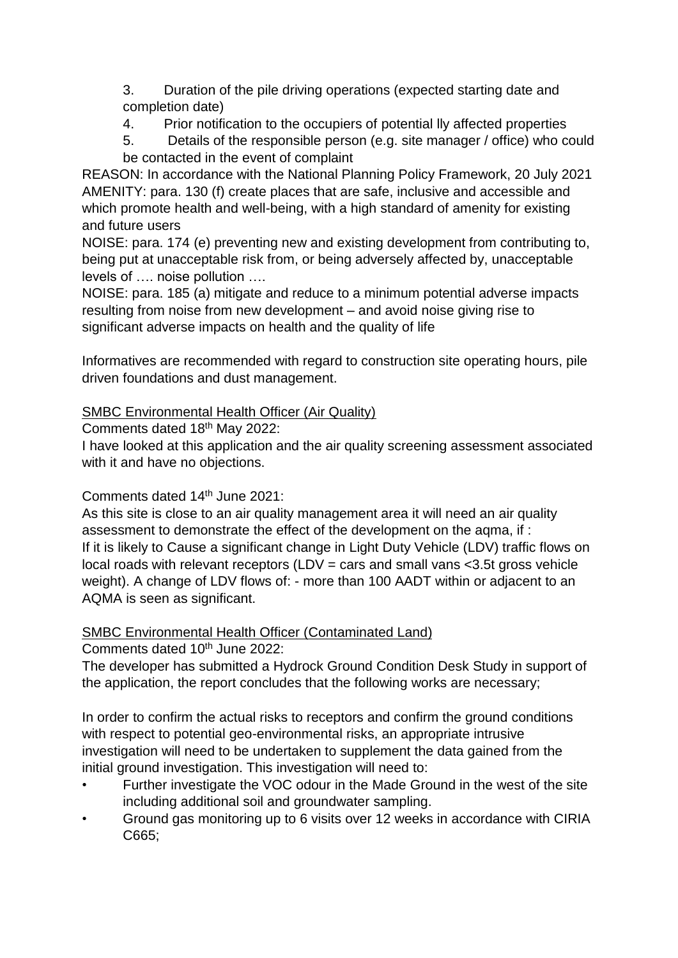3. Duration of the pile driving operations (expected starting date and completion date)

4. Prior notification to the occupiers of potential lly affected properties

5. Details of the responsible person (e.g. site manager / office) who could be contacted in the event of complaint

REASON: In accordance with the National Planning Policy Framework, 20 July 2021 AMENITY: para. 130 (f) create places that are safe, inclusive and accessible and which promote health and well-being, with a high standard of amenity for existing and future users

NOISE: para. 174 (e) preventing new and existing development from contributing to, being put at unacceptable risk from, or being adversely affected by, unacceptable levels of …. noise pollution ….

NOISE: para. 185 (a) mitigate and reduce to a minimum potential adverse impacts resulting from noise from new development – and avoid noise giving rise to significant adverse impacts on health and the quality of life

Informatives are recommended with regard to construction site operating hours, pile driven foundations and dust management.

# SMBC Environmental Health Officer (Air Quality)

Comments dated 18<sup>th</sup> May 2022:

I have looked at this application and the air quality screening assessment associated with it and have no objections.

# Comments dated 14th June 2021:

As this site is close to an air quality management area it will need an air quality assessment to demonstrate the effect of the development on the aqma, if : If it is likely to Cause a significant change in Light Duty Vehicle (LDV) traffic flows on local roads with relevant receptors  $(LDV = cars$  and small vans  $<$ 3.5t gross vehicle weight). A change of LDV flows of: - more than 100 AADT within or adjacent to an AQMA is seen as significant.

# SMBC Environmental Health Officer (Contaminated Land)

Comments dated 10<sup>th</sup> June 2022:

The developer has submitted a Hydrock Ground Condition Desk Study in support of the application, the report concludes that the following works are necessary;

In order to confirm the actual risks to receptors and confirm the ground conditions with respect to potential geo-environmental risks, an appropriate intrusive investigation will need to be undertaken to supplement the data gained from the initial ground investigation. This investigation will need to:

- Further investigate the VOC odour in the Made Ground in the west of the site including additional soil and groundwater sampling.
- Ground gas monitoring up to 6 visits over 12 weeks in accordance with CIRIA C665;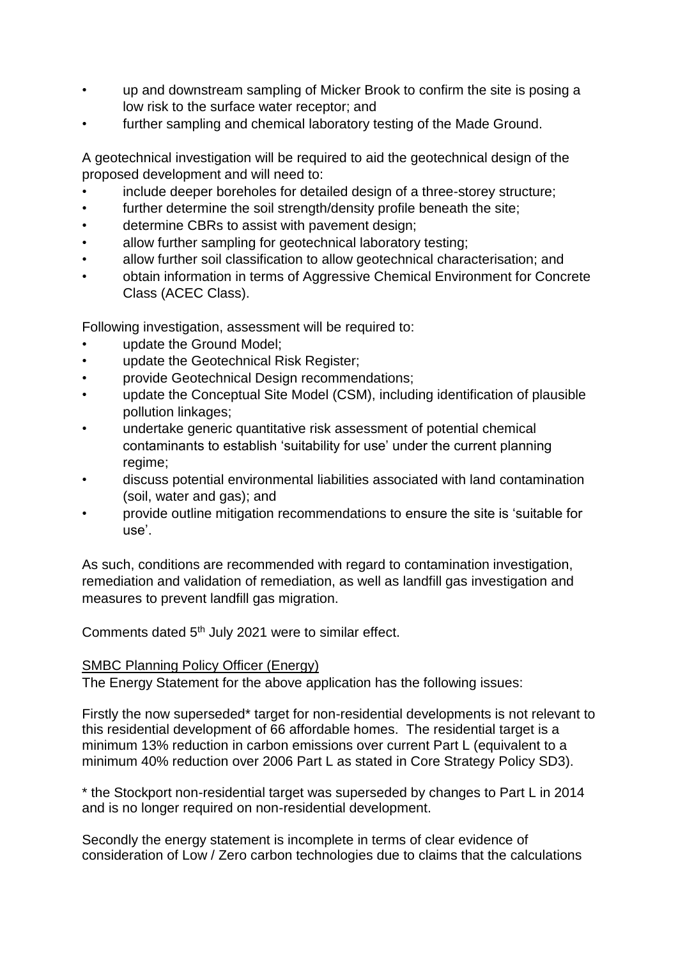- up and downstream sampling of Micker Brook to confirm the site is posing a low risk to the surface water receptor; and
- further sampling and chemical laboratory testing of the Made Ground.

A geotechnical investigation will be required to aid the geotechnical design of the proposed development and will need to:

- include deeper boreholes for detailed design of a three-storey structure;
- further determine the soil strength/density profile beneath the site;
- determine CBRs to assist with pavement design;
- allow further sampling for geotechnical laboratory testing;
- allow further soil classification to allow geotechnical characterisation; and
- obtain information in terms of Aggressive Chemical Environment for Concrete Class (ACEC Class).

Following investigation, assessment will be required to:

- update the Ground Model;
- update the Geotechnical Risk Register;
- provide Geotechnical Design recommendations;
- update the Conceptual Site Model (CSM), including identification of plausible pollution linkages;
- undertake generic quantitative risk assessment of potential chemical contaminants to establish 'suitability for use' under the current planning regime;
- discuss potential environmental liabilities associated with land contamination (soil, water and gas); and
- provide outline mitigation recommendations to ensure the site is 'suitable for use'.

As such, conditions are recommended with regard to contamination investigation, remediation and validation of remediation, as well as landfill gas investigation and measures to prevent landfill gas migration.

Comments dated 5th July 2021 were to similar effect.

### SMBC Planning Policy Officer (Energy)

The Energy Statement for the above application has the following issues:

Firstly the now superseded\* target for non-residential developments is not relevant to this residential development of 66 affordable homes. The residential target is a minimum 13% reduction in carbon emissions over current Part L (equivalent to a minimum 40% reduction over 2006 Part L as stated in Core Strategy Policy SD3).

\* the Stockport non-residential target was superseded by changes to Part L in 2014 and is no longer required on non-residential development.

Secondly the energy statement is incomplete in terms of clear evidence of consideration of Low / Zero carbon technologies due to claims that the calculations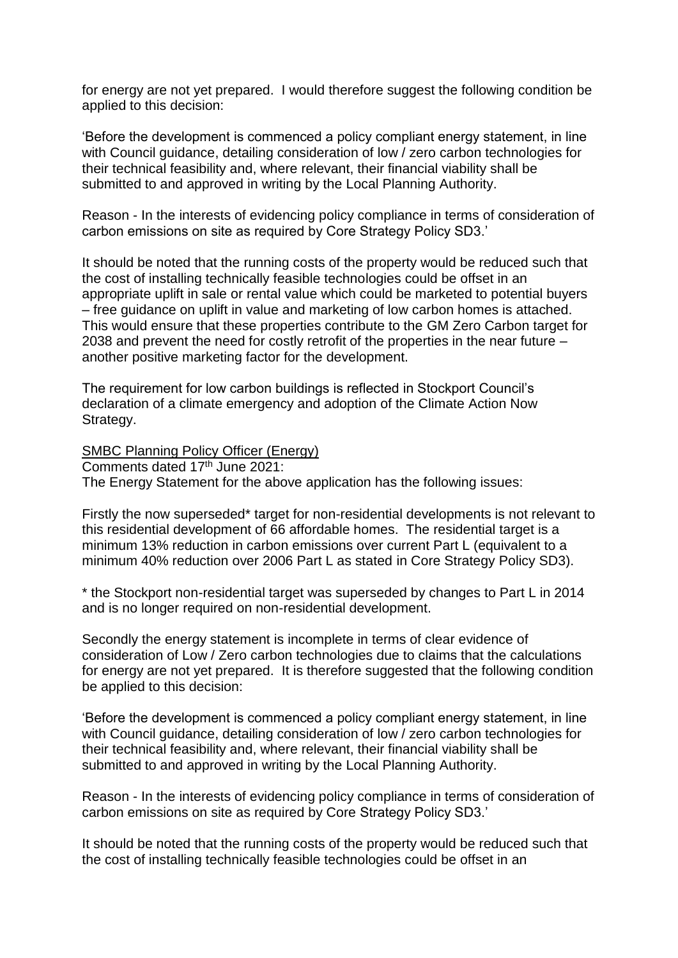for energy are not yet prepared. I would therefore suggest the following condition be applied to this decision:

'Before the development is commenced a policy compliant energy statement, in line with Council guidance, detailing consideration of low / zero carbon technologies for their technical feasibility and, where relevant, their financial viability shall be submitted to and approved in writing by the Local Planning Authority.

Reason - In the interests of evidencing policy compliance in terms of consideration of carbon emissions on site as required by Core Strategy Policy SD3.'

It should be noted that the running costs of the property would be reduced such that the cost of installing technically feasible technologies could be offset in an appropriate uplift in sale or rental value which could be marketed to potential buyers – free guidance on uplift in value and marketing of low carbon homes is attached. This would ensure that these properties contribute to the GM Zero Carbon target for 2038 and prevent the need for costly retrofit of the properties in the near future – another positive marketing factor for the development.

The requirement for low carbon buildings is reflected in Stockport Council's declaration of a climate emergency and adoption of the Climate Action Now Strategy.

SMBC Planning Policy Officer (Energy)

Comments dated 17th June 2021:

The Energy Statement for the above application has the following issues:

Firstly the now superseded\* target for non-residential developments is not relevant to this residential development of 66 affordable homes. The residential target is a minimum 13% reduction in carbon emissions over current Part L (equivalent to a minimum 40% reduction over 2006 Part L as stated in Core Strategy Policy SD3).

\* the Stockport non-residential target was superseded by changes to Part L in 2014 and is no longer required on non-residential development.

Secondly the energy statement is incomplete in terms of clear evidence of consideration of Low / Zero carbon technologies due to claims that the calculations for energy are not yet prepared. It is therefore suggested that the following condition be applied to this decision:

'Before the development is commenced a policy compliant energy statement, in line with Council guidance, detailing consideration of low / zero carbon technologies for their technical feasibility and, where relevant, their financial viability shall be submitted to and approved in writing by the Local Planning Authority.

Reason - In the interests of evidencing policy compliance in terms of consideration of carbon emissions on site as required by Core Strategy Policy SD3.'

It should be noted that the running costs of the property would be reduced such that the cost of installing technically feasible technologies could be offset in an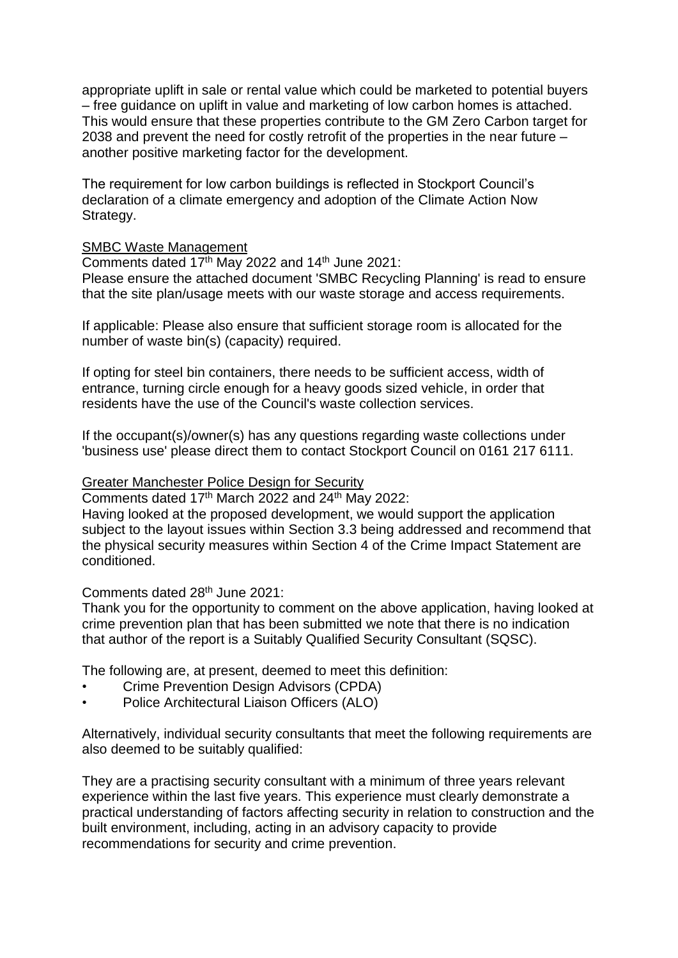appropriate uplift in sale or rental value which could be marketed to potential buyers – free guidance on uplift in value and marketing of low carbon homes is attached. This would ensure that these properties contribute to the GM Zero Carbon target for 2038 and prevent the need for costly retrofit of the properties in the near future – another positive marketing factor for the development.

The requirement for low carbon buildings is reflected in Stockport Council's declaration of a climate emergency and adoption of the Climate Action Now Strategy.

### SMBC Waste Management

Comments dated  $17<sup>th</sup>$  May 2022 and  $14<sup>th</sup>$  June 2021:

Please ensure the attached document 'SMBC Recycling Planning' is read to ensure that the site plan/usage meets with our waste storage and access requirements.

If applicable: Please also ensure that sufficient storage room is allocated for the number of waste bin(s) (capacity) required.

If opting for steel bin containers, there needs to be sufficient access, width of entrance, turning circle enough for a heavy goods sized vehicle, in order that residents have the use of the Council's waste collection services.

If the occupant(s)/owner(s) has any questions regarding waste collections under 'business use' please direct them to contact Stockport Council on 0161 217 6111.

### Greater Manchester Police Design for Security

Comments dated 17th March 2022 and 24th May 2022:

Having looked at the proposed development, we would support the application subject to the layout issues within Section 3.3 being addressed and recommend that the physical security measures within Section 4 of the Crime Impact Statement are conditioned.

### Comments dated 28th June 2021:

Thank you for the opportunity to comment on the above application, having looked at crime prevention plan that has been submitted we note that there is no indication that author of the report is a Suitably Qualified Security Consultant (SQSC).

The following are, at present, deemed to meet this definition:

- Crime Prevention Design Advisors (CPDA)
- Police Architectural Liaison Officers (ALO)

Alternatively, individual security consultants that meet the following requirements are also deemed to be suitably qualified:

They are a practising security consultant with a minimum of three years relevant experience within the last five years. This experience must clearly demonstrate a practical understanding of factors affecting security in relation to construction and the built environment, including, acting in an advisory capacity to provide recommendations for security and crime prevention.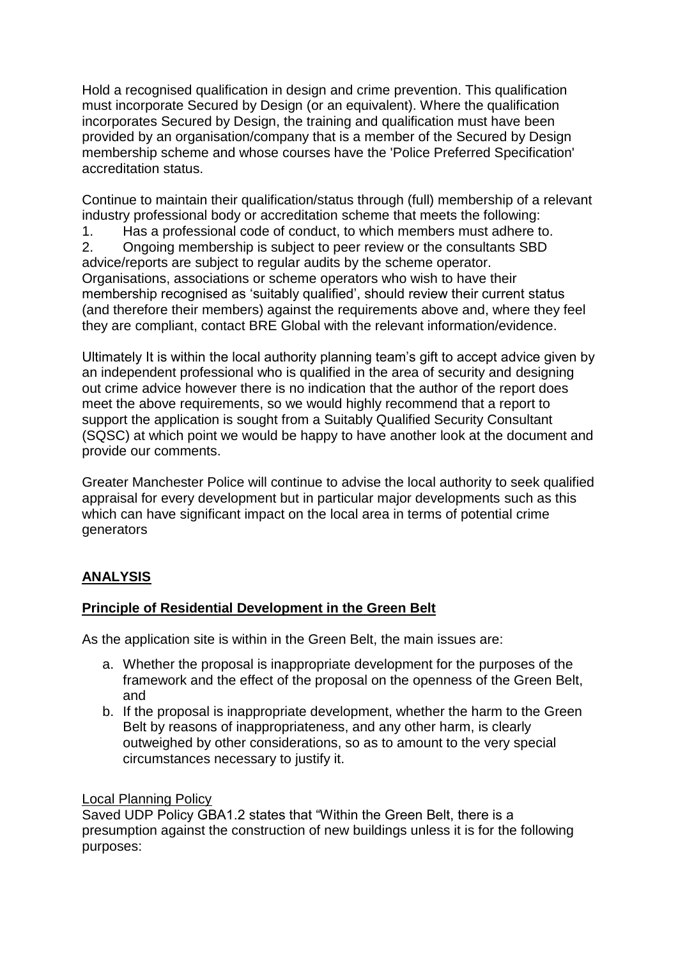Hold a recognised qualification in design and crime prevention. This qualification must incorporate Secured by Design (or an equivalent). Where the qualification incorporates Secured by Design, the training and qualification must have been provided by an organisation/company that is a member of the Secured by Design membership scheme and whose courses have the 'Police Preferred Specification' accreditation status.

Continue to maintain their qualification/status through (full) membership of a relevant industry professional body or accreditation scheme that meets the following:

1. Has a professional code of conduct, to which members must adhere to. 2. Ongoing membership is subject to peer review or the consultants SBD advice/reports are subject to regular audits by the scheme operator. Organisations, associations or scheme operators who wish to have their membership recognised as 'suitably qualified', should review their current status (and therefore their members) against the requirements above and, where they feel they are compliant, contact BRE Global with the relevant information/evidence.

Ultimately It is within the local authority planning team's gift to accept advice given by an independent professional who is qualified in the area of security and designing out crime advice however there is no indication that the author of the report does meet the above requirements, so we would highly recommend that a report to support the application is sought from a Suitably Qualified Security Consultant (SQSC) at which point we would be happy to have another look at the document and provide our comments.

Greater Manchester Police will continue to advise the local authority to seek qualified appraisal for every development but in particular major developments such as this which can have significant impact on the local area in terms of potential crime generators

# **ANALYSIS**

# **Principle of Residential Development in the Green Belt**

As the application site is within in the Green Belt, the main issues are:

- a. Whether the proposal is inappropriate development for the purposes of the framework and the effect of the proposal on the openness of the Green Belt, and
- b. If the proposal is inappropriate development, whether the harm to the Green Belt by reasons of inappropriateness, and any other harm, is clearly outweighed by other considerations, so as to amount to the very special circumstances necessary to justify it.

### Local Planning Policy

Saved UDP Policy GBA1.2 states that "Within the Green Belt, there is a presumption against the construction of new buildings unless it is for the following purposes: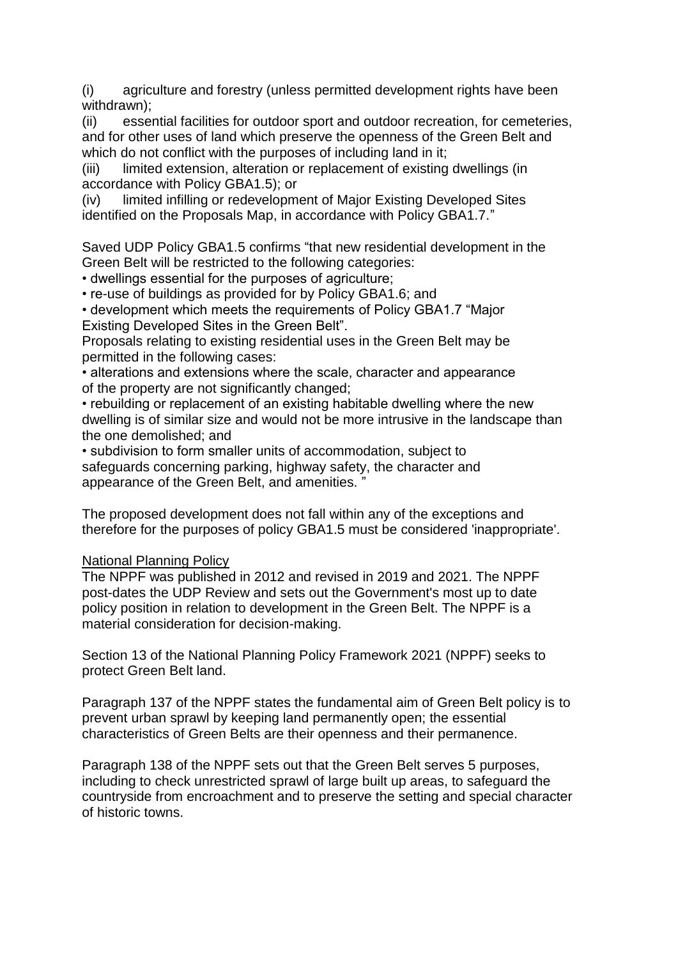(i) agriculture and forestry (unless permitted development rights have been withdrawn);

(ii) essential facilities for outdoor sport and outdoor recreation, for cemeteries, and for other uses of land which preserve the openness of the Green Belt and which do not conflict with the purposes of including land in it;

(iii) limited extension, alteration or replacement of existing dwellings (in accordance with Policy GBA1.5); or

(iv) limited infilling or redevelopment of Major Existing Developed Sites identified on the Proposals Map, in accordance with Policy GBA1.7."

Saved UDP Policy GBA1.5 confirms "that new residential development in the Green Belt will be restricted to the following categories:

• dwellings essential for the purposes of agriculture;

• re-use of buildings as provided for by Policy GBA1.6; and

• development which meets the requirements of Policy GBA1.7 "Major Existing Developed Sites in the Green Belt".

Proposals relating to existing residential uses in the Green Belt may be permitted in the following cases:

• alterations and extensions where the scale, character and appearance of the property are not significantly changed;

• rebuilding or replacement of an existing habitable dwelling where the new dwelling is of similar size and would not be more intrusive in the landscape than the one demolished; and

• subdivision to form smaller units of accommodation, subject to safeguards concerning parking, highway safety, the character and appearance of the Green Belt, and amenities. "

The proposed development does not fall within any of the exceptions and therefore for the purposes of policy GBA1.5 must be considered 'inappropriate'.

# National Planning Policy

The NPPF was published in 2012 and revised in 2019 and 2021. The NPPF post-dates the UDP Review and sets out the Government's most up to date policy position in relation to development in the Green Belt. The NPPF is a material consideration for decision-making.

Section 13 of the National Planning Policy Framework 2021 (NPPF) seeks to protect Green Belt land.

Paragraph 137 of the NPPF states the fundamental aim of Green Belt policy is to prevent urban sprawl by keeping land permanently open; the essential characteristics of Green Belts are their openness and their permanence.

Paragraph 138 of the NPPF sets out that the Green Belt serves 5 purposes, including to check unrestricted sprawl of large built up areas, to safeguard the countryside from encroachment and to preserve the setting and special character of historic towns.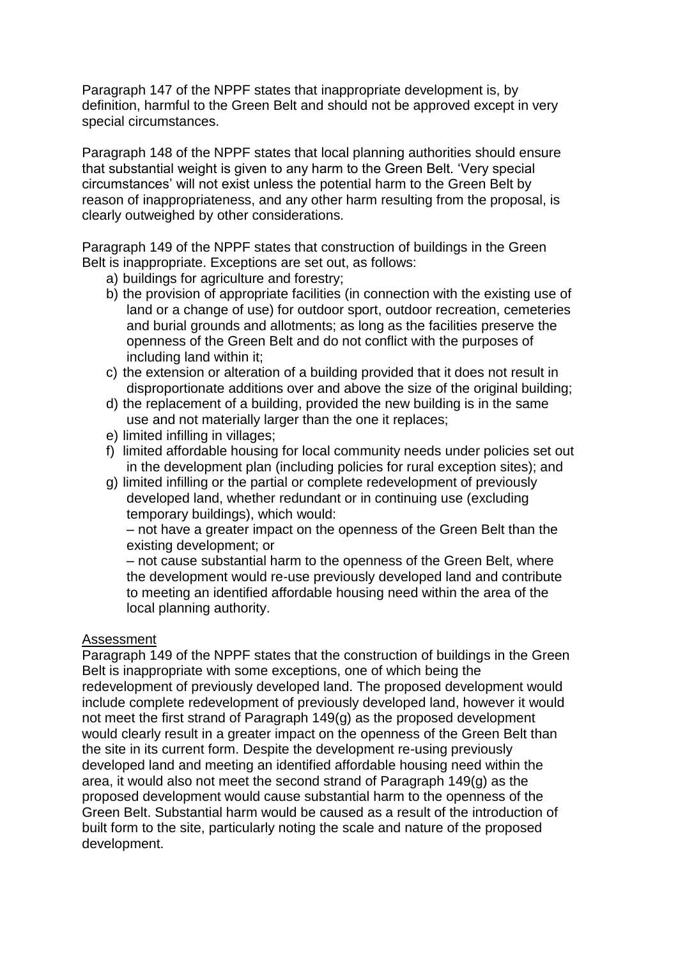Paragraph 147 of the NPPF states that inappropriate development is, by definition, harmful to the Green Belt and should not be approved except in very special circumstances.

Paragraph 148 of the NPPF states that local planning authorities should ensure that substantial weight is given to any harm to the Green Belt. 'Very special circumstances' will not exist unless the potential harm to the Green Belt by reason of inappropriateness, and any other harm resulting from the proposal, is clearly outweighed by other considerations.

Paragraph 149 of the NPPF states that construction of buildings in the Green Belt is inappropriate. Exceptions are set out, as follows:

- a) buildings for agriculture and forestry;
- b) the provision of appropriate facilities (in connection with the existing use of land or a change of use) for outdoor sport, outdoor recreation, cemeteries and burial grounds and allotments; as long as the facilities preserve the openness of the Green Belt and do not conflict with the purposes of including land within it;
- c) the extension or alteration of a building provided that it does not result in disproportionate additions over and above the size of the original building;
- d) the replacement of a building, provided the new building is in the same use and not materially larger than the one it replaces;
- e) limited infilling in villages;
- f) limited affordable housing for local community needs under policies set out in the development plan (including policies for rural exception sites); and
- g) limited infilling or the partial or complete redevelopment of previously developed land, whether redundant or in continuing use (excluding temporary buildings), which would:

– not have a greater impact on the openness of the Green Belt than the existing development; or

– not cause substantial harm to the openness of the Green Belt, where the development would re-use previously developed land and contribute to meeting an identified affordable housing need within the area of the local planning authority.

### Assessment

Paragraph 149 of the NPPF states that the construction of buildings in the Green Belt is inappropriate with some exceptions, one of which being the redevelopment of previously developed land. The proposed development would include complete redevelopment of previously developed land, however it would not meet the first strand of Paragraph 149(g) as the proposed development would clearly result in a greater impact on the openness of the Green Belt than the site in its current form. Despite the development re-using previously developed land and meeting an identified affordable housing need within the area, it would also not meet the second strand of Paragraph 149(g) as the proposed development would cause substantial harm to the openness of the Green Belt. Substantial harm would be caused as a result of the introduction of built form to the site, particularly noting the scale and nature of the proposed development.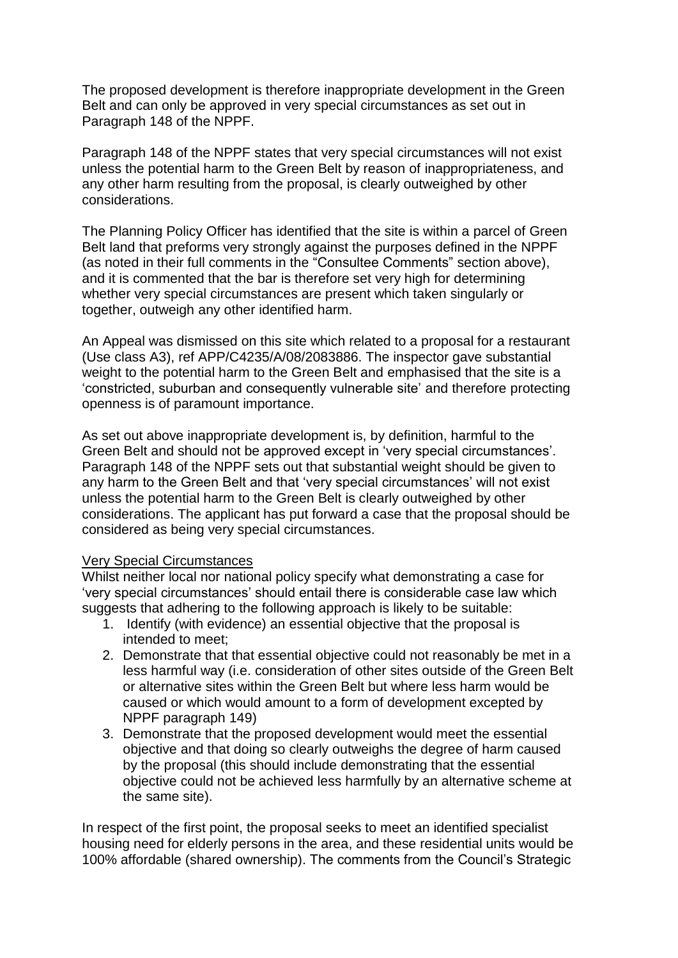The proposed development is therefore inappropriate development in the Green Belt and can only be approved in very special circumstances as set out in Paragraph 148 of the NPPF.

Paragraph 148 of the NPPF states that very special circumstances will not exist unless the potential harm to the Green Belt by reason of inappropriateness, and any other harm resulting from the proposal, is clearly outweighed by other considerations.

The Planning Policy Officer has identified that the site is within a parcel of Green Belt land that preforms very strongly against the purposes defined in the NPPF (as noted in their full comments in the "Consultee Comments" section above), and it is commented that the bar is therefore set very high for determining whether very special circumstances are present which taken singularly or together, outweigh any other identified harm.

An Appeal was dismissed on this site which related to a proposal for a restaurant (Use class A3), ref APP/C4235/A/08/2083886. The inspector gave substantial weight to the potential harm to the Green Belt and emphasised that the site is a 'constricted, suburban and consequently vulnerable site' and therefore protecting openness is of paramount importance.

As set out above inappropriate development is, by definition, harmful to the Green Belt and should not be approved except in 'very special circumstances'. Paragraph 148 of the NPPF sets out that substantial weight should be given to any harm to the Green Belt and that 'very special circumstances' will not exist unless the potential harm to the Green Belt is clearly outweighed by other considerations. The applicant has put forward a case that the proposal should be considered as being very special circumstances.

#### Very Special Circumstances

Whilst neither local nor national policy specify what demonstrating a case for 'very special circumstances' should entail there is considerable case law which suggests that adhering to the following approach is likely to be suitable:

- 1. Identify (with evidence) an essential objective that the proposal is intended to meet;
- 2. Demonstrate that that essential objective could not reasonably be met in a less harmful way (i.e. consideration of other sites outside of the Green Belt or alternative sites within the Green Belt but where less harm would be caused or which would amount to a form of development excepted by NPPF paragraph 149)
- 3. Demonstrate that the proposed development would meet the essential objective and that doing so clearly outweighs the degree of harm caused by the proposal (this should include demonstrating that the essential objective could not be achieved less harmfully by an alternative scheme at the same site).

In respect of the first point, the proposal seeks to meet an identified specialist housing need for elderly persons in the area, and these residential units would be 100% affordable (shared ownership). The comments from the Council's Strategic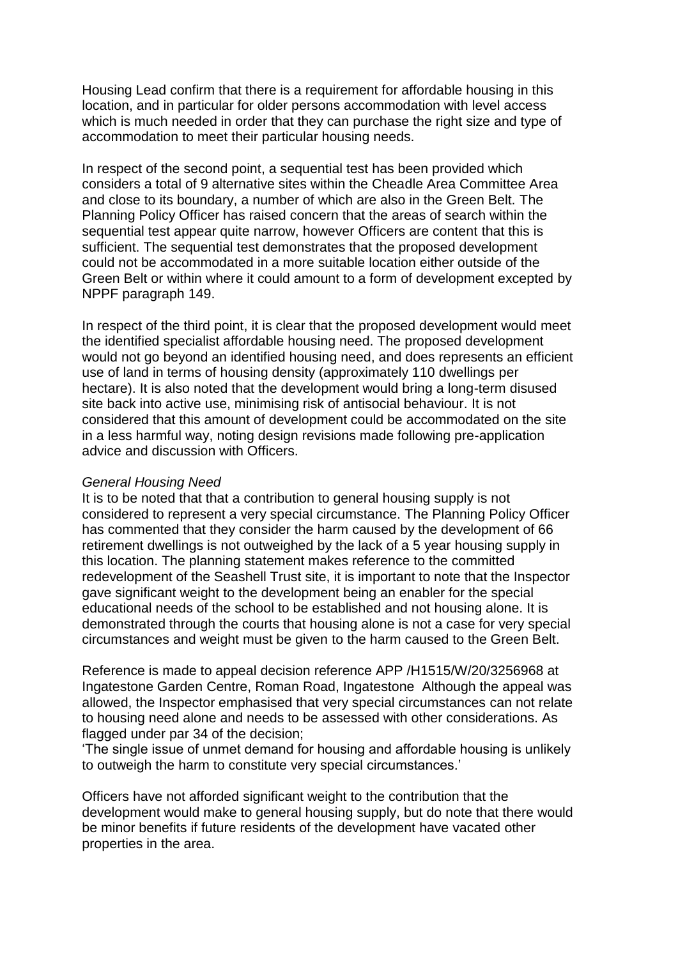Housing Lead confirm that there is a requirement for affordable housing in this location, and in particular for older persons accommodation with level access which is much needed in order that they can purchase the right size and type of accommodation to meet their particular housing needs.

In respect of the second point, a sequential test has been provided which considers a total of 9 alternative sites within the Cheadle Area Committee Area and close to its boundary, a number of which are also in the Green Belt. The Planning Policy Officer has raised concern that the areas of search within the sequential test appear quite narrow, however Officers are content that this is sufficient. The sequential test demonstrates that the proposed development could not be accommodated in a more suitable location either outside of the Green Belt or within where it could amount to a form of development excepted by NPPF paragraph 149.

In respect of the third point, it is clear that the proposed development would meet the identified specialist affordable housing need. The proposed development would not go beyond an identified housing need, and does represents an efficient use of land in terms of housing density (approximately 110 dwellings per hectare). It is also noted that the development would bring a long-term disused site back into active use, minimising risk of antisocial behaviour. It is not considered that this amount of development could be accommodated on the site in a less harmful way, noting design revisions made following pre-application advice and discussion with Officers.

#### *General Housing Need*

It is to be noted that that a contribution to general housing supply is not considered to represent a very special circumstance. The Planning Policy Officer has commented that they consider the harm caused by the development of 66 retirement dwellings is not outweighed by the lack of a 5 year housing supply in this location. The planning statement makes reference to the committed redevelopment of the Seashell Trust site, it is important to note that the Inspector gave significant weight to the development being an enabler for the special educational needs of the school to be established and not housing alone. It is demonstrated through the courts that housing alone is not a case for very special circumstances and weight must be given to the harm caused to the Green Belt.

Reference is made to appeal decision reference APP /H1515/W/20/3256968 at Ingatestone Garden Centre, Roman Road, Ingatestone Although the appeal was allowed, the Inspector emphasised that very special circumstances can not relate to housing need alone and needs to be assessed with other considerations. As flagged under par 34 of the decision;

'The single issue of unmet demand for housing and affordable housing is unlikely to outweigh the harm to constitute very special circumstances.'

Officers have not afforded significant weight to the contribution that the development would make to general housing supply, but do note that there would be minor benefits if future residents of the development have vacated other properties in the area.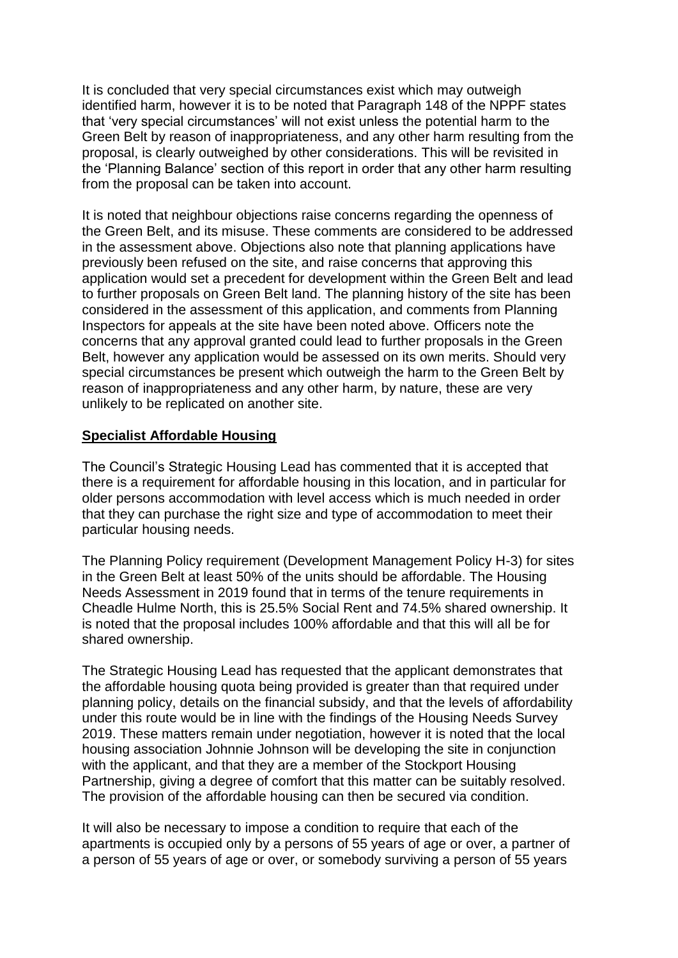It is concluded that very special circumstances exist which may outweigh identified harm, however it is to be noted that Paragraph 148 of the NPPF states that 'very special circumstances' will not exist unless the potential harm to the Green Belt by reason of inappropriateness, and any other harm resulting from the proposal, is clearly outweighed by other considerations. This will be revisited in the 'Planning Balance' section of this report in order that any other harm resulting from the proposal can be taken into account.

It is noted that neighbour objections raise concerns regarding the openness of the Green Belt, and its misuse. These comments are considered to be addressed in the assessment above. Objections also note that planning applications have previously been refused on the site, and raise concerns that approving this application would set a precedent for development within the Green Belt and lead to further proposals on Green Belt land. The planning history of the site has been considered in the assessment of this application, and comments from Planning Inspectors for appeals at the site have been noted above. Officers note the concerns that any approval granted could lead to further proposals in the Green Belt, however any application would be assessed on its own merits. Should very special circumstances be present which outweigh the harm to the Green Belt by reason of inappropriateness and any other harm, by nature, these are very unlikely to be replicated on another site.

# **Specialist Affordable Housing**

The Council's Strategic Housing Lead has commented that it is accepted that there is a requirement for affordable housing in this location, and in particular for older persons accommodation with level access which is much needed in order that they can purchase the right size and type of accommodation to meet their particular housing needs.

The Planning Policy requirement (Development Management Policy H-3) for sites in the Green Belt at least 50% of the units should be affordable. The Housing Needs Assessment in 2019 found that in terms of the tenure requirements in Cheadle Hulme North, this is 25.5% Social Rent and 74.5% shared ownership. It is noted that the proposal includes 100% affordable and that this will all be for shared ownership.

The Strategic Housing Lead has requested that the applicant demonstrates that the affordable housing quota being provided is greater than that required under planning policy, details on the financial subsidy, and that the levels of affordability under this route would be in line with the findings of the Housing Needs Survey 2019. These matters remain under negotiation, however it is noted that the local housing association Johnnie Johnson will be developing the site in conjunction with the applicant, and that they are a member of the Stockport Housing Partnership, giving a degree of comfort that this matter can be suitably resolved. The provision of the affordable housing can then be secured via condition.

It will also be necessary to impose a condition to require that each of the apartments is occupied only by a persons of 55 years of age or over, a partner of a person of 55 years of age or over, or somebody surviving a person of 55 years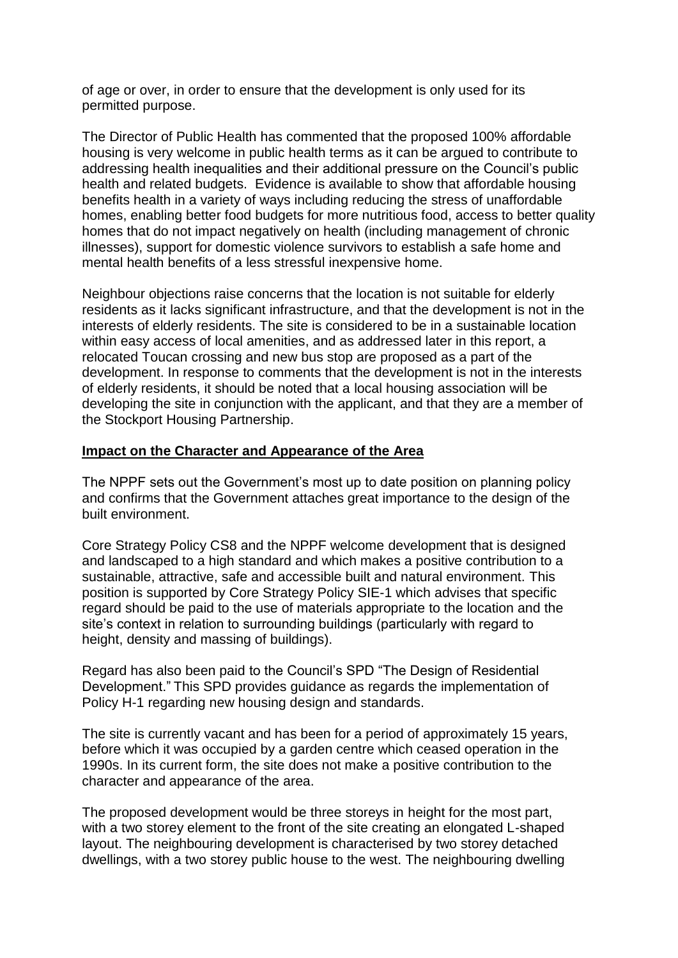of age or over, in order to ensure that the development is only used for its permitted purpose.

The Director of Public Health has commented that the proposed 100% affordable housing is very welcome in public health terms as it can be argued to contribute to addressing health inequalities and their additional pressure on the Council's public health and related budgets. Evidence is available to show that affordable housing benefits health in a variety of ways including reducing the stress of unaffordable homes, enabling better food budgets for more nutritious food, access to better quality homes that do not impact negatively on health (including management of chronic illnesses), support for domestic violence survivors to establish a safe home and mental health benefits of a less stressful inexpensive home.

Neighbour objections raise concerns that the location is not suitable for elderly residents as it lacks significant infrastructure, and that the development is not in the interests of elderly residents. The site is considered to be in a sustainable location within easy access of local amenities, and as addressed later in this report, a relocated Toucan crossing and new bus stop are proposed as a part of the development. In response to comments that the development is not in the interests of elderly residents, it should be noted that a local housing association will be developing the site in conjunction with the applicant, and that they are a member of the Stockport Housing Partnership.

#### **Impact on the Character and Appearance of the Area**

The NPPF sets out the Government's most up to date position on planning policy and confirms that the Government attaches great importance to the design of the built environment.

Core Strategy Policy CS8 and the NPPF welcome development that is designed and landscaped to a high standard and which makes a positive contribution to a sustainable, attractive, safe and accessible built and natural environment. This position is supported by Core Strategy Policy SIE-1 which advises that specific regard should be paid to the use of materials appropriate to the location and the site's context in relation to surrounding buildings (particularly with regard to height, density and massing of buildings).

Regard has also been paid to the Council's SPD "The Design of Residential Development." This SPD provides guidance as regards the implementation of Policy H-1 regarding new housing design and standards.

The site is currently vacant and has been for a period of approximately 15 years, before which it was occupied by a garden centre which ceased operation in the 1990s. In its current form, the site does not make a positive contribution to the character and appearance of the area.

The proposed development would be three storeys in height for the most part, with a two storey element to the front of the site creating an elongated L-shaped layout. The neighbouring development is characterised by two storey detached dwellings, with a two storey public house to the west. The neighbouring dwelling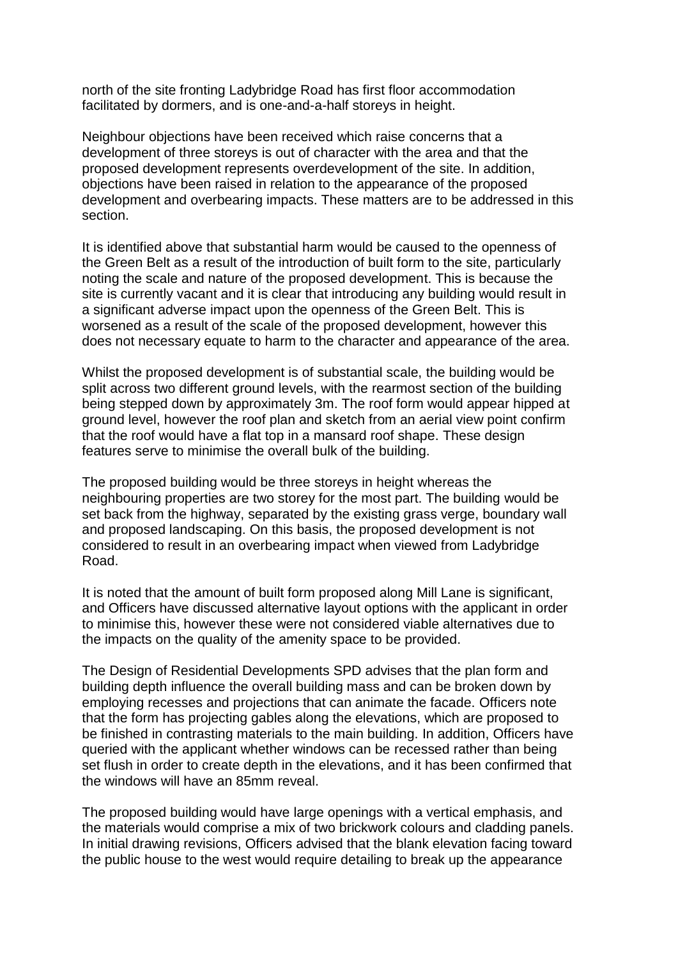north of the site fronting Ladybridge Road has first floor accommodation facilitated by dormers, and is one-and-a-half storeys in height.

Neighbour objections have been received which raise concerns that a development of three storeys is out of character with the area and that the proposed development represents overdevelopment of the site. In addition, objections have been raised in relation to the appearance of the proposed development and overbearing impacts. These matters are to be addressed in this section.

It is identified above that substantial harm would be caused to the openness of the Green Belt as a result of the introduction of built form to the site, particularly noting the scale and nature of the proposed development. This is because the site is currently vacant and it is clear that introducing any building would result in a significant adverse impact upon the openness of the Green Belt. This is worsened as a result of the scale of the proposed development, however this does not necessary equate to harm to the character and appearance of the area.

Whilst the proposed development is of substantial scale, the building would be split across two different ground levels, with the rearmost section of the building being stepped down by approximately 3m. The roof form would appear hipped at ground level, however the roof plan and sketch from an aerial view point confirm that the roof would have a flat top in a mansard roof shape. These design features serve to minimise the overall bulk of the building.

The proposed building would be three storeys in height whereas the neighbouring properties are two storey for the most part. The building would be set back from the highway, separated by the existing grass verge, boundary wall and proposed landscaping. On this basis, the proposed development is not considered to result in an overbearing impact when viewed from Ladybridge Road.

It is noted that the amount of built form proposed along Mill Lane is significant, and Officers have discussed alternative layout options with the applicant in order to minimise this, however these were not considered viable alternatives due to the impacts on the quality of the amenity space to be provided.

The Design of Residential Developments SPD advises that the plan form and building depth influence the overall building mass and can be broken down by employing recesses and projections that can animate the facade. Officers note that the form has projecting gables along the elevations, which are proposed to be finished in contrasting materials to the main building. In addition, Officers have queried with the applicant whether windows can be recessed rather than being set flush in order to create depth in the elevations, and it has been confirmed that the windows will have an 85mm reveal.

The proposed building would have large openings with a vertical emphasis, and the materials would comprise a mix of two brickwork colours and cladding panels. In initial drawing revisions, Officers advised that the blank elevation facing toward the public house to the west would require detailing to break up the appearance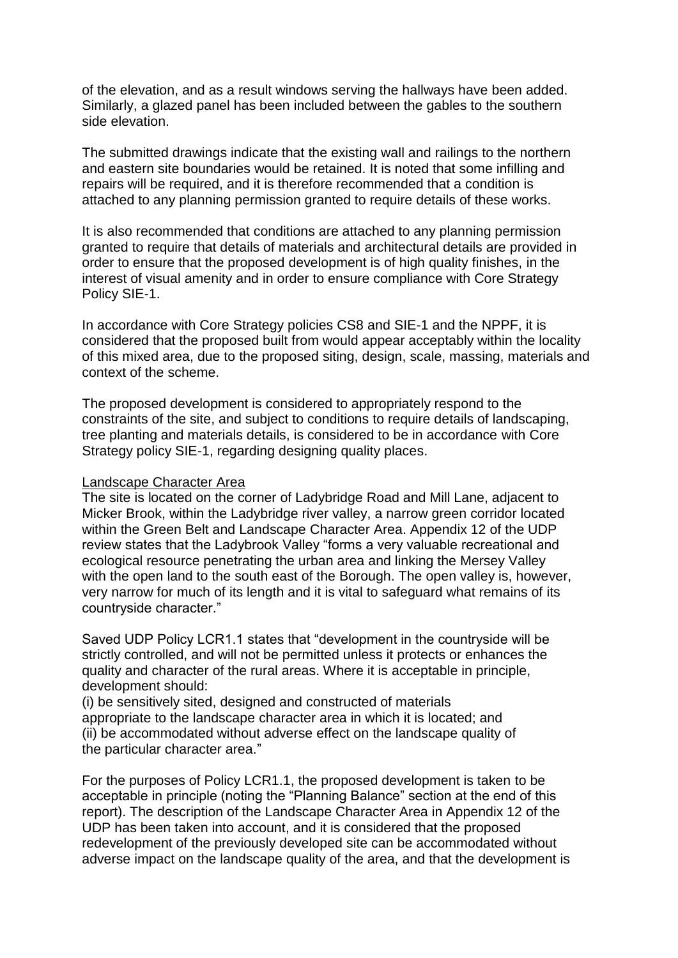of the elevation, and as a result windows serving the hallways have been added. Similarly, a glazed panel has been included between the gables to the southern side elevation.

The submitted drawings indicate that the existing wall and railings to the northern and eastern site boundaries would be retained. It is noted that some infilling and repairs will be required, and it is therefore recommended that a condition is attached to any planning permission granted to require details of these works.

It is also recommended that conditions are attached to any planning permission granted to require that details of materials and architectural details are provided in order to ensure that the proposed development is of high quality finishes, in the interest of visual amenity and in order to ensure compliance with Core Strategy Policy SIE-1.

In accordance with Core Strategy policies CS8 and SIE-1 and the NPPF, it is considered that the proposed built from would appear acceptably within the locality of this mixed area, due to the proposed siting, design, scale, massing, materials and context of the scheme.

The proposed development is considered to appropriately respond to the constraints of the site, and subject to conditions to require details of landscaping, tree planting and materials details, is considered to be in accordance with Core Strategy policy SIE-1, regarding designing quality places.

#### Landscape Character Area

The site is located on the corner of Ladybridge Road and Mill Lane, adjacent to Micker Brook, within the Ladybridge river valley, a narrow green corridor located within the Green Belt and Landscape Character Area. Appendix 12 of the UDP review states that the Ladybrook Valley "forms a very valuable recreational and ecological resource penetrating the urban area and linking the Mersey Valley with the open land to the south east of the Borough. The open valley is, however, very narrow for much of its length and it is vital to safeguard what remains of its countryside character."

Saved UDP Policy LCR1.1 states that "development in the countryside will be strictly controlled, and will not be permitted unless it protects or enhances the quality and character of the rural areas. Where it is acceptable in principle, development should:

(i) be sensitively sited, designed and constructed of materials appropriate to the landscape character area in which it is located; and (ii) be accommodated without adverse effect on the landscape quality of the particular character area."

For the purposes of Policy LCR1.1, the proposed development is taken to be acceptable in principle (noting the "Planning Balance" section at the end of this report). The description of the Landscape Character Area in Appendix 12 of the UDP has been taken into account, and it is considered that the proposed redevelopment of the previously developed site can be accommodated without adverse impact on the landscape quality of the area, and that the development is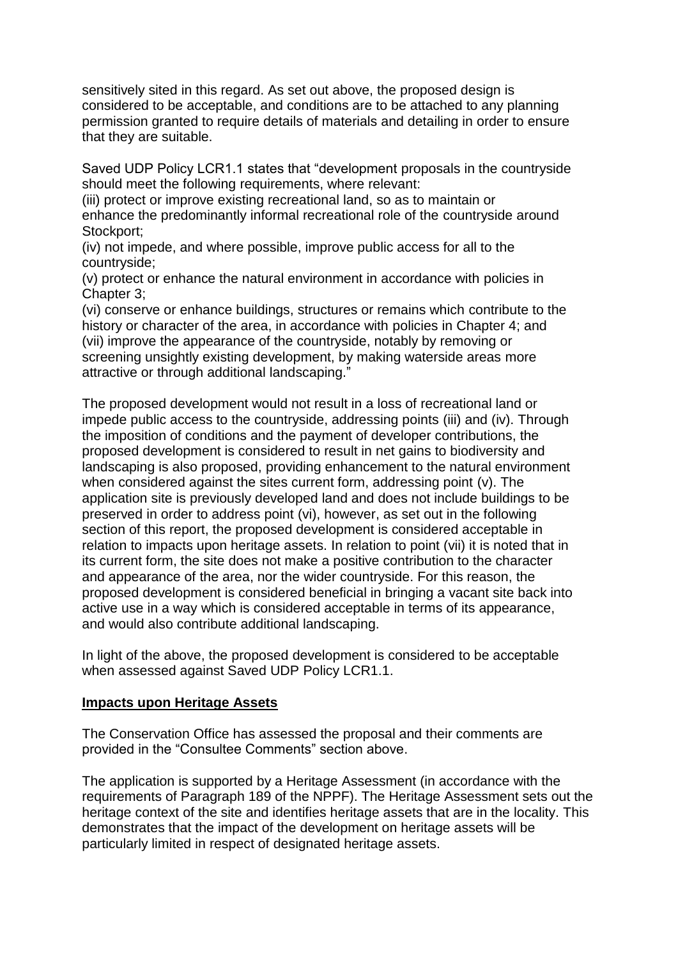sensitively sited in this regard. As set out above, the proposed design is considered to be acceptable, and conditions are to be attached to any planning permission granted to require details of materials and detailing in order to ensure that they are suitable.

Saved UDP Policy LCR1.1 states that "development proposals in the countryside should meet the following requirements, where relevant:

(iii) protect or improve existing recreational land, so as to maintain or enhance the predominantly informal recreational role of the countryside around Stockport:

(iv) not impede, and where possible, improve public access for all to the countryside;

(v) protect or enhance the natural environment in accordance with policies in Chapter 3;

(vi) conserve or enhance buildings, structures or remains which contribute to the history or character of the area, in accordance with policies in Chapter 4; and (vii) improve the appearance of the countryside, notably by removing or screening unsightly existing development, by making waterside areas more attractive or through additional landscaping."

The proposed development would not result in a loss of recreational land or impede public access to the countryside, addressing points (iii) and (iv). Through the imposition of conditions and the payment of developer contributions, the proposed development is considered to result in net gains to biodiversity and landscaping is also proposed, providing enhancement to the natural environment when considered against the sites current form, addressing point (v). The application site is previously developed land and does not include buildings to be preserved in order to address point (vi), however, as set out in the following section of this report, the proposed development is considered acceptable in relation to impacts upon heritage assets. In relation to point (vii) it is noted that in its current form, the site does not make a positive contribution to the character and appearance of the area, nor the wider countryside. For this reason, the proposed development is considered beneficial in bringing a vacant site back into active use in a way which is considered acceptable in terms of its appearance, and would also contribute additional landscaping.

In light of the above, the proposed development is considered to be acceptable when assessed against Saved UDP Policy LCR1.1.

### **Impacts upon Heritage Assets**

The Conservation Office has assessed the proposal and their comments are provided in the "Consultee Comments" section above.

The application is supported by a Heritage Assessment (in accordance with the requirements of Paragraph 189 of the NPPF). The Heritage Assessment sets out the heritage context of the site and identifies heritage assets that are in the locality. This demonstrates that the impact of the development on heritage assets will be particularly limited in respect of designated heritage assets.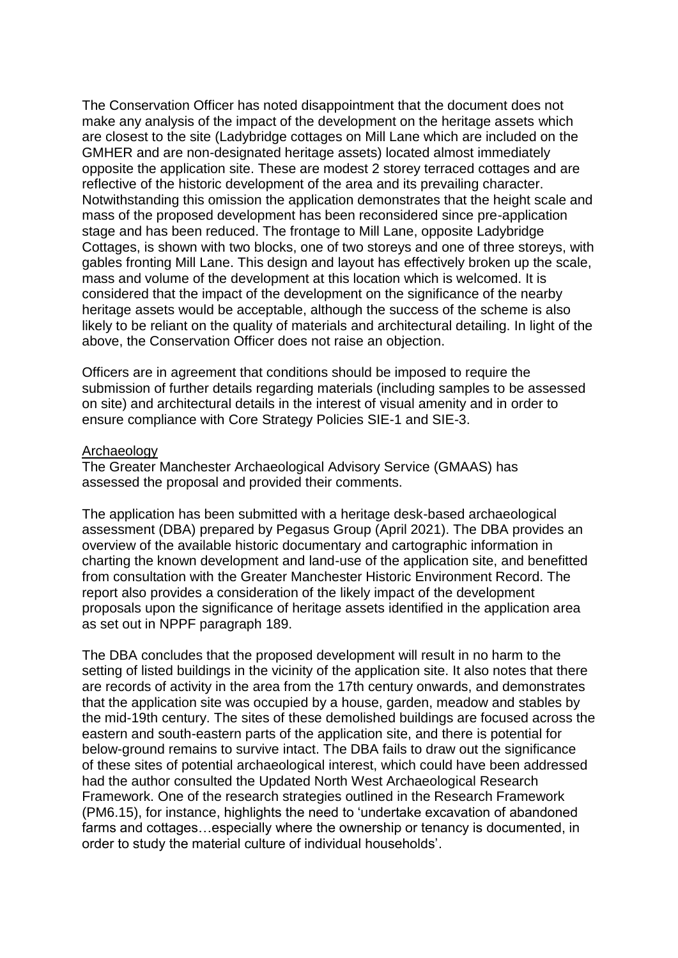The Conservation Officer has noted disappointment that the document does not make any analysis of the impact of the development on the heritage assets which are closest to the site (Ladybridge cottages on Mill Lane which are included on the GMHER and are non-designated heritage assets) located almost immediately opposite the application site. These are modest 2 storey terraced cottages and are reflective of the historic development of the area and its prevailing character. Notwithstanding this omission the application demonstrates that the height scale and mass of the proposed development has been reconsidered since pre-application stage and has been reduced. The frontage to Mill Lane, opposite Ladybridge Cottages, is shown with two blocks, one of two storeys and one of three storeys, with gables fronting Mill Lane. This design and layout has effectively broken up the scale, mass and volume of the development at this location which is welcomed. It is considered that the impact of the development on the significance of the nearby heritage assets would be acceptable, although the success of the scheme is also likely to be reliant on the quality of materials and architectural detailing. In light of the above, the Conservation Officer does not raise an objection.

Officers are in agreement that conditions should be imposed to require the submission of further details regarding materials (including samples to be assessed on site) and architectural details in the interest of visual amenity and in order to ensure compliance with Core Strategy Policies SIE-1 and SIE-3.

#### Archaeology

The Greater Manchester Archaeological Advisory Service (GMAAS) has assessed the proposal and provided their comments.

The application has been submitted with a heritage desk-based archaeological assessment (DBA) prepared by Pegasus Group (April 2021). The DBA provides an overview of the available historic documentary and cartographic information in charting the known development and land-use of the application site, and benefitted from consultation with the Greater Manchester Historic Environment Record. The report also provides a consideration of the likely impact of the development proposals upon the significance of heritage assets identified in the application area as set out in NPPF paragraph 189.

The DBA concludes that the proposed development will result in no harm to the setting of listed buildings in the vicinity of the application site. It also notes that there are records of activity in the area from the 17th century onwards, and demonstrates that the application site was occupied by a house, garden, meadow and stables by the mid-19th century. The sites of these demolished buildings are focused across the eastern and south-eastern parts of the application site, and there is potential for below-ground remains to survive intact. The DBA fails to draw out the significance of these sites of potential archaeological interest, which could have been addressed had the author consulted the Updated North West Archaeological Research Framework. One of the research strategies outlined in the Research Framework (PM6.15), for instance, highlights the need to 'undertake excavation of abandoned farms and cottages…especially where the ownership or tenancy is documented, in order to study the material culture of individual households'.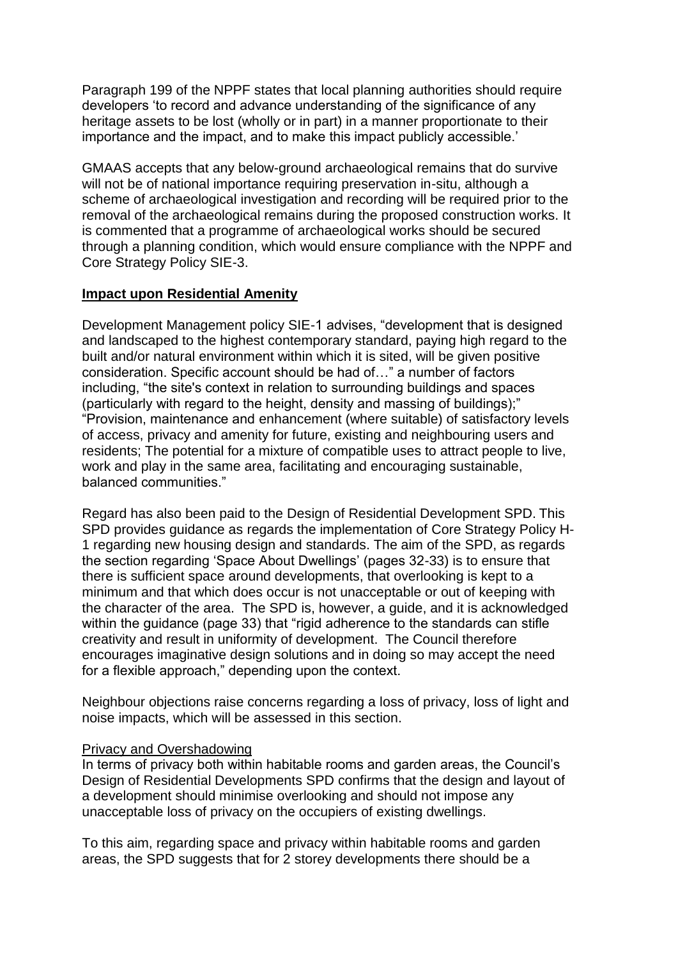Paragraph 199 of the NPPF states that local planning authorities should require developers 'to record and advance understanding of the significance of any heritage assets to be lost (wholly or in part) in a manner proportionate to their importance and the impact, and to make this impact publicly accessible.'

GMAAS accepts that any below-ground archaeological remains that do survive will not be of national importance requiring preservation in-situ, although a scheme of archaeological investigation and recording will be required prior to the removal of the archaeological remains during the proposed construction works. It is commented that a programme of archaeological works should be secured through a planning condition, which would ensure compliance with the NPPF and Core Strategy Policy SIE-3.

### **Impact upon Residential Amenity**

Development Management policy SIE-1 advises, "development that is designed and landscaped to the highest contemporary standard, paying high regard to the built and/or natural environment within which it is sited, will be given positive consideration. Specific account should be had of…" a number of factors including, "the site's context in relation to surrounding buildings and spaces (particularly with regard to the height, density and massing of buildings);" "Provision, maintenance and enhancement (where suitable) of satisfactory levels of access, privacy and amenity for future, existing and neighbouring users and residents; The potential for a mixture of compatible uses to attract people to live, work and play in the same area, facilitating and encouraging sustainable, balanced communities."

Regard has also been paid to the Design of Residential Development SPD. This SPD provides guidance as regards the implementation of Core Strategy Policy H-1 regarding new housing design and standards. The aim of the SPD, as regards the section regarding 'Space About Dwellings' (pages 32-33) is to ensure that there is sufficient space around developments, that overlooking is kept to a minimum and that which does occur is not unacceptable or out of keeping with the character of the area. The SPD is, however, a guide, and it is acknowledged within the guidance (page 33) that "rigid adherence to the standards can stifle creativity and result in uniformity of development. The Council therefore encourages imaginative design solutions and in doing so may accept the need for a flexible approach," depending upon the context.

Neighbour objections raise concerns regarding a loss of privacy, loss of light and noise impacts, which will be assessed in this section.

#### Privacy and Overshadowing

In terms of privacy both within habitable rooms and garden areas, the Council's Design of Residential Developments SPD confirms that the design and layout of a development should minimise overlooking and should not impose any unacceptable loss of privacy on the occupiers of existing dwellings.

To this aim, regarding space and privacy within habitable rooms and garden areas, the SPD suggests that for 2 storey developments there should be a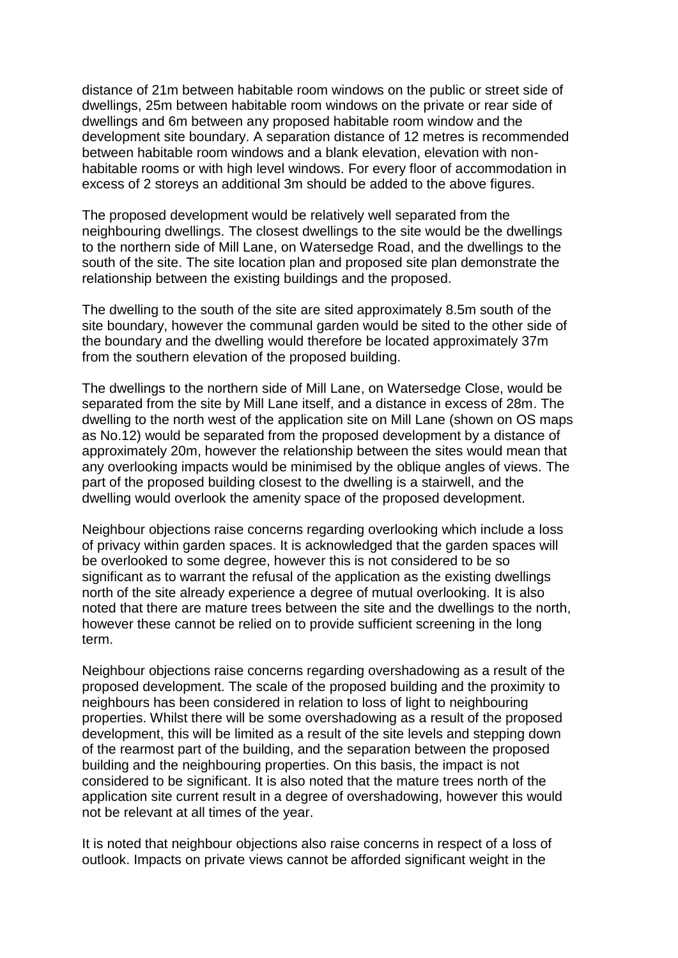distance of 21m between habitable room windows on the public or street side of dwellings, 25m between habitable room windows on the private or rear side of dwellings and 6m between any proposed habitable room window and the development site boundary. A separation distance of 12 metres is recommended between habitable room windows and a blank elevation, elevation with nonhabitable rooms or with high level windows. For every floor of accommodation in excess of 2 storeys an additional 3m should be added to the above figures.

The proposed development would be relatively well separated from the neighbouring dwellings. The closest dwellings to the site would be the dwellings to the northern side of Mill Lane, on Watersedge Road, and the dwellings to the south of the site. The site location plan and proposed site plan demonstrate the relationship between the existing buildings and the proposed.

The dwelling to the south of the site are sited approximately 8.5m south of the site boundary, however the communal garden would be sited to the other side of the boundary and the dwelling would therefore be located approximately 37m from the southern elevation of the proposed building.

The dwellings to the northern side of Mill Lane, on Watersedge Close, would be separated from the site by Mill Lane itself, and a distance in excess of 28m. The dwelling to the north west of the application site on Mill Lane (shown on OS maps as No.12) would be separated from the proposed development by a distance of approximately 20m, however the relationship between the sites would mean that any overlooking impacts would be minimised by the oblique angles of views. The part of the proposed building closest to the dwelling is a stairwell, and the dwelling would overlook the amenity space of the proposed development.

Neighbour objections raise concerns regarding overlooking which include a loss of privacy within garden spaces. It is acknowledged that the garden spaces will be overlooked to some degree, however this is not considered to be so significant as to warrant the refusal of the application as the existing dwellings north of the site already experience a degree of mutual overlooking. It is also noted that there are mature trees between the site and the dwellings to the north, however these cannot be relied on to provide sufficient screening in the long term.

Neighbour objections raise concerns regarding overshadowing as a result of the proposed development. The scale of the proposed building and the proximity to neighbours has been considered in relation to loss of light to neighbouring properties. Whilst there will be some overshadowing as a result of the proposed development, this will be limited as a result of the site levels and stepping down of the rearmost part of the building, and the separation between the proposed building and the neighbouring properties. On this basis, the impact is not considered to be significant. It is also noted that the mature trees north of the application site current result in a degree of overshadowing, however this would not be relevant at all times of the year.

It is noted that neighbour objections also raise concerns in respect of a loss of outlook. Impacts on private views cannot be afforded significant weight in the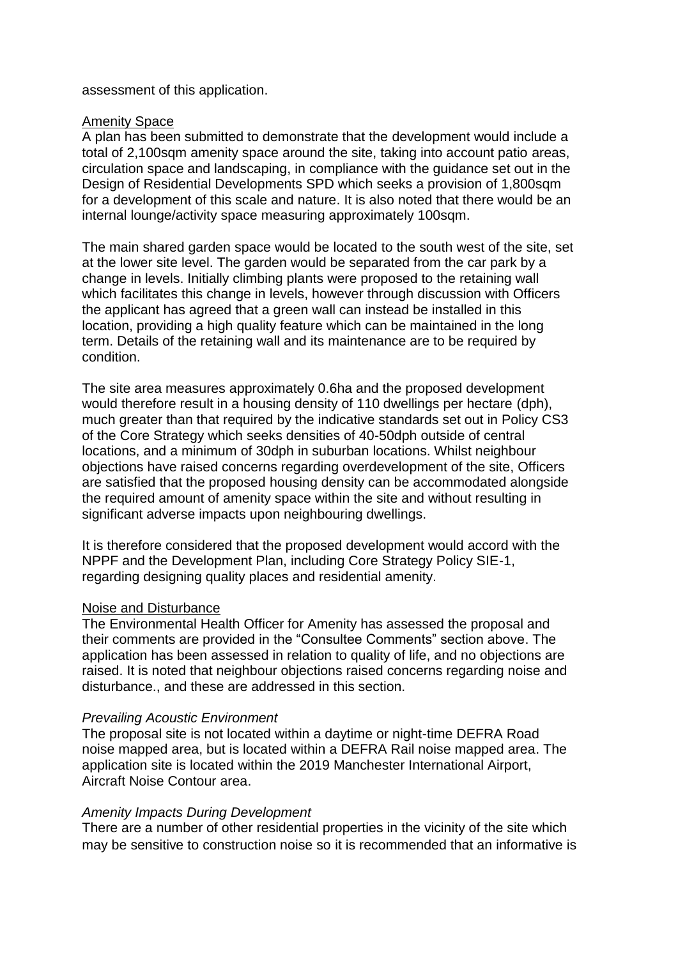#### assessment of this application.

### Amenity Space

A plan has been submitted to demonstrate that the development would include a total of 2,100sqm amenity space around the site, taking into account patio areas, circulation space and landscaping, in compliance with the guidance set out in the Design of Residential Developments SPD which seeks a provision of 1,800sqm for a development of this scale and nature. It is also noted that there would be an internal lounge/activity space measuring approximately 100sqm.

The main shared garden space would be located to the south west of the site, set at the lower site level. The garden would be separated from the car park by a change in levels. Initially climbing plants were proposed to the retaining wall which facilitates this change in levels, however through discussion with Officers the applicant has agreed that a green wall can instead be installed in this location, providing a high quality feature which can be maintained in the long term. Details of the retaining wall and its maintenance are to be required by condition.

The site area measures approximately 0.6ha and the proposed development would therefore result in a housing density of 110 dwellings per hectare (dph), much greater than that required by the indicative standards set out in Policy CS3 of the Core Strategy which seeks densities of 40-50dph outside of central locations, and a minimum of 30dph in suburban locations. Whilst neighbour objections have raised concerns regarding overdevelopment of the site, Officers are satisfied that the proposed housing density can be accommodated alongside the required amount of amenity space within the site and without resulting in significant adverse impacts upon neighbouring dwellings.

It is therefore considered that the proposed development would accord with the NPPF and the Development Plan, including Core Strategy Policy SIE-1, regarding designing quality places and residential amenity.

### Noise and Disturbance

The Environmental Health Officer for Amenity has assessed the proposal and their comments are provided in the "Consultee Comments" section above. The application has been assessed in relation to quality of life, and no objections are raised. It is noted that neighbour objections raised concerns regarding noise and disturbance., and these are addressed in this section.

#### *Prevailing Acoustic Environment*

The proposal site is not located within a daytime or night-time DEFRA Road noise mapped area, but is located within a DEFRA Rail noise mapped area. The application site is located within the 2019 Manchester International Airport, Aircraft Noise Contour area.

### *Amenity Impacts During Development*

There are a number of other residential properties in the vicinity of the site which may be sensitive to construction noise so it is recommended that an informative is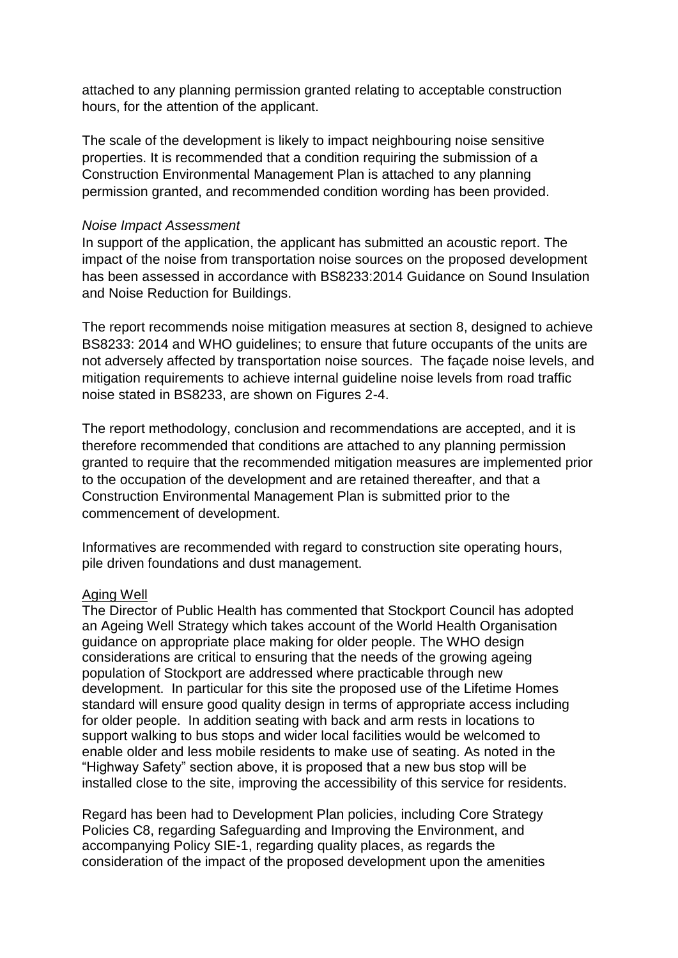attached to any planning permission granted relating to acceptable construction hours, for the attention of the applicant.

The scale of the development is likely to impact neighbouring noise sensitive properties. It is recommended that a condition requiring the submission of a Construction Environmental Management Plan is attached to any planning permission granted, and recommended condition wording has been provided.

#### *Noise Impact Assessment*

In support of the application, the applicant has submitted an acoustic report. The impact of the noise from transportation noise sources on the proposed development has been assessed in accordance with BS8233:2014 Guidance on Sound Insulation and Noise Reduction for Buildings.

The report recommends noise mitigation measures at section 8, designed to achieve BS8233: 2014 and WHO guidelines; to ensure that future occupants of the units are not adversely affected by transportation noise sources. The façade noise levels, and mitigation requirements to achieve internal guideline noise levels from road traffic noise stated in BS8233, are shown on Figures 2-4.

The report methodology, conclusion and recommendations are accepted, and it is therefore recommended that conditions are attached to any planning permission granted to require that the recommended mitigation measures are implemented prior to the occupation of the development and are retained thereafter, and that a Construction Environmental Management Plan is submitted prior to the commencement of development.

Informatives are recommended with regard to construction site operating hours, pile driven foundations and dust management.

#### Aging Well

The Director of Public Health has commented that Stockport Council has adopted an Ageing Well Strategy which takes account of the World Health Organisation guidance on appropriate place making for older people. The WHO design considerations are critical to ensuring that the needs of the growing ageing population of Stockport are addressed where practicable through new development. In particular for this site the proposed use of the Lifetime Homes standard will ensure good quality design in terms of appropriate access including for older people. In addition seating with back and arm rests in locations to support walking to bus stops and wider local facilities would be welcomed to enable older and less mobile residents to make use of seating. As noted in the "Highway Safety" section above, it is proposed that a new bus stop will be installed close to the site, improving the accessibility of this service for residents.

Regard has been had to Development Plan policies, including Core Strategy Policies C8, regarding Safeguarding and Improving the Environment, and accompanying Policy SIE-1, regarding quality places, as regards the consideration of the impact of the proposed development upon the amenities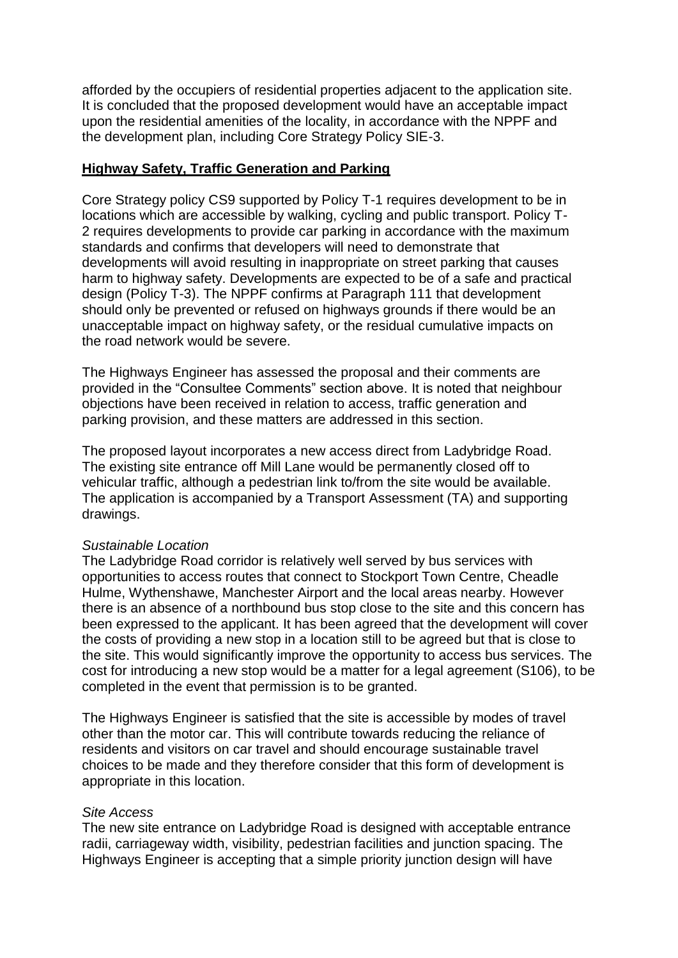afforded by the occupiers of residential properties adjacent to the application site. It is concluded that the proposed development would have an acceptable impact upon the residential amenities of the locality, in accordance with the NPPF and the development plan, including Core Strategy Policy SIE-3.

### **Highway Safety, Traffic Generation and Parking**

Core Strategy policy CS9 supported by Policy T-1 requires development to be in locations which are accessible by walking, cycling and public transport. Policy T-2 requires developments to provide car parking in accordance with the maximum standards and confirms that developers will need to demonstrate that developments will avoid resulting in inappropriate on street parking that causes harm to highway safety. Developments are expected to be of a safe and practical design (Policy T-3). The NPPF confirms at Paragraph 111 that development should only be prevented or refused on highways grounds if there would be an unacceptable impact on highway safety, or the residual cumulative impacts on the road network would be severe.

The Highways Engineer has assessed the proposal and their comments are provided in the "Consultee Comments" section above. It is noted that neighbour objections have been received in relation to access, traffic generation and parking provision, and these matters are addressed in this section.

The proposed layout incorporates a new access direct from Ladybridge Road. The existing site entrance off Mill Lane would be permanently closed off to vehicular traffic, although a pedestrian link to/from the site would be available. The application is accompanied by a Transport Assessment (TA) and supporting drawings.

#### *Sustainable Location*

The Ladybridge Road corridor is relatively well served by bus services with opportunities to access routes that connect to Stockport Town Centre, Cheadle Hulme, Wythenshawe, Manchester Airport and the local areas nearby. However there is an absence of a northbound bus stop close to the site and this concern has been expressed to the applicant. It has been agreed that the development will cover the costs of providing a new stop in a location still to be agreed but that is close to the site. This would significantly improve the opportunity to access bus services. The cost for introducing a new stop would be a matter for a legal agreement (S106), to be completed in the event that permission is to be granted.

The Highways Engineer is satisfied that the site is accessible by modes of travel other than the motor car. This will contribute towards reducing the reliance of residents and visitors on car travel and should encourage sustainable travel choices to be made and they therefore consider that this form of development is appropriate in this location.

#### *Site Access*

The new site entrance on Ladybridge Road is designed with acceptable entrance radii, carriageway width, visibility, pedestrian facilities and junction spacing. The Highways Engineer is accepting that a simple priority junction design will have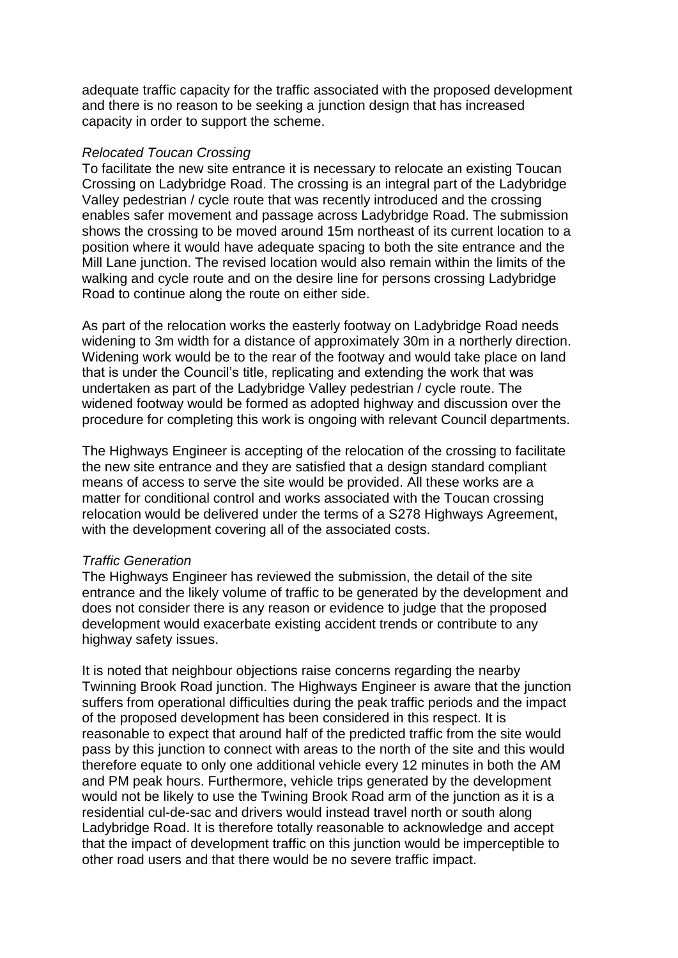adequate traffic capacity for the traffic associated with the proposed development and there is no reason to be seeking a junction design that has increased capacity in order to support the scheme.

#### *Relocated Toucan Crossing*

To facilitate the new site entrance it is necessary to relocate an existing Toucan Crossing on Ladybridge Road. The crossing is an integral part of the Ladybridge Valley pedestrian / cycle route that was recently introduced and the crossing enables safer movement and passage across Ladybridge Road. The submission shows the crossing to be moved around 15m northeast of its current location to a position where it would have adequate spacing to both the site entrance and the Mill Lane junction. The revised location would also remain within the limits of the walking and cycle route and on the desire line for persons crossing Ladybridge Road to continue along the route on either side.

As part of the relocation works the easterly footway on Ladybridge Road needs widening to 3m width for a distance of approximately 30m in a northerly direction. Widening work would be to the rear of the footway and would take place on land that is under the Council's title, replicating and extending the work that was undertaken as part of the Ladybridge Valley pedestrian  $\overline{\prime}$  cycle route. The widened footway would be formed as adopted highway and discussion over the procedure for completing this work is ongoing with relevant Council departments.

The Highways Engineer is accepting of the relocation of the crossing to facilitate the new site entrance and they are satisfied that a design standard compliant means of access to serve the site would be provided. All these works are a matter for conditional control and works associated with the Toucan crossing relocation would be delivered under the terms of a S278 Highways Agreement, with the development covering all of the associated costs.

#### *Traffic Generation*

The Highways Engineer has reviewed the submission, the detail of the site entrance and the likely volume of traffic to be generated by the development and does not consider there is any reason or evidence to judge that the proposed development would exacerbate existing accident trends or contribute to any highway safety issues.

It is noted that neighbour objections raise concerns regarding the nearby Twinning Brook Road junction. The Highways Engineer is aware that the junction suffers from operational difficulties during the peak traffic periods and the impact of the proposed development has been considered in this respect. It is reasonable to expect that around half of the predicted traffic from the site would pass by this junction to connect with areas to the north of the site and this would therefore equate to only one additional vehicle every 12 minutes in both the AM and PM peak hours. Furthermore, vehicle trips generated by the development would not be likely to use the Twining Brook Road arm of the junction as it is a residential cul-de-sac and drivers would instead travel north or south along Ladybridge Road. It is therefore totally reasonable to acknowledge and accept that the impact of development traffic on this junction would be imperceptible to other road users and that there would be no severe traffic impact.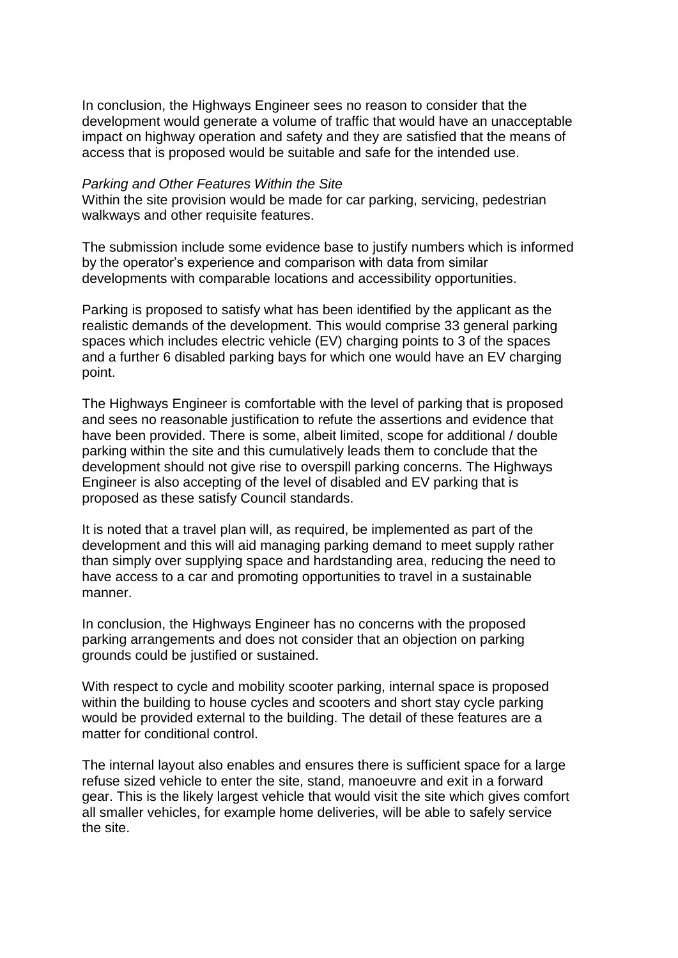In conclusion, the Highways Engineer sees no reason to consider that the development would generate a volume of traffic that would have an unacceptable impact on highway operation and safety and they are satisfied that the means of access that is proposed would be suitable and safe for the intended use.

#### *Parking and Other Features Within the Site*

Within the site provision would be made for car parking, servicing, pedestrian walkways and other requisite features.

The submission include some evidence base to justify numbers which is informed by the operator's experience and comparison with data from similar developments with comparable locations and accessibility opportunities.

Parking is proposed to satisfy what has been identified by the applicant as the realistic demands of the development. This would comprise 33 general parking spaces which includes electric vehicle (EV) charging points to 3 of the spaces and a further 6 disabled parking bays for which one would have an EV charging point.

The Highways Engineer is comfortable with the level of parking that is proposed and sees no reasonable justification to refute the assertions and evidence that have been provided. There is some, albeit limited, scope for additional / double parking within the site and this cumulatively leads them to conclude that the development should not give rise to overspill parking concerns. The Highways Engineer is also accepting of the level of disabled and EV parking that is proposed as these satisfy Council standards.

It is noted that a travel plan will, as required, be implemented as part of the development and this will aid managing parking demand to meet supply rather than simply over supplying space and hardstanding area, reducing the need to have access to a car and promoting opportunities to travel in a sustainable manner.

In conclusion, the Highways Engineer has no concerns with the proposed parking arrangements and does not consider that an objection on parking grounds could be justified or sustained.

With respect to cycle and mobility scooter parking, internal space is proposed within the building to house cycles and scooters and short stay cycle parking would be provided external to the building. The detail of these features are a matter for conditional control.

The internal layout also enables and ensures there is sufficient space for a large refuse sized vehicle to enter the site, stand, manoeuvre and exit in a forward gear. This is the likely largest vehicle that would visit the site which gives comfort all smaller vehicles, for example home deliveries, will be able to safely service the site.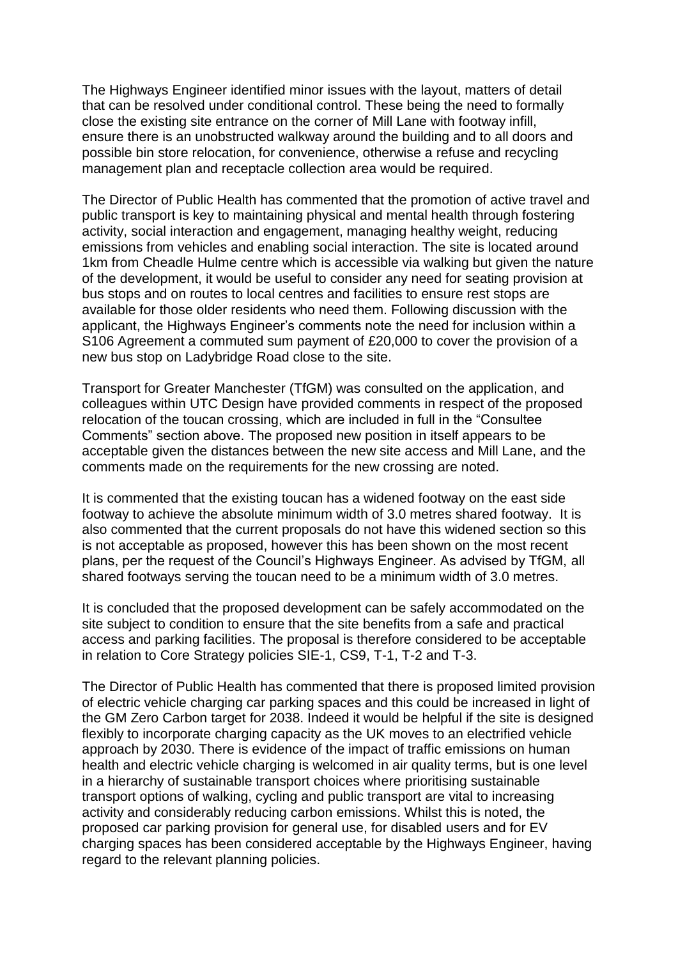The Highways Engineer identified minor issues with the layout, matters of detail that can be resolved under conditional control. These being the need to formally close the existing site entrance on the corner of Mill Lane with footway infill, ensure there is an unobstructed walkway around the building and to all doors and possible bin store relocation, for convenience, otherwise a refuse and recycling management plan and receptacle collection area would be required.

The Director of Public Health has commented that the promotion of active travel and public transport is key to maintaining physical and mental health through fostering activity, social interaction and engagement, managing healthy weight, reducing emissions from vehicles and enabling social interaction. The site is located around 1km from Cheadle Hulme centre which is accessible via walking but given the nature of the development, it would be useful to consider any need for seating provision at bus stops and on routes to local centres and facilities to ensure rest stops are available for those older residents who need them. Following discussion with the applicant, the Highways Engineer's comments note the need for inclusion within a S106 Agreement a commuted sum payment of £20,000 to cover the provision of a new bus stop on Ladybridge Road close to the site.

Transport for Greater Manchester (TfGM) was consulted on the application, and colleagues within UTC Design have provided comments in respect of the proposed relocation of the toucan crossing, which are included in full in the "Consultee Comments" section above. The proposed new position in itself appears to be acceptable given the distances between the new site access and Mill Lane, and the comments made on the requirements for the new crossing are noted.

It is commented that the existing toucan has a widened footway on the east side footway to achieve the absolute minimum width of 3.0 metres shared footway. It is also commented that the current proposals do not have this widened section so this is not acceptable as proposed, however this has been shown on the most recent plans, per the request of the Council's Highways Engineer. As advised by TfGM, all shared footways serving the toucan need to be a minimum width of 3.0 metres.

It is concluded that the proposed development can be safely accommodated on the site subject to condition to ensure that the site benefits from a safe and practical access and parking facilities. The proposal is therefore considered to be acceptable in relation to Core Strategy policies SIE-1, CS9, T-1, T-2 and T-3.

The Director of Public Health has commented that there is proposed limited provision of electric vehicle charging car parking spaces and this could be increased in light of the GM Zero Carbon target for 2038. Indeed it would be helpful if the site is designed flexibly to incorporate charging capacity as the UK moves to an electrified vehicle approach by 2030. There is evidence of the impact of traffic emissions on human health and electric vehicle charging is welcomed in air quality terms, but is one level in a hierarchy of sustainable transport choices where prioritising sustainable transport options of walking, cycling and public transport are vital to increasing activity and considerably reducing carbon emissions. Whilst this is noted, the proposed car parking provision for general use, for disabled users and for EV charging spaces has been considered acceptable by the Highways Engineer, having regard to the relevant planning policies.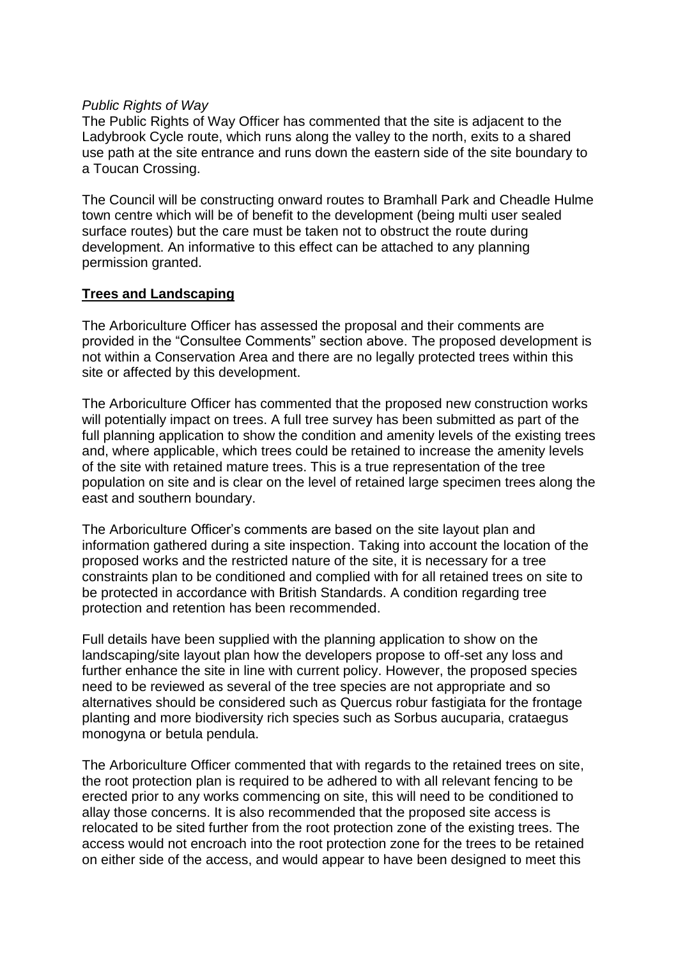### *Public Rights of Way*

The Public Rights of Way Officer has commented that the site is adjacent to the Ladybrook Cycle route, which runs along the valley to the north, exits to a shared use path at the site entrance and runs down the eastern side of the site boundary to a Toucan Crossing.

The Council will be constructing onward routes to Bramhall Park and Cheadle Hulme town centre which will be of benefit to the development (being multi user sealed surface routes) but the care must be taken not to obstruct the route during development. An informative to this effect can be attached to any planning permission granted.

### **Trees and Landscaping**

The Arboriculture Officer has assessed the proposal and their comments are provided in the "Consultee Comments" section above. The proposed development is not within a Conservation Area and there are no legally protected trees within this site or affected by this development.

The Arboriculture Officer has commented that the proposed new construction works will potentially impact on trees. A full tree survey has been submitted as part of the full planning application to show the condition and amenity levels of the existing trees and, where applicable, which trees could be retained to increase the amenity levels of the site with retained mature trees. This is a true representation of the tree population on site and is clear on the level of retained large specimen trees along the east and southern boundary.

The Arboriculture Officer's comments are based on the site layout plan and information gathered during a site inspection. Taking into account the location of the proposed works and the restricted nature of the site, it is necessary for a tree constraints plan to be conditioned and complied with for all retained trees on site to be protected in accordance with British Standards. A condition regarding tree protection and retention has been recommended.

Full details have been supplied with the planning application to show on the landscaping/site layout plan how the developers propose to off-set any loss and further enhance the site in line with current policy. However, the proposed species need to be reviewed as several of the tree species are not appropriate and so alternatives should be considered such as Quercus robur fastigiata for the frontage planting and more biodiversity rich species such as Sorbus aucuparia, crataegus monogyna or betula pendula.

The Arboriculture Officer commented that with regards to the retained trees on site, the root protection plan is required to be adhered to with all relevant fencing to be erected prior to any works commencing on site, this will need to be conditioned to allay those concerns. It is also recommended that the proposed site access is relocated to be sited further from the root protection zone of the existing trees. The access would not encroach into the root protection zone for the trees to be retained on either side of the access, and would appear to have been designed to meet this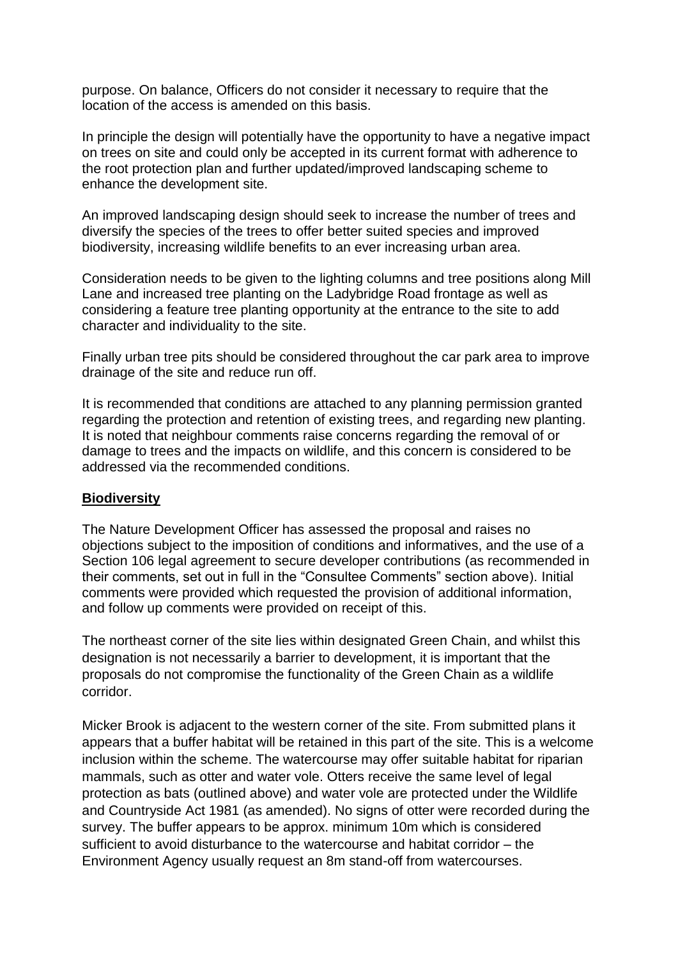purpose. On balance, Officers do not consider it necessary to require that the location of the access is amended on this basis.

In principle the design will potentially have the opportunity to have a negative impact on trees on site and could only be accepted in its current format with adherence to the root protection plan and further updated/improved landscaping scheme to enhance the development site.

An improved landscaping design should seek to increase the number of trees and diversify the species of the trees to offer better suited species and improved biodiversity, increasing wildlife benefits to an ever increasing urban area.

Consideration needs to be given to the lighting columns and tree positions along Mill Lane and increased tree planting on the Ladybridge Road frontage as well as considering a feature tree planting opportunity at the entrance to the site to add character and individuality to the site.

Finally urban tree pits should be considered throughout the car park area to improve drainage of the site and reduce run off.

It is recommended that conditions are attached to any planning permission granted regarding the protection and retention of existing trees, and regarding new planting. It is noted that neighbour comments raise concerns regarding the removal of or damage to trees and the impacts on wildlife, and this concern is considered to be addressed via the recommended conditions.

### **Biodiversity**

The Nature Development Officer has assessed the proposal and raises no objections subject to the imposition of conditions and informatives, and the use of a Section 106 legal agreement to secure developer contributions (as recommended in their comments, set out in full in the "Consultee Comments" section above). Initial comments were provided which requested the provision of additional information, and follow up comments were provided on receipt of this.

The northeast corner of the site lies within designated Green Chain, and whilst this designation is not necessarily a barrier to development, it is important that the proposals do not compromise the functionality of the Green Chain as a wildlife corridor.

Micker Brook is adjacent to the western corner of the site. From submitted plans it appears that a buffer habitat will be retained in this part of the site. This is a welcome inclusion within the scheme. The watercourse may offer suitable habitat for riparian mammals, such as otter and water vole. Otters receive the same level of legal protection as bats (outlined above) and water vole are protected under the Wildlife and Countryside Act 1981 (as amended). No signs of otter were recorded during the survey. The buffer appears to be approx. minimum 10m which is considered sufficient to avoid disturbance to the watercourse and habitat corridor – the Environment Agency usually request an 8m stand-off from watercourses.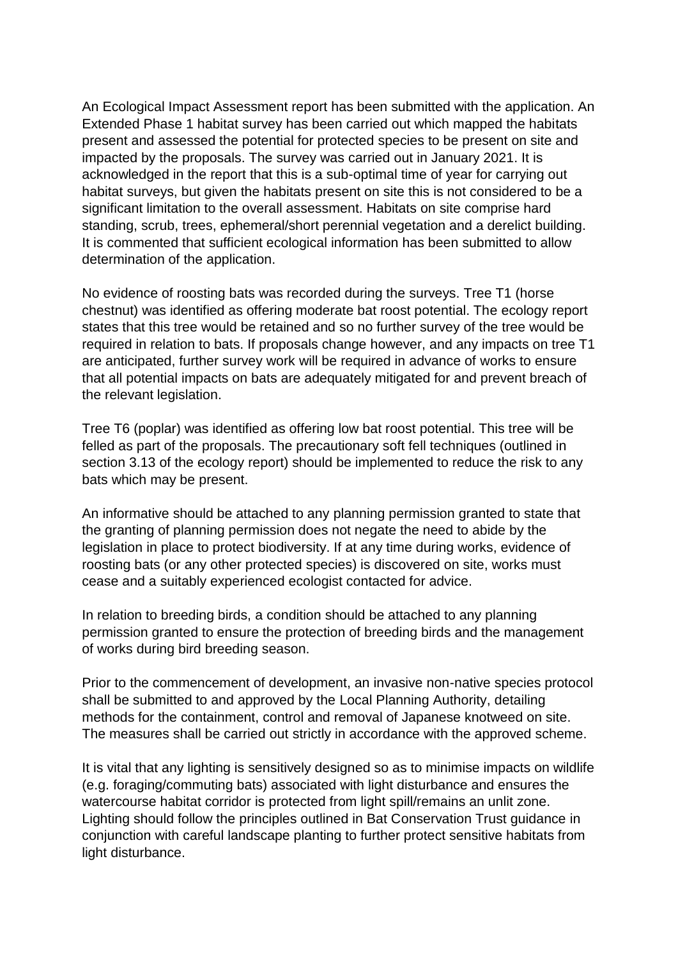An Ecological Impact Assessment report has been submitted with the application. An Extended Phase 1 habitat survey has been carried out which mapped the habitats present and assessed the potential for protected species to be present on site and impacted by the proposals. The survey was carried out in January 2021. It is acknowledged in the report that this is a sub-optimal time of year for carrying out habitat surveys, but given the habitats present on site this is not considered to be a significant limitation to the overall assessment. Habitats on site comprise hard standing, scrub, trees, ephemeral/short perennial vegetation and a derelict building. It is commented that sufficient ecological information has been submitted to allow determination of the application.

No evidence of roosting bats was recorded during the surveys. Tree T1 (horse chestnut) was identified as offering moderate bat roost potential. The ecology report states that this tree would be retained and so no further survey of the tree would be required in relation to bats. If proposals change however, and any impacts on tree T1 are anticipated, further survey work will be required in advance of works to ensure that all potential impacts on bats are adequately mitigated for and prevent breach of the relevant legislation.

Tree T6 (poplar) was identified as offering low bat roost potential. This tree will be felled as part of the proposals. The precautionary soft fell techniques (outlined in section 3.13 of the ecology report) should be implemented to reduce the risk to any bats which may be present.

An informative should be attached to any planning permission granted to state that the granting of planning permission does not negate the need to abide by the legislation in place to protect biodiversity. If at any time during works, evidence of roosting bats (or any other protected species) is discovered on site, works must cease and a suitably experienced ecologist contacted for advice.

In relation to breeding birds, a condition should be attached to any planning permission granted to ensure the protection of breeding birds and the management of works during bird breeding season.

Prior to the commencement of development, an invasive non-native species protocol shall be submitted to and approved by the Local Planning Authority, detailing methods for the containment, control and removal of Japanese knotweed on site. The measures shall be carried out strictly in accordance with the approved scheme.

It is vital that any lighting is sensitively designed so as to minimise impacts on wildlife (e.g. foraging/commuting bats) associated with light disturbance and ensures the watercourse habitat corridor is protected from light spill/remains an unlit zone. Lighting should follow the principles outlined in Bat Conservation Trust guidance in conjunction with careful landscape planting to further protect sensitive habitats from light disturbance.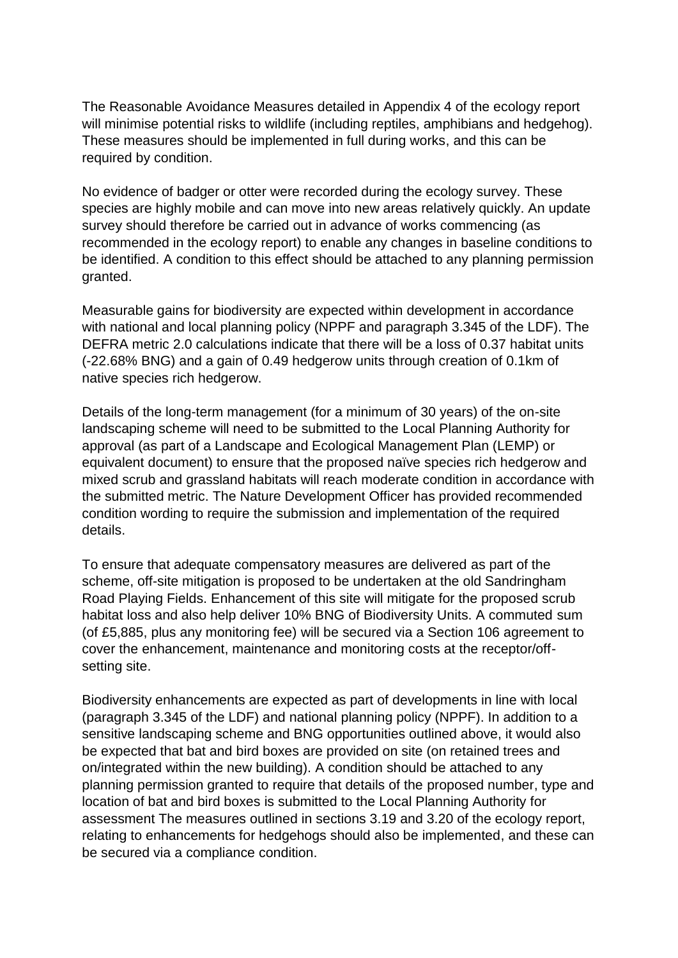The Reasonable Avoidance Measures detailed in Appendix 4 of the ecology report will minimise potential risks to wildlife (including reptiles, amphibians and hedgehog). These measures should be implemented in full during works, and this can be required by condition.

No evidence of badger or otter were recorded during the ecology survey. These species are highly mobile and can move into new areas relatively quickly. An update survey should therefore be carried out in advance of works commencing (as recommended in the ecology report) to enable any changes in baseline conditions to be identified. A condition to this effect should be attached to any planning permission granted.

Measurable gains for biodiversity are expected within development in accordance with national and local planning policy (NPPF and paragraph 3.345 of the LDF). The DEFRA metric 2.0 calculations indicate that there will be a loss of 0.37 habitat units (-22.68% BNG) and a gain of 0.49 hedgerow units through creation of 0.1km of native species rich hedgerow.

Details of the long-term management (for a minimum of 30 years) of the on-site landscaping scheme will need to be submitted to the Local Planning Authority for approval (as part of a Landscape and Ecological Management Plan (LEMP) or equivalent document) to ensure that the proposed naïve species rich hedgerow and mixed scrub and grassland habitats will reach moderate condition in accordance with the submitted metric. The Nature Development Officer has provided recommended condition wording to require the submission and implementation of the required details.

To ensure that adequate compensatory measures are delivered as part of the scheme, off-site mitigation is proposed to be undertaken at the old Sandringham Road Playing Fields. Enhancement of this site will mitigate for the proposed scrub habitat loss and also help deliver 10% BNG of Biodiversity Units. A commuted sum (of £5,885, plus any monitoring fee) will be secured via a Section 106 agreement to cover the enhancement, maintenance and monitoring costs at the receptor/offsetting site.

Biodiversity enhancements are expected as part of developments in line with local (paragraph 3.345 of the LDF) and national planning policy (NPPF). In addition to a sensitive landscaping scheme and BNG opportunities outlined above, it would also be expected that bat and bird boxes are provided on site (on retained trees and on/integrated within the new building). A condition should be attached to any planning permission granted to require that details of the proposed number, type and location of bat and bird boxes is submitted to the Local Planning Authority for assessment The measures outlined in sections 3.19 and 3.20 of the ecology report, relating to enhancements for hedgehogs should also be implemented, and these can be secured via a compliance condition.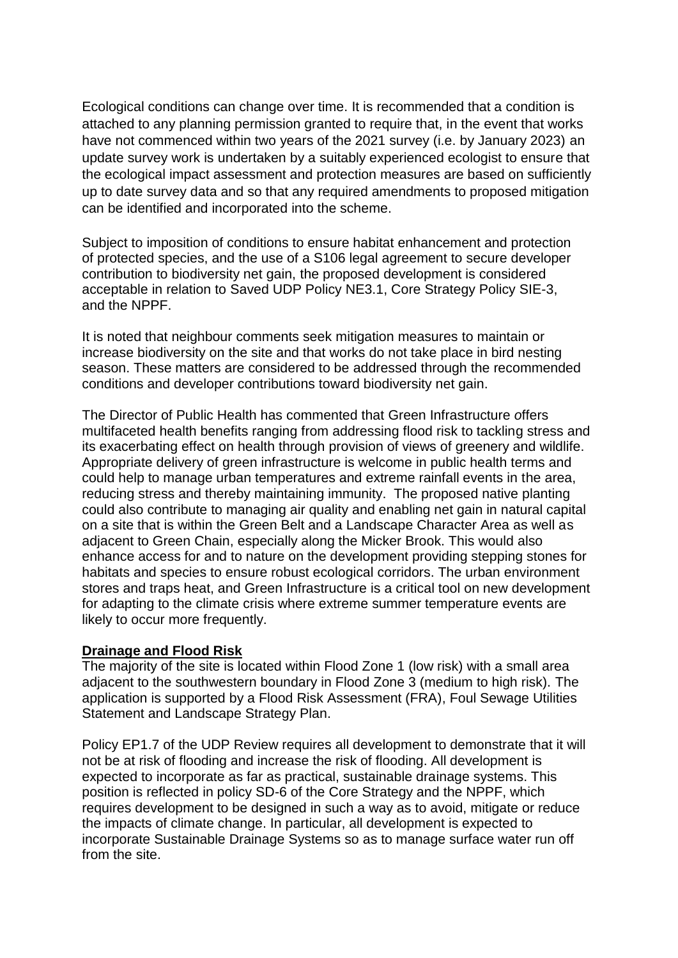Ecological conditions can change over time. It is recommended that a condition is attached to any planning permission granted to require that, in the event that works have not commenced within two years of the 2021 survey (i.e. by January 2023) an update survey work is undertaken by a suitably experienced ecologist to ensure that the ecological impact assessment and protection measures are based on sufficiently up to date survey data and so that any required amendments to proposed mitigation can be identified and incorporated into the scheme.

Subject to imposition of conditions to ensure habitat enhancement and protection of protected species, and the use of a S106 legal agreement to secure developer contribution to biodiversity net gain, the proposed development is considered acceptable in relation to Saved UDP Policy NE3.1, Core Strategy Policy SIE-3, and the NPPF.

It is noted that neighbour comments seek mitigation measures to maintain or increase biodiversity on the site and that works do not take place in bird nesting season. These matters are considered to be addressed through the recommended conditions and developer contributions toward biodiversity net gain.

The Director of Public Health has commented that Green Infrastructure *o*ffers multifaceted health benefits ranging from addressing flood risk to tackling stress and its exacerbating effect on health through provision of views of greenery and wildlife. Appropriate delivery of green infrastructure is welcome in public health terms and could help to manage urban temperatures and extreme rainfall events in the area, reducing stress and thereby maintaining immunity. The proposed native planting could also contribute to managing air quality and enabling net gain in natural capital on a site that is within the Green Belt and a Landscape Character Area as well as adjacent to Green Chain, especially along the Micker Brook. This would also enhance access for and to nature on the development providing stepping stones for habitats and species to ensure robust ecological corridors. The urban environment stores and traps heat, and Green Infrastructure is a critical tool on new development for adapting to the climate crisis where extreme summer temperature events are likely to occur more frequently.

#### **Drainage and Flood Risk**

The majority of the site is located within Flood Zone 1 (low risk) with a small area adjacent to the southwestern boundary in Flood Zone 3 (medium to high risk). The application is supported by a Flood Risk Assessment (FRA), Foul Sewage Utilities Statement and Landscape Strategy Plan.

Policy EP1.7 of the UDP Review requires all development to demonstrate that it will not be at risk of flooding and increase the risk of flooding. All development is expected to incorporate as far as practical, sustainable drainage systems. This position is reflected in policy SD-6 of the Core Strategy and the NPPF, which requires development to be designed in such a way as to avoid, mitigate or reduce the impacts of climate change. In particular, all development is expected to incorporate Sustainable Drainage Systems so as to manage surface water run off from the site.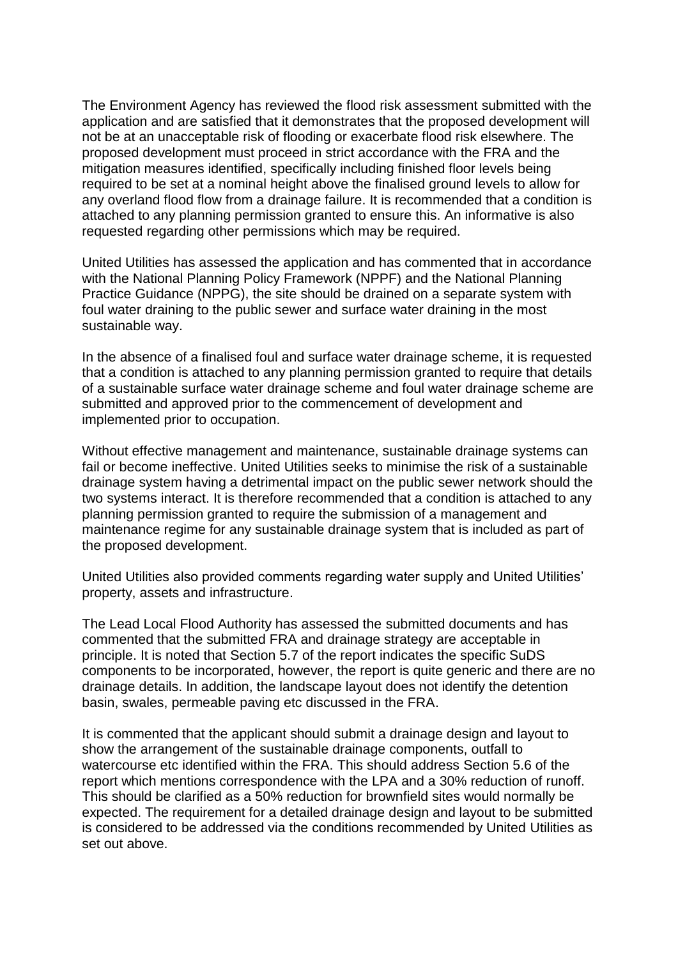The Environment Agency has reviewed the flood risk assessment submitted with the application and are satisfied that it demonstrates that the proposed development will not be at an unacceptable risk of flooding or exacerbate flood risk elsewhere. The proposed development must proceed in strict accordance with the FRA and the mitigation measures identified, specifically including finished floor levels being required to be set at a nominal height above the finalised ground levels to allow for any overland flood flow from a drainage failure. It is recommended that a condition is attached to any planning permission granted to ensure this. An informative is also requested regarding other permissions which may be required.

United Utilities has assessed the application and has commented that in accordance with the National Planning Policy Framework (NPPF) and the National Planning Practice Guidance (NPPG), the site should be drained on a separate system with foul water draining to the public sewer and surface water draining in the most sustainable way.

In the absence of a finalised foul and surface water drainage scheme, it is requested that a condition is attached to any planning permission granted to require that details of a sustainable surface water drainage scheme and foul water drainage scheme are submitted and approved prior to the commencement of development and implemented prior to occupation.

Without effective management and maintenance, sustainable drainage systems can fail or become ineffective. United Utilities seeks to minimise the risk of a sustainable drainage system having a detrimental impact on the public sewer network should the two systems interact. It is therefore recommended that a condition is attached to any planning permission granted to require the submission of a management and maintenance regime for any sustainable drainage system that is included as part of the proposed development.

United Utilities also provided comments regarding water supply and United Utilities' property, assets and infrastructure.

The Lead Local Flood Authority has assessed the submitted documents and has commented that the submitted FRA and drainage strategy are acceptable in principle. It is noted that Section 5.7 of the report indicates the specific SuDS components to be incorporated, however, the report is quite generic and there are no drainage details. In addition, the landscape layout does not identify the detention basin, swales, permeable paving etc discussed in the FRA.

It is commented that the applicant should submit a drainage design and layout to show the arrangement of the sustainable drainage components, outfall to watercourse etc identified within the FRA. This should address Section 5.6 of the report which mentions correspondence with the LPA and a 30% reduction of runoff. This should be clarified as a 50% reduction for brownfield sites would normally be expected. The requirement for a detailed drainage design and layout to be submitted is considered to be addressed via the conditions recommended by United Utilities as set out above.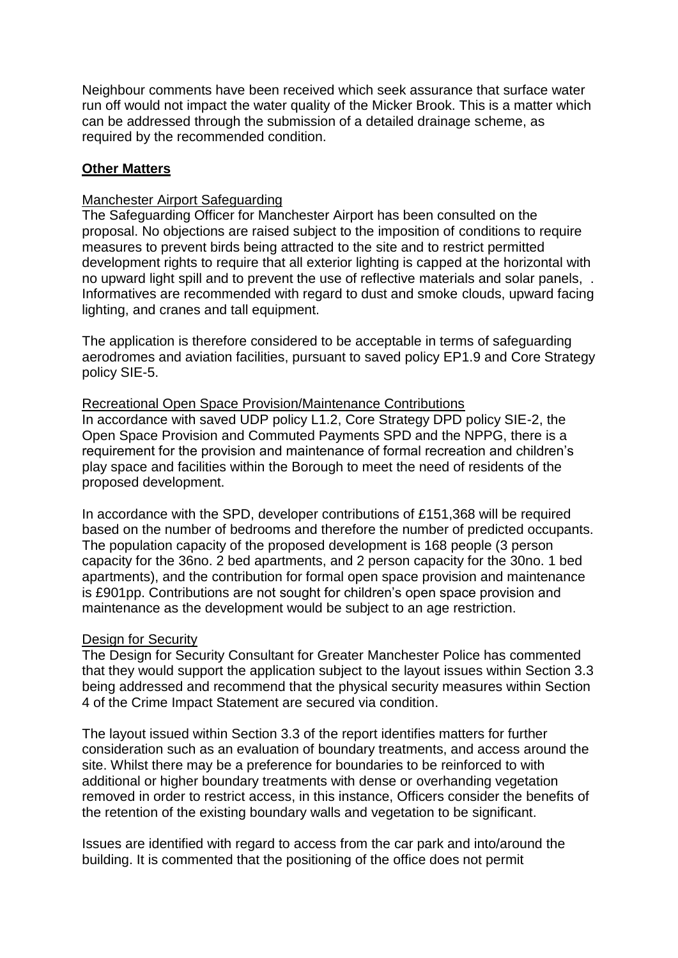Neighbour comments have been received which seek assurance that surface water run off would not impact the water quality of the Micker Brook. This is a matter which can be addressed through the submission of a detailed drainage scheme, as required by the recommended condition.

### **Other Matters**

### Manchester Airport Safeguarding

The Safeguarding Officer for Manchester Airport has been consulted on the proposal. No objections are raised subject to the imposition of conditions to require measures to prevent birds being attracted to the site and to restrict permitted development rights to require that all exterior lighting is capped at the horizontal with no upward light spill and to prevent the use of reflective materials and solar panels, . Informatives are recommended with regard to dust and smoke clouds, upward facing lighting, and cranes and tall equipment.

The application is therefore considered to be acceptable in terms of safeguarding aerodromes and aviation facilities, pursuant to saved policy EP1.9 and Core Strategy policy SIE-5.

### Recreational Open Space Provision/Maintenance Contributions

In accordance with saved UDP policy L1.2, Core Strategy DPD policy SIE-2, the Open Space Provision and Commuted Payments SPD and the NPPG, there is a requirement for the provision and maintenance of formal recreation and children's play space and facilities within the Borough to meet the need of residents of the proposed development.

In accordance with the SPD, developer contributions of £151,368 will be required based on the number of bedrooms and therefore the number of predicted occupants. The population capacity of the proposed development is 168 people (3 person capacity for the 36no. 2 bed apartments, and 2 person capacity for the 30no. 1 bed apartments), and the contribution for formal open space provision and maintenance is £901pp. Contributions are not sought for children's open space provision and maintenance as the development would be subject to an age restriction.

#### Design for Security

The Design for Security Consultant for Greater Manchester Police has commented that they would support the application subject to the layout issues within Section 3.3 being addressed and recommend that the physical security measures within Section 4 of the Crime Impact Statement are secured via condition.

The layout issued within Section 3.3 of the report identifies matters for further consideration such as an evaluation of boundary treatments, and access around the site. Whilst there may be a preference for boundaries to be reinforced to with additional or higher boundary treatments with dense or overhanding vegetation removed in order to restrict access, in this instance, Officers consider the benefits of the retention of the existing boundary walls and vegetation to be significant.

Issues are identified with regard to access from the car park and into/around the building. It is commented that the positioning of the office does not permit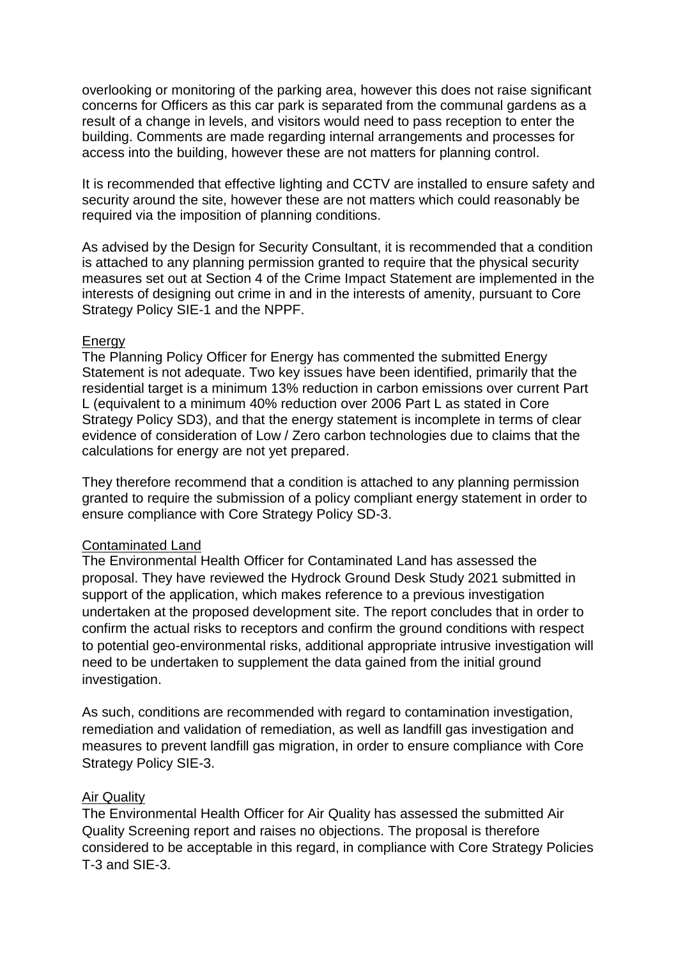overlooking or monitoring of the parking area, however this does not raise significant concerns for Officers as this car park is separated from the communal gardens as a result of a change in levels, and visitors would need to pass reception to enter the building. Comments are made regarding internal arrangements and processes for access into the building, however these are not matters for planning control.

It is recommended that effective lighting and CCTV are installed to ensure safety and security around the site, however these are not matters which could reasonably be required via the imposition of planning conditions.

As advised by the Design for Security Consultant, it is recommended that a condition is attached to any planning permission granted to require that the physical security measures set out at Section 4 of the Crime Impact Statement are implemented in the interests of designing out crime in and in the interests of amenity, pursuant to Core Strategy Policy SIE-1 and the NPPF.

#### **Energy**

The Planning Policy Officer for Energy has commented the submitted Energy Statement is not adequate. Two key issues have been identified, primarily that the residential target is a minimum 13% reduction in carbon emissions over current Part L (equivalent to a minimum 40% reduction over 2006 Part L as stated in Core Strategy Policy SD3), and that the energy statement is incomplete in terms of clear evidence of consideration of Low / Zero carbon technologies due to claims that the calculations for energy are not yet prepared.

They therefore recommend that a condition is attached to any planning permission granted to require the submission of a policy compliant energy statement in order to ensure compliance with Core Strategy Policy SD-3.

#### Contaminated Land

The Environmental Health Officer for Contaminated Land has assessed the proposal. They have reviewed the Hydrock Ground Desk Study 2021 submitted in support of the application, which makes reference to a previous investigation undertaken at the proposed development site. The report concludes that in order to confirm the actual risks to receptors and confirm the ground conditions with respect to potential geo-environmental risks, additional appropriate intrusive investigation will need to be undertaken to supplement the data gained from the initial ground investigation.

As such, conditions are recommended with regard to contamination investigation, remediation and validation of remediation, as well as landfill gas investigation and measures to prevent landfill gas migration, in order to ensure compliance with Core Strategy Policy SIE-3.

### Air Quality

The Environmental Health Officer for Air Quality has assessed the submitted Air Quality Screening report and raises no objections. The proposal is therefore considered to be acceptable in this regard, in compliance with Core Strategy Policies T-3 and SIE-3.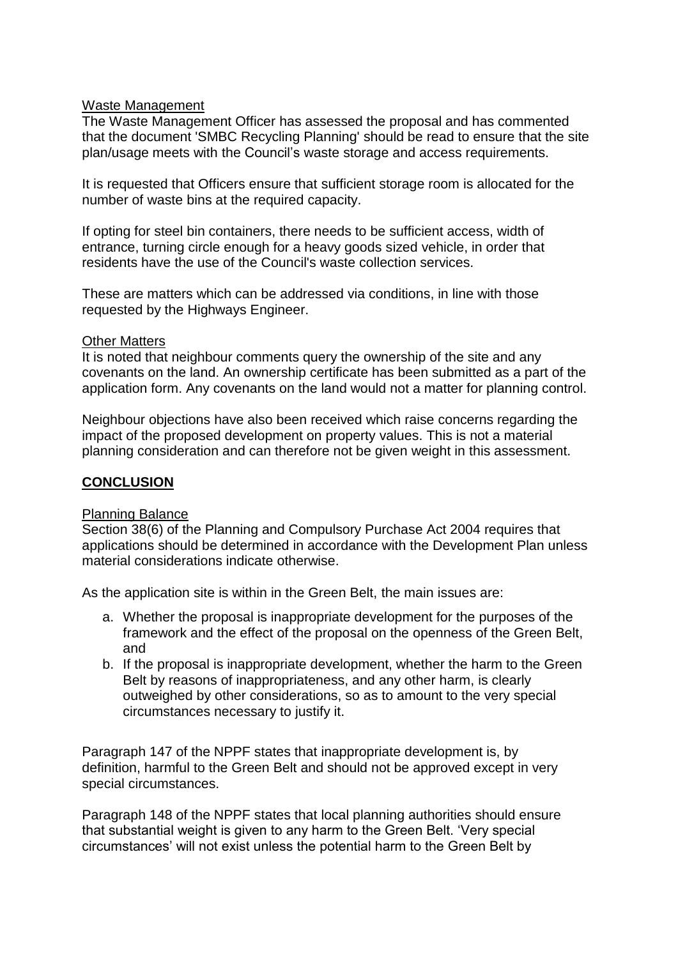### Waste Management

The Waste Management Officer has assessed the proposal and has commented that the document 'SMBC Recycling Planning' should be read to ensure that the site plan/usage meets with the Council's waste storage and access requirements.

It is requested that Officers ensure that sufficient storage room is allocated for the number of waste bins at the required capacity.

If opting for steel bin containers, there needs to be sufficient access, width of entrance, turning circle enough for a heavy goods sized vehicle, in order that residents have the use of the Council's waste collection services.

These are matters which can be addressed via conditions, in line with those requested by the Highways Engineer.

### Other Matters

It is noted that neighbour comments query the ownership of the site and any covenants on the land. An ownership certificate has been submitted as a part of the application form. Any covenants on the land would not a matter for planning control.

Neighbour objections have also been received which raise concerns regarding the impact of the proposed development on property values. This is not a material planning consideration and can therefore not be given weight in this assessment.

### **CONCLUSION**

### Planning Balance

Section 38(6) of the Planning and Compulsory Purchase Act 2004 requires that applications should be determined in accordance with the Development Plan unless material considerations indicate otherwise.

As the application site is within in the Green Belt, the main issues are:

- a. Whether the proposal is inappropriate development for the purposes of the framework and the effect of the proposal on the openness of the Green Belt, and
- b. If the proposal is inappropriate development, whether the harm to the Green Belt by reasons of inappropriateness, and any other harm, is clearly outweighed by other considerations, so as to amount to the very special circumstances necessary to justify it.

Paragraph 147 of the NPPF states that inappropriate development is, by definition, harmful to the Green Belt and should not be approved except in very special circumstances.

Paragraph 148 of the NPPF states that local planning authorities should ensure that substantial weight is given to any harm to the Green Belt. 'Very special circumstances' will not exist unless the potential harm to the Green Belt by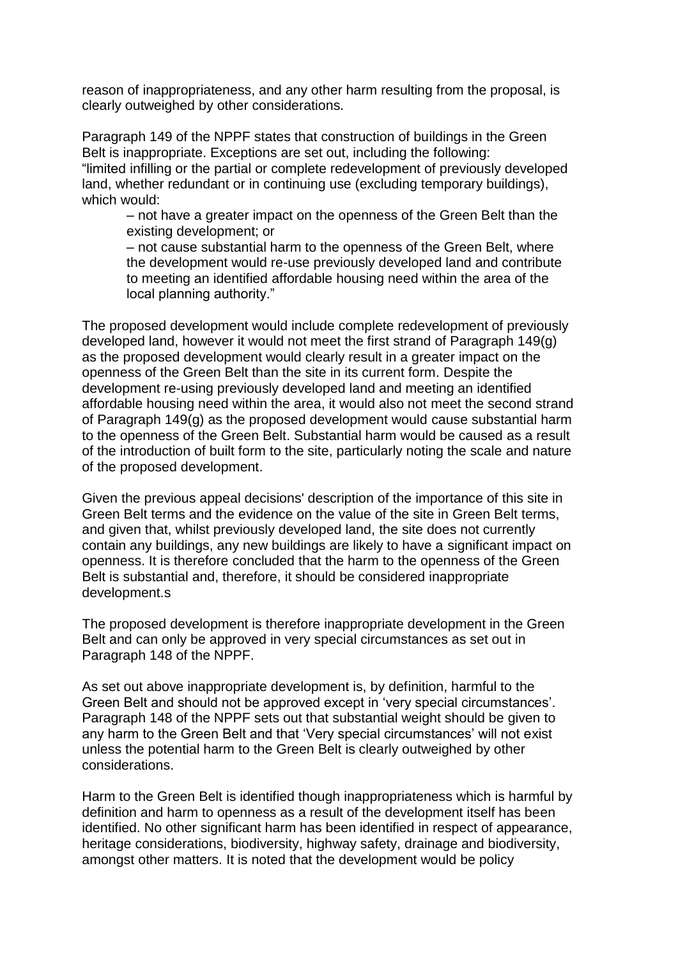reason of inappropriateness, and any other harm resulting from the proposal, is clearly outweighed by other considerations.

Paragraph 149 of the NPPF states that construction of buildings in the Green Belt is inappropriate. Exceptions are set out, including the following: "limited infilling or the partial or complete redevelopment of previously developed land, whether redundant or in continuing use (excluding temporary buildings), which would:

– not have a greater impact on the openness of the Green Belt than the existing development; or

– not cause substantial harm to the openness of the Green Belt, where the development would re-use previously developed land and contribute to meeting an identified affordable housing need within the area of the local planning authority."

The proposed development would include complete redevelopment of previously developed land, however it would not meet the first strand of Paragraph 149(g) as the proposed development would clearly result in a greater impact on the openness of the Green Belt than the site in its current form. Despite the development re-using previously developed land and meeting an identified affordable housing need within the area, it would also not meet the second strand of Paragraph 149(g) as the proposed development would cause substantial harm to the openness of the Green Belt. Substantial harm would be caused as a result of the introduction of built form to the site, particularly noting the scale and nature of the proposed development.

Given the previous appeal decisions' description of the importance of this site in Green Belt terms and the evidence on the value of the site in Green Belt terms, and given that, whilst previously developed land, the site does not currently contain any buildings, any new buildings are likely to have a significant impact on openness. It is therefore concluded that the harm to the openness of the Green Belt is substantial and, therefore, it should be considered inappropriate development.s

The proposed development is therefore inappropriate development in the Green Belt and can only be approved in very special circumstances as set out in Paragraph 148 of the NPPF.

As set out above inappropriate development is, by definition, harmful to the Green Belt and should not be approved except in 'very special circumstances'. Paragraph 148 of the NPPF sets out that substantial weight should be given to any harm to the Green Belt and that 'Very special circumstances' will not exist unless the potential harm to the Green Belt is clearly outweighed by other considerations.

Harm to the Green Belt is identified though inappropriateness which is harmful by definition and harm to openness as a result of the development itself has been identified. No other significant harm has been identified in respect of appearance, heritage considerations, biodiversity, highway safety, drainage and biodiversity, amongst other matters. It is noted that the development would be policy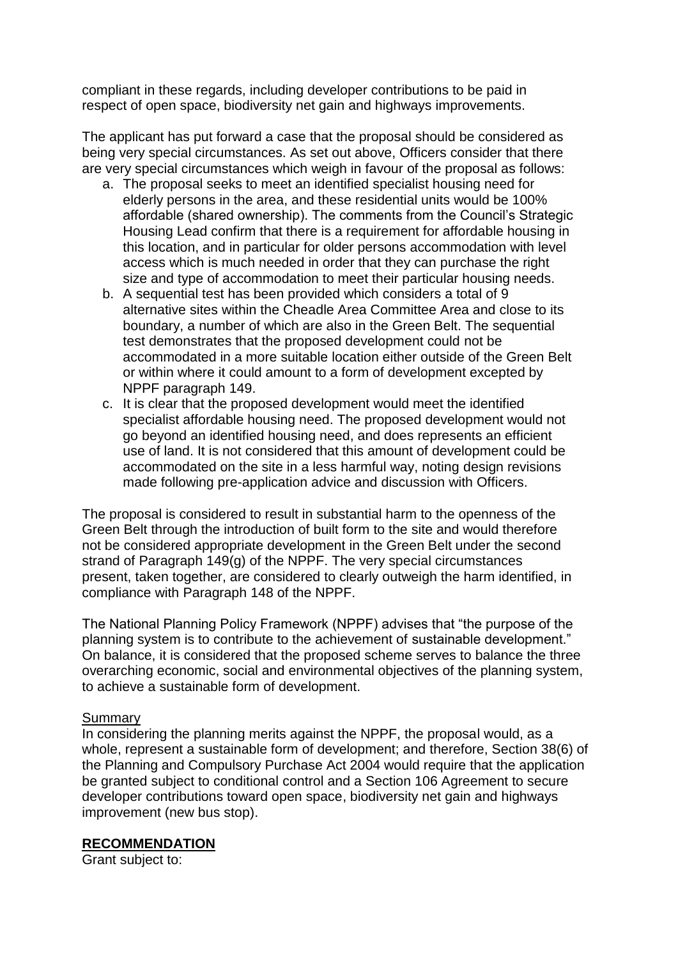compliant in these regards, including developer contributions to be paid in respect of open space, biodiversity net gain and highways improvements.

The applicant has put forward a case that the proposal should be considered as being very special circumstances. As set out above, Officers consider that there are very special circumstances which weigh in favour of the proposal as follows:

- a. The proposal seeks to meet an identified specialist housing need for elderly persons in the area, and these residential units would be 100% affordable (shared ownership). The comments from the Council's Strategic Housing Lead confirm that there is a requirement for affordable housing in this location, and in particular for older persons accommodation with level access which is much needed in order that they can purchase the right size and type of accommodation to meet their particular housing needs.
- b. A sequential test has been provided which considers a total of 9 alternative sites within the Cheadle Area Committee Area and close to its boundary, a number of which are also in the Green Belt. The sequential test demonstrates that the proposed development could not be accommodated in a more suitable location either outside of the Green Belt or within where it could amount to a form of development excepted by NPPF paragraph 149.
- c. It is clear that the proposed development would meet the identified specialist affordable housing need. The proposed development would not go beyond an identified housing need, and does represents an efficient use of land. It is not considered that this amount of development could be accommodated on the site in a less harmful way, noting design revisions made following pre-application advice and discussion with Officers.

The proposal is considered to result in substantial harm to the openness of the Green Belt through the introduction of built form to the site and would therefore not be considered appropriate development in the Green Belt under the second strand of Paragraph 149(g) of the NPPF. The very special circumstances present, taken together, are considered to clearly outweigh the harm identified, in compliance with Paragraph 148 of the NPPF.

The National Planning Policy Framework (NPPF) advises that "the purpose of the planning system is to contribute to the achievement of sustainable development." On balance, it is considered that the proposed scheme serves to balance the three overarching economic, social and environmental objectives of the planning system, to achieve a sustainable form of development.

## Summary

In considering the planning merits against the NPPF, the proposal would, as a whole, represent a sustainable form of development; and therefore, Section 38(6) of the Planning and Compulsory Purchase Act 2004 would require that the application be granted subject to conditional control and a Section 106 Agreement to secure developer contributions toward open space, biodiversity net gain and highways improvement (new bus stop).

## **RECOMMENDATION**

Grant subject to: